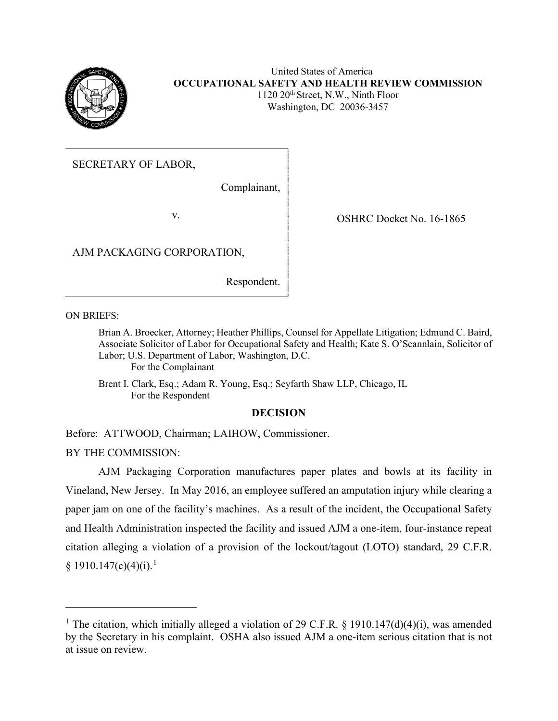

## United States of America **OCCUPATIONAL SAFETY AND HEALTH REVIEW COMMISSION** 1120 20th Street, N.W., Ninth Floor Washington, DC 20036-3457

## SECRETARY OF LABOR,

Complainant,

v. SHRC Docket No. 16-1865

AJM PACKAGING CORPORATION,

Respondent.

ON BRIEFS:

Brian A. Broecker, Attorney; Heather Phillips, Counsel for Appellate Litigation; Edmund C. Baird, Associate Solicitor of Labor for Occupational Safety and Health; Kate S. O'Scannlain, Solicitor of Labor; U.S. Department of Labor, Washington, D.C. For the Complainant

Brent I. Clark, Esq.; Adam R. Young, Esq.; Seyfarth Shaw LLP, Chicago, IL For the Respondent

## **DECISION**

Before: ATTWOOD, Chairman; LAIHOW, Commissioner.

BY THE COMMISSION:

AJM Packaging Corporation manufactures paper plates and bowls at its facility in Vineland, New Jersey. In May 2016, an employee suffered an amputation injury while clearing a paper jam on one of the facility's machines. As a result of the incident, the Occupational Safety and Health Administration inspected the facility and issued AJM a one-item, four-instance repeat citation alleging a violation of a provision of the lockout/tagout (LOTO) standard, 29 C.F.R.  $§ 1910.147(c)(4)(i).<sup>1</sup>$ 

<sup>&</sup>lt;sup>1</sup> The citation, which initially alleged a violation of 29 C.F.R. § 1910.147(d)(4)(i), was amended by the Secretary in his complaint. OSHA also issued AJM a one-item serious citation that is not at issue on review.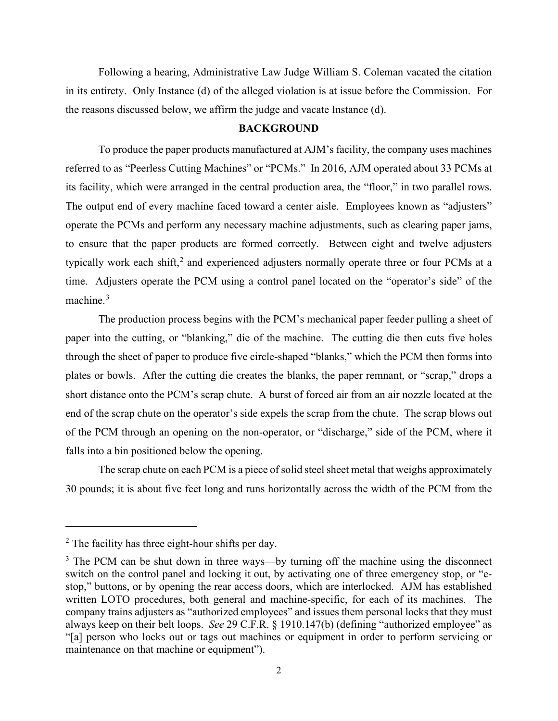Following a hearing, Administrative Law Judge William S. Coleman vacated the citation in its entirety. Only Instance (d) of the alleged violation is at issue before the Commission. For the reasons discussed below, we affirm the judge and vacate Instance (d).

#### **BACKGROUND**

To produce the paper products manufactured at AJM's facility, the company uses machines referred to as "Peerless Cutting Machines" or "PCMs." In 2016, AJM operated about 33 PCMs at its facility, which were arranged in the central production area, the "floor," in two parallel rows. The output end of every machine faced toward a center aisle. Employees known as "adjusters" operate the PCMs and perform any necessary machine adjustments, such as clearing paper jams, to ensure that the paper products are formed correctly. Between eight and twelve adjusters typically work each shift,<sup>2</sup> and experienced adjusters normally operate three or four PCMs at a time. Adjusters operate the PCM using a control panel located on the "operator's side" of the machine. $3$ 

The production process begins with the PCM's mechanical paper feeder pulling a sheet of paper into the cutting, or "blanking," die of the machine. The cutting die then cuts five holes through the sheet of paper to produce five circle-shaped "blanks," which the PCM then forms into plates or bowls. After the cutting die creates the blanks, the paper remnant, or "scrap," drops a short distance onto the PCM's scrap chute. A burst of forced air from an air nozzle located at the end of the scrap chute on the operator's side expels the scrap from the chute. The scrap blows out of the PCM through an opening on the non-operator, or "discharge," side of the PCM, where it falls into a bin positioned below the opening.

The scrap chute on each PCM is a piece of solid steel sheet metal that weighs approximately 30 pounds; it is about five feet long and runs horizontally across the width of the PCM from the

 $<sup>2</sup>$  The facility has three eight-hour shifts per day.</sup>

 $3$  The PCM can be shut down in three ways—by turning off the machine using the disconnect switch on the control panel and locking it out, by activating one of three emergency stop, or "estop," buttons, or by opening the rear access doors, which are interlocked. AJM has established written LOTO procedures, both general and machine-specific, for each of its machines. The company trains adjusters as "authorized employees" and issues them personal locks that they must always keep on their belt loops. *See* 29 C.F.R. § 1910.147(b) (defining "authorized employee" as "[a] person who locks out or tags out machines or equipment in order to perform servicing or maintenance on that machine or equipment").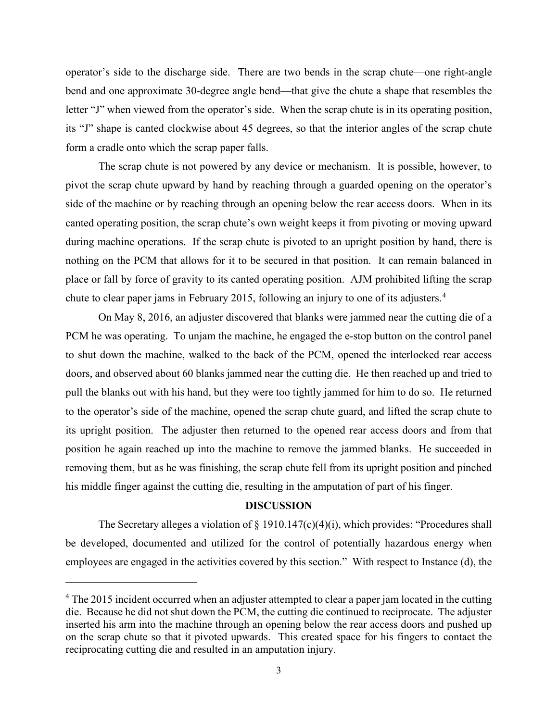operator's side to the discharge side. There are two bends in the scrap chute—one right-angle bend and one approximate 30-degree angle bend—that give the chute a shape that resembles the letter "J" when viewed from the operator's side. When the scrap chute is in its operating position, its "J" shape is canted clockwise about 45 degrees, so that the interior angles of the scrap chute form a cradle onto which the scrap paper falls.

The scrap chute is not powered by any device or mechanism. It is possible, however, to pivot the scrap chute upward by hand by reaching through a guarded opening on the operator's side of the machine or by reaching through an opening below the rear access doors. When in its canted operating position, the scrap chute's own weight keeps it from pivoting or moving upward during machine operations. If the scrap chute is pivoted to an upright position by hand, there is nothing on the PCM that allows for it to be secured in that position. It can remain balanced in place or fall by force of gravity to its canted operating position. AJM prohibited lifting the scrap chute to clear paper jams in February 2015, following an injury to one of its adjusters.<sup>4</sup>

On May 8, 2016, an adjuster discovered that blanks were jammed near the cutting die of a PCM he was operating. To unjam the machine, he engaged the e-stop button on the control panel to shut down the machine, walked to the back of the PCM, opened the interlocked rear access doors, and observed about 60 blanks jammed near the cutting die. He then reached up and tried to pull the blanks out with his hand, but they were too tightly jammed for him to do so. He returned to the operator's side of the machine, opened the scrap chute guard, and lifted the scrap chute to its upright position. The adjuster then returned to the opened rear access doors and from that position he again reached up into the machine to remove the jammed blanks. He succeeded in removing them, but as he was finishing, the scrap chute fell from its upright position and pinched his middle finger against the cutting die, resulting in the amputation of part of his finger.

## **DISCUSSION**

The Secretary alleges a violation of  $\S$  1910.147(c)(4)(i), which provides: "Procedures shall be developed, documented and utilized for the control of potentially hazardous energy when employees are engaged in the activities covered by this section." With respect to Instance (d), the

<sup>&</sup>lt;sup>4</sup> The 2015 incident occurred when an adjuster attempted to clear a paper jam located in the cutting die. Because he did not shut down the PCM, the cutting die continued to reciprocate. The adjuster inserted his arm into the machine through an opening below the rear access doors and pushed up on the scrap chute so that it pivoted upwards. This created space for his fingers to contact the reciprocating cutting die and resulted in an amputation injury.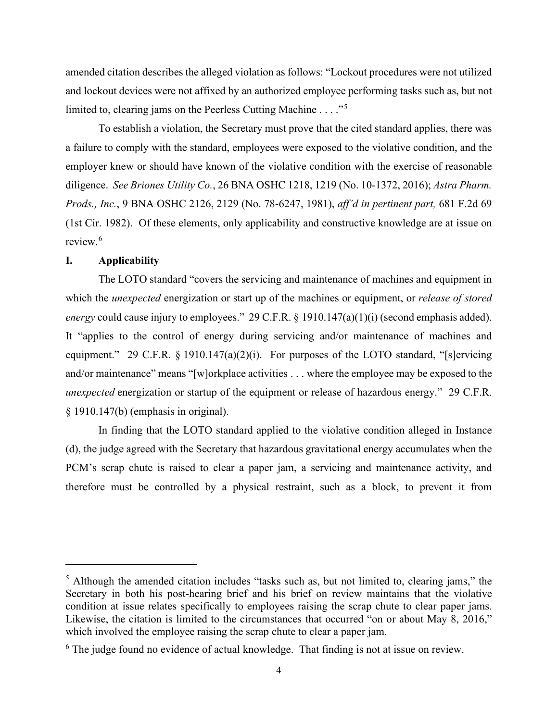amended citation describes the alleged violation as follows: "Lockout procedures were not utilized and lockout devices were not affixed by an authorized employee performing tasks such as, but not limited to, clearing jams on the Peerless Cutting Machine . . . . "<sup>5</sup>

To establish a violation, the Secretary must prove that the cited standard applies, there was a failure to comply with the standard, employees were exposed to the violative condition, and the employer knew or should have known of the violative condition with the exercise of reasonable diligence. *See Briones Utility Co.*, 26 BNA OSHC 1218, 1219 (No. 10-1372, 2016); *Astra Pharm. Prods., Inc.*, 9 BNA OSHC 2126, 2129 (No. 78-6247, 1981), *aff'd in pertinent part,* 681 F.2d 69 (1st Cir. 1982). Of these elements, only applicability and constructive knowledge are at issue on review. 6

## **I. Applicability**

The LOTO standard "covers the servicing and maintenance of machines and equipment in which the *unexpected* energization or start up of the machines or equipment, or *release of stored energy* could cause injury to employees." 29 C.F.R. § 1910.147(a)(1)(i) (second emphasis added). It "applies to the control of energy during servicing and/or maintenance of machines and equipment." 29 C.F.R. § 1910.147(a)(2)(i). For purposes of the LOTO standard, "[s]ervicing and/or maintenance" means "[w]orkplace activities . . . where the employee may be exposed to the *unexpected* energization or startup of the equipment or release of hazardous energy." 29 C.F.R. § 1910.147(b) (emphasis in original).

In finding that the LOTO standard applied to the violative condition alleged in Instance (d), the judge agreed with the Secretary that hazardous gravitational energy accumulates when the PCM's scrap chute is raised to clear a paper jam, a servicing and maintenance activity, and therefore must be controlled by a physical restraint, such as a block, to prevent it from

<sup>&</sup>lt;sup>5</sup> Although the amended citation includes "tasks such as, but not limited to, clearing jams," the Secretary in both his post-hearing brief and his brief on review maintains that the violative condition at issue relates specifically to employees raising the scrap chute to clear paper jams. Likewise, the citation is limited to the circumstances that occurred "on or about May 8, 2016," which involved the employee raising the scrap chute to clear a paper jam.

 $6$  The judge found no evidence of actual knowledge. That finding is not at issue on review.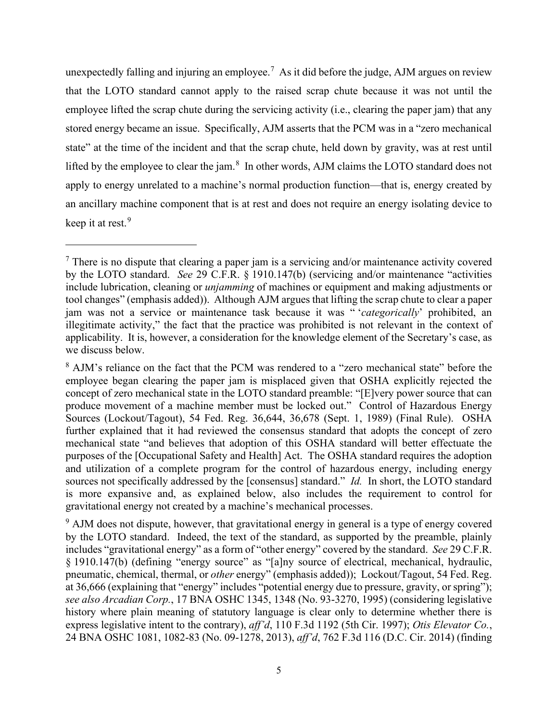unexpectedly falling and injuring an employee.<sup>7</sup> As it did before the judge, AJM argues on review that the LOTO standard cannot apply to the raised scrap chute because it was not until the employee lifted the scrap chute during the servicing activity (i.e., clearing the paper jam) that any stored energy became an issue. Specifically, AJM asserts that the PCM was in a "zero mechanical state" at the time of the incident and that the scrap chute, held down by gravity, was at rest until lifted by the employee to clear the jam.<sup>8</sup> In other words, AJM claims the LOTO standard does not apply to energy unrelated to a machine's normal production function—that is, energy created by an ancillary machine component that is at rest and does not require an energy isolating device to keep it at rest. 9

 $<sup>7</sup>$  There is no dispute that clearing a paper jam is a servicing and/or maintenance activity covered</sup> by the LOTO standard. *See* 29 C.F.R. § 1910.147(b) (servicing and/or maintenance "activities include lubrication, cleaning or *unjamming* of machines or equipment and making adjustments or tool changes" (emphasis added)). Although AJM argues that lifting the scrap chute to clear a paper jam was not a service or maintenance task because it was " '*categorically*' prohibited, an illegitimate activity," the fact that the practice was prohibited is not relevant in the context of applicability. It is, however, a consideration for the knowledge element of the Secretary's case, as we discuss below.

<sup>8</sup> AJM's reliance on the fact that the PCM was rendered to a "zero mechanical state" before the employee began clearing the paper jam is misplaced given that OSHA explicitly rejected the concept of zero mechanical state in the LOTO standard preamble: "[E]very power source that can produce movement of a machine member must be locked out." Control of Hazardous Energy Sources (Lockout/Tagout), 54 Fed. Reg. 36,644, 36,678 (Sept. 1, 1989) (Final Rule). OSHA further explained that it had reviewed the consensus standard that adopts the concept of zero mechanical state "and believes that adoption of this OSHA standard will better effectuate the purposes of the [Occupational Safety and Health] Act. The OSHA standard requires the adoption and utilization of a complete program for the control of hazardous energy, including energy sources not specifically addressed by the [consensus] standard." *Id.* In short, the LOTO standard is more expansive and, as explained below, also includes the requirement to control for gravitational energy not created by a machine's mechanical processes.

 $9$  AJM does not dispute, however, that gravitational energy in general is a type of energy covered by the LOTO standard. Indeed, the text of the standard, as supported by the preamble, plainly includes "gravitational energy" as a form of "other energy" covered by the standard. *See* 29 C.F.R. § 1910.147(b) (defining "energy source" as "[a]ny source of electrical, mechanical, hydraulic, pneumatic, chemical, thermal, or *other* energy" (emphasis added)); Lockout/Tagout, 54 Fed. Reg. at 36,666 (explaining that "energy" includes "potential energy due to pressure, gravity, or spring"); *see also Arcadian Corp.*, 17 BNA OSHC 1345, 1348 (No. 93-3270, 1995) (considering legislative history where plain meaning of statutory language is clear only to determine whether there is express legislative intent to the contrary), *aff'd*, 110 F.3d 1192 (5th Cir. 1997); *Otis Elevator Co.*, 24 BNA OSHC 1081, 1082-83 (No. 09-1278, 2013), *aff'd*, 762 F.3d 116 (D.C. Cir. 2014) (finding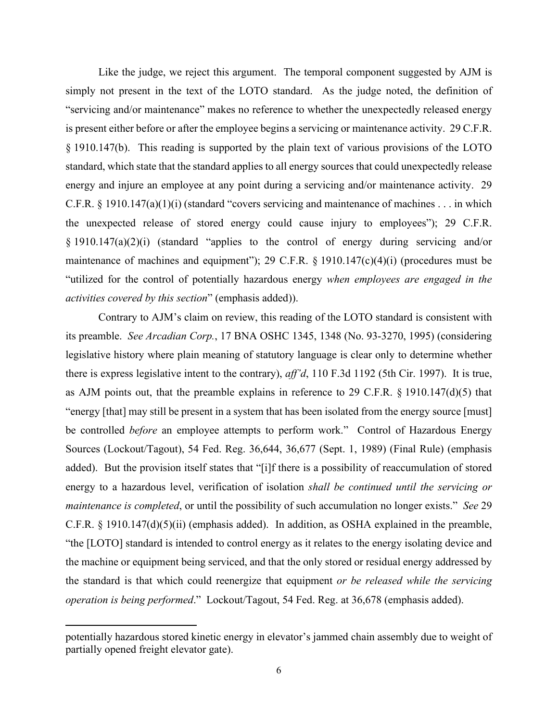Like the judge, we reject this argument. The temporal component suggested by AJM is simply not present in the text of the LOTO standard. As the judge noted, the definition of "servicing and/or maintenance" makes no reference to whether the unexpectedly released energy is present either before or after the employee begins a servicing or maintenance activity. 29 C.F.R. § 1910.147(b). This reading is supported by the plain text of various provisions of the LOTO standard, which state that the standard applies to all energy sources that could unexpectedly release energy and injure an employee at any point during a servicing and/or maintenance activity. 29 C.F.R. § 1910.147(a)(1)(i) (standard "covers servicing and maintenance of machines . . . in which the unexpected release of stored energy could cause injury to employees"); 29 C.F.R. § 1910.147(a)(2)(i) (standard "applies to the control of energy during servicing and/or maintenance of machines and equipment"); 29 C.F.R.  $\S$  1910.147(c)(4)(i) (procedures must be "utilized for the control of potentially hazardous energy *when employees are engaged in the activities covered by this section*" (emphasis added)).

Contrary to AJM's claim on review, this reading of the LOTO standard is consistent with its preamble. *See Arcadian Corp.*, 17 BNA OSHC 1345, 1348 (No. 93-3270, 1995) (considering legislative history where plain meaning of statutory language is clear only to determine whether there is express legislative intent to the contrary), *aff'd*, 110 F.3d 1192 (5th Cir. 1997). It is true, as AJM points out, that the preamble explains in reference to 29 C.F.R. § 1910.147(d)(5) that "energy [that] may still be present in a system that has been isolated from the energy source [must] be controlled *before* an employee attempts to perform work." Control of Hazardous Energy Sources (Lockout/Tagout), 54 Fed. Reg. 36,644, 36,677 (Sept. 1, 1989) (Final Rule) (emphasis added). But the provision itself states that "[i]f there is a possibility of reaccumulation of stored energy to a hazardous level, verification of isolation *shall be continued until the servicing or maintenance is completed*, or until the possibility of such accumulation no longer exists." *See* 29 C.F.R. § 1910.147(d)(5)(ii) (emphasis added). In addition, as OSHA explained in the preamble, "the [LOTO] standard is intended to control energy as it relates to the energy isolating device and the machine or equipment being serviced, and that the only stored or residual energy addressed by the standard is that which could reenergize that equipment *or be released while the servicing operation is being performed*." Lockout/Tagout, 54 Fed. Reg. at 36,678 (emphasis added).

potentially hazardous stored kinetic energy in elevator's jammed chain assembly due to weight of partially opened freight elevator gate).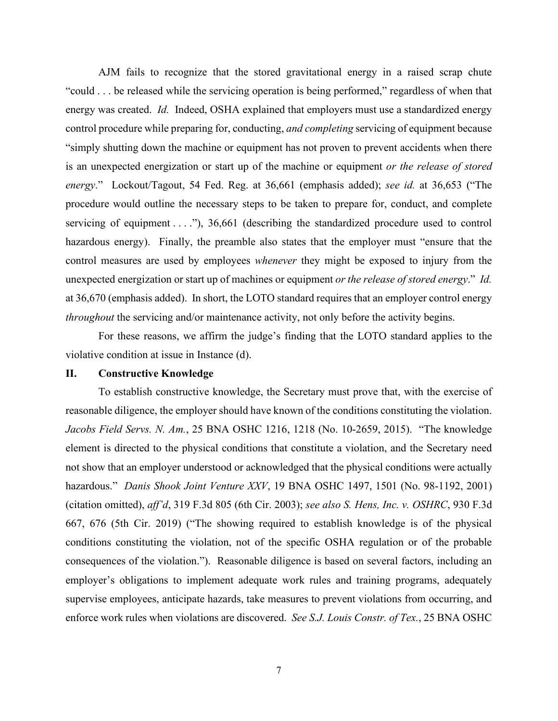AJM fails to recognize that the stored gravitational energy in a raised scrap chute "could . . . be released while the servicing operation is being performed," regardless of when that energy was created. *Id.* Indeed, OSHA explained that employers must use a standardized energy control procedure while preparing for, conducting, *and completing* servicing of equipment because "simply shutting down the machine or equipment has not proven to prevent accidents when there is an unexpected energization or start up of the machine or equipment *or the release of stored energy*." Lockout/Tagout, 54 Fed. Reg. at 36,661 (emphasis added); *see id.* at 36,653 ("The procedure would outline the necessary steps to be taken to prepare for, conduct, and complete servicing of equipment  $\dots$ "), 36,661 (describing the standardized procedure used to control hazardous energy). Finally, the preamble also states that the employer must "ensure that the control measures are used by employees *whenever* they might be exposed to injury from the unexpected energization or start up of machines or equipment *or the release of stored energy*." *Id.* at 36,670 (emphasis added). In short, the LOTO standard requires that an employer control energy *throughout* the servicing and/or maintenance activity, not only before the activity begins.

For these reasons, we affirm the judge's finding that the LOTO standard applies to the violative condition at issue in Instance (d).

## **II. Constructive Knowledge**

To establish constructive knowledge, the Secretary must prove that, with the exercise of reasonable diligence, the employer should have known of the conditions constituting the violation. *Jacobs Field Servs. N. Am.*, 25 BNA OSHC 1216, 1218 (No. 10-2659, 2015). "The knowledge element is directed to the physical conditions that constitute a violation, and the Secretary need not show that an employer understood or acknowledged that the physical conditions were actually hazardous." *Danis Shook Joint Venture XXV*, 19 BNA OSHC 1497, 1501 (No. 98-1192, 2001) (citation omitted), *aff'd*, 319 F.3d 805 (6th Cir. 2003); *see also S. Hens, Inc. v. OSHRC*, 930 F.3d 667, 676 (5th Cir. 2019) ("The showing required to establish knowledge is of the physical conditions constituting the violation, not of the specific OSHA regulation or of the probable consequences of the violation."). Reasonable diligence is based on several factors, including an employer's obligations to implement adequate work rules and training programs, adequately supervise employees, anticipate hazards, take measures to prevent violations from occurring, and enforce work rules when violations are discovered. *See S.J. Louis Constr. of Tex.*, 25 BNA OSHC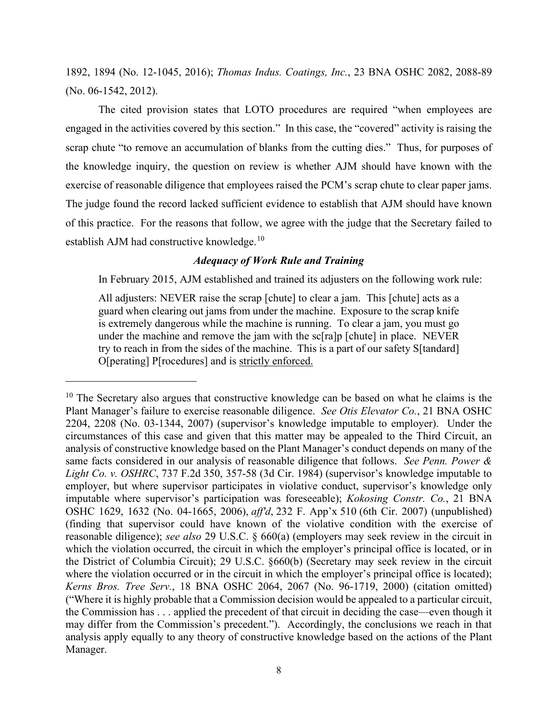1892, 1894 (No. 12-1045, 2016); *Thomas Indus. Coatings, Inc.*, 23 BNA OSHC 2082, 2088-89 (No. 06-1542, 2012).

The cited provision states that LOTO procedures are required "when employees are engaged in the activities covered by this section." In this case, the "covered" activity is raising the scrap chute "to remove an accumulation of blanks from the cutting dies." Thus, for purposes of the knowledge inquiry, the question on review is whether AJM should have known with the exercise of reasonable diligence that employees raised the PCM's scrap chute to clear paper jams. The judge found the record lacked sufficient evidence to establish that AJM should have known of this practice. For the reasons that follow, we agree with the judge that the Secretary failed to establish AJM had constructive knowledge.<sup>10</sup>

## *Adequacy of Work Rule and Training*

In February 2015, AJM established and trained its adjusters on the following work rule:

All adjusters: NEVER raise the scrap [chute] to clear a jam. This [chute] acts as a guard when clearing out jams from under the machine. Exposure to the scrap knife is extremely dangerous while the machine is running. To clear a jam, you must go under the machine and remove the jam with the sc[ra]p [chute] in place. NEVER try to reach in from the sides of the machine. This is a part of our safety S[tandard] O[perating] P[rocedures] and is strictly enforced.

 $10$  The Secretary also argues that constructive knowledge can be based on what he claims is the Plant Manager's failure to exercise reasonable diligence. *See Otis Elevator Co.*, 21 BNA OSHC 2204, 2208 (No. 03-1344, 2007) (supervisor's knowledge imputable to employer). Under the circumstances of this case and given that this matter may be appealed to the Third Circuit, an analysis of constructive knowledge based on the Plant Manager's conduct depends on many of the same facts considered in our analysis of reasonable diligence that follows. *See Penn. Power & Light Co. v. OSHRC*, 737 F.2d 350, 357-58 (3d Cir. 1984) (supervisor's knowledge imputable to employer, but where supervisor participates in violative conduct, supervisor's knowledge only imputable where supervisor's participation was foreseeable); *Kokosing Constr. Co.*, 21 BNA OSHC 1629, 1632 (No. 04-1665, 2006), *aff'd*, 232 F. App'x 510 (6th Cir. 2007) (unpublished) (finding that supervisor could have known of the violative condition with the exercise of reasonable diligence); *see also* 29 U.S.C. § 660(a) (employers may seek review in the circuit in which the violation occurred, the circuit in which the employer's principal office is located, or in the District of Columbia Circuit); 29 U.S.C. §660(b) (Secretary may seek review in the circuit where the violation occurred or in the circuit in which the employer's principal office is located); *Kerns Bros. Tree Serv.*, 18 BNA OSHC 2064, 2067 (No. 96-1719, 2000) (citation omitted) ("Where it is highly probable that a Commission decision would be appealed to a particular circuit, the Commission has . . . applied the precedent of that circuit in deciding the case—even though it may differ from the Commission's precedent."). Accordingly, the conclusions we reach in that analysis apply equally to any theory of constructive knowledge based on the actions of the Plant Manager.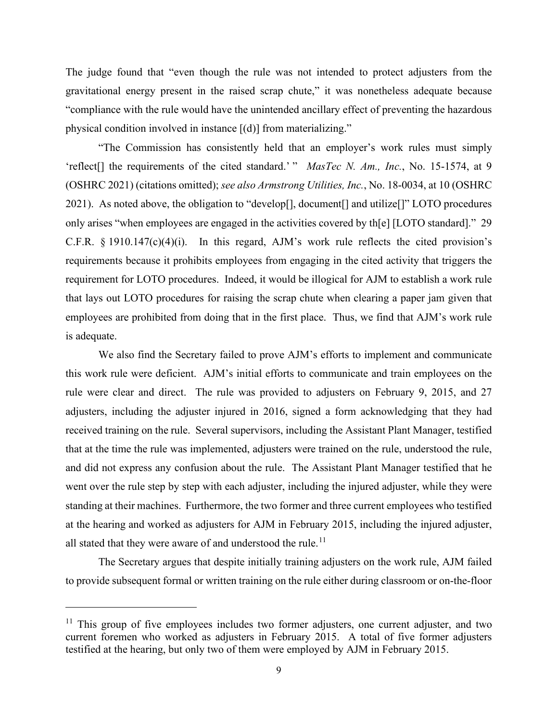The judge found that "even though the rule was not intended to protect adjusters from the gravitational energy present in the raised scrap chute," it was nonetheless adequate because "compliance with the rule would have the unintended ancillary effect of preventing the hazardous physical condition involved in instance [(d)] from materializing."

"The Commission has consistently held that an employer's work rules must simply 'reflect[] the requirements of the cited standard.' " *MasTec N. Am., Inc.*, No. 15-1574, at 9 (OSHRC 2021) (citations omitted); *see also Armstrong Utilities, Inc.*, No. 18-0034, at 10 (OSHRC 2021). As noted above, the obligation to "develop[], document[] and utilize[]" LOTO procedures only arises "when employees are engaged in the activities covered by th[e] [LOTO standard]." 29 C.F.R. § 1910.147(c)(4)(i). In this regard, AJM's work rule reflects the cited provision's requirements because it prohibits employees from engaging in the cited activity that triggers the requirement for LOTO procedures. Indeed, it would be illogical for AJM to establish a work rule that lays out LOTO procedures for raising the scrap chute when clearing a paper jam given that employees are prohibited from doing that in the first place. Thus, we find that AJM's work rule is adequate.

We also find the Secretary failed to prove AJM's efforts to implement and communicate this work rule were deficient. AJM's initial efforts to communicate and train employees on the rule were clear and direct. The rule was provided to adjusters on February 9, 2015, and 27 adjusters, including the adjuster injured in 2016, signed a form acknowledging that they had received training on the rule. Several supervisors, including the Assistant Plant Manager, testified that at the time the rule was implemented, adjusters were trained on the rule, understood the rule, and did not express any confusion about the rule. The Assistant Plant Manager testified that he went over the rule step by step with each adjuster, including the injured adjuster, while they were standing at their machines. Furthermore, the two former and three current employees who testified at the hearing and worked as adjusters for AJM in February 2015, including the injured adjuster, all stated that they were aware of and understood the rule.<sup>11</sup>

The Secretary argues that despite initially training adjusters on the work rule, AJM failed to provide subsequent formal or written training on the rule either during classroom or on-the-floor

 $11$  This group of five employees includes two former adjusters, one current adjuster, and two current foremen who worked as adjusters in February 2015. A total of five former adjusters testified at the hearing, but only two of them were employed by AJM in February 2015.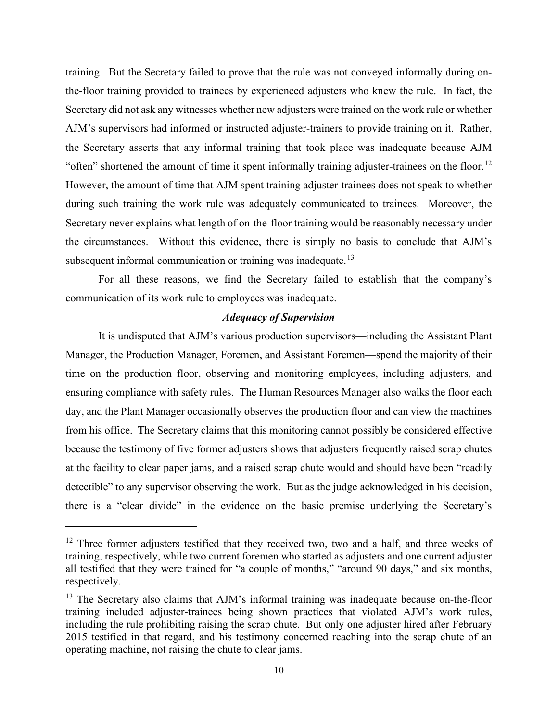training. But the Secretary failed to prove that the rule was not conveyed informally during onthe-floor training provided to trainees by experienced adjusters who knew the rule. In fact, the Secretary did not ask any witnesses whether new adjusters were trained on the work rule or whether AJM's supervisors had informed or instructed adjuster-trainers to provide training on it. Rather, the Secretary asserts that any informal training that took place was inadequate because AJM "often" shortened the amount of time it spent informally training adjuster-trainees on the floor.<sup>12</sup> However, the amount of time that AJM spent training adjuster-trainees does not speak to whether during such training the work rule was adequately communicated to trainees. Moreover, the Secretary never explains what length of on-the-floor training would be reasonably necessary under the circumstances. Without this evidence, there is simply no basis to conclude that AJM's subsequent informal communication or training was inadequate.<sup>13</sup>

For all these reasons, we find the Secretary failed to establish that the company's communication of its work rule to employees was inadequate.

## *Adequacy of Supervision*

It is undisputed that AJM's various production supervisors—including the Assistant Plant Manager, the Production Manager, Foremen, and Assistant Foremen—spend the majority of their time on the production floor, observing and monitoring employees, including adjusters, and ensuring compliance with safety rules. The Human Resources Manager also walks the floor each day, and the Plant Manager occasionally observes the production floor and can view the machines from his office. The Secretary claims that this monitoring cannot possibly be considered effective because the testimony of five former adjusters shows that adjusters frequently raised scrap chutes at the facility to clear paper jams, and a raised scrap chute would and should have been "readily detectible" to any supervisor observing the work. But as the judge acknowledged in his decision, there is a "clear divide" in the evidence on the basic premise underlying the Secretary's

<sup>&</sup>lt;sup>12</sup> Three former adjusters testified that they received two, two and a half, and three weeks of training, respectively, while two current foremen who started as adjusters and one current adjuster all testified that they were trained for "a couple of months," "around 90 days," and six months, respectively.

 $13$  The Secretary also claims that AJM's informal training was inadequate because on-the-floor training included adjuster-trainees being shown practices that violated AJM's work rules, including the rule prohibiting raising the scrap chute. But only one adjuster hired after February 2015 testified in that regard, and his testimony concerned reaching into the scrap chute of an operating machine, not raising the chute to clear jams.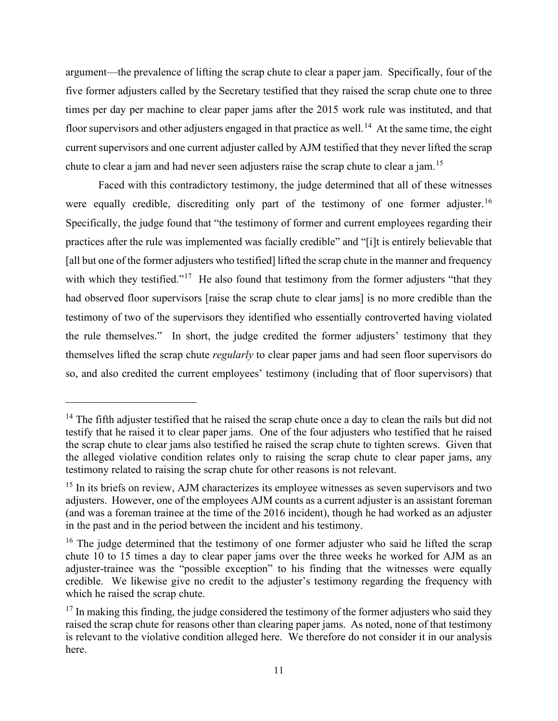argument—the prevalence of lifting the scrap chute to clear a paper jam. Specifically, four of the five former adjusters called by the Secretary testified that they raised the scrap chute one to three times per day per machine to clear paper jams after the 2015 work rule was instituted, and that floor supervisors and other adjusters engaged in that practice as well.<sup>14</sup> At the same time, the eight current supervisors and one current adjuster called by AJM testified that they never lifted the scrap chute to clear a jam and had never seen adjusters raise the scrap chute to clear a jam.<sup>15</sup>

Faced with this contradictory testimony, the judge determined that all of these witnesses were equally credible, discrediting only part of the testimony of one former adjuster.<sup>16</sup> Specifically, the judge found that "the testimony of former and current employees regarding their practices after the rule was implemented was facially credible" and "[i]t is entirely believable that [all but one of the former adjusters who testified] lifted the scrap chute in the manner and frequency with which they testified."<sup>17</sup> He also found that testimony from the former adjusters "that they had observed floor supervisors [raise the scrap chute to clear jams] is no more credible than the testimony of two of the supervisors they identified who essentially controverted having violated the rule themselves." In short, the judge credited the former adjusters' testimony that they themselves lifted the scrap chute *regularly* to clear paper jams and had seen floor supervisors do so, and also credited the current employees' testimony (including that of floor supervisors) that

 $14$  The fifth adjuster testified that he raised the scrap chute once a day to clean the rails but did not testify that he raised it to clear paper jams. One of the four adjusters who testified that he raised the scrap chute to clear jams also testified he raised the scrap chute to tighten screws. Given that the alleged violative condition relates only to raising the scrap chute to clear paper jams, any testimony related to raising the scrap chute for other reasons is not relevant.

<sup>&</sup>lt;sup>15</sup> In its briefs on review, AJM characterizes its employee witnesses as seven supervisors and two adjusters. However, one of the employees AJM counts as a current adjuster is an assistant foreman (and was a foreman trainee at the time of the 2016 incident), though he had worked as an adjuster in the past and in the period between the incident and his testimony.

 $16$  The judge determined that the testimony of one former adjuster who said he lifted the scrap chute 10 to 15 times a day to clear paper jams over the three weeks he worked for AJM as an adjuster-trainee was the "possible exception" to his finding that the witnesses were equally credible. We likewise give no credit to the adjuster's testimony regarding the frequency with which he raised the scrap chute.

 $17$  In making this finding, the judge considered the testimony of the former adjusters who said they raised the scrap chute for reasons other than clearing paper jams. As noted, none of that testimony is relevant to the violative condition alleged here. We therefore do not consider it in our analysis here.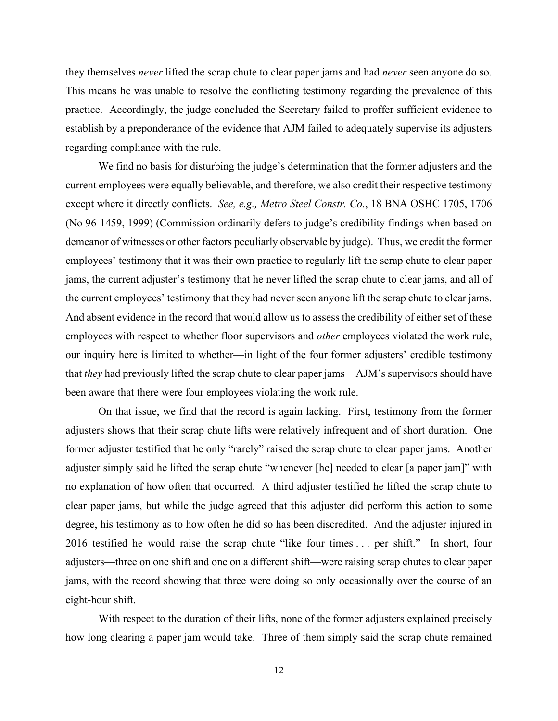they themselves *never* lifted the scrap chute to clear paper jams and had *never* seen anyone do so. This means he was unable to resolve the conflicting testimony regarding the prevalence of this practice. Accordingly, the judge concluded the Secretary failed to proffer sufficient evidence to establish by a preponderance of the evidence that AJM failed to adequately supervise its adjusters regarding compliance with the rule.

We find no basis for disturbing the judge's determination that the former adjusters and the current employees were equally believable, and therefore, we also credit their respective testimony except where it directly conflicts. *See, e.g., Metro Steel Constr. Co.*, 18 BNA OSHC 1705, 1706 (No 96-1459, 1999) (Commission ordinarily defers to judge's credibility findings when based on demeanor of witnesses or other factors peculiarly observable by judge). Thus, we credit the former employees' testimony that it was their own practice to regularly lift the scrap chute to clear paper jams, the current adjuster's testimony that he never lifted the scrap chute to clear jams, and all of the current employees' testimony that they had never seen anyone lift the scrap chute to clear jams. And absent evidence in the record that would allow us to assess the credibility of either set of these employees with respect to whether floor supervisors and *other* employees violated the work rule, our inquiry here is limited to whether—in light of the four former adjusters' credible testimony that *they* had previously lifted the scrap chute to clear paper jams—AJM's supervisors should have been aware that there were four employees violating the work rule.

On that issue, we find that the record is again lacking. First, testimony from the former adjusters shows that their scrap chute lifts were relatively infrequent and of short duration. One former adjuster testified that he only "rarely" raised the scrap chute to clear paper jams. Another adjuster simply said he lifted the scrap chute "whenever [he] needed to clear [a paper jam]" with no explanation of how often that occurred. A third adjuster testified he lifted the scrap chute to clear paper jams, but while the judge agreed that this adjuster did perform this action to some degree, his testimony as to how often he did so has been discredited. And the adjuster injured in 2016 testified he would raise the scrap chute "like four times . . . per shift." In short, four adjusters—three on one shift and one on a different shift—were raising scrap chutes to clear paper jams, with the record showing that three were doing so only occasionally over the course of an eight-hour shift.

With respect to the duration of their lifts, none of the former adjusters explained precisely how long clearing a paper jam would take. Three of them simply said the scrap chute remained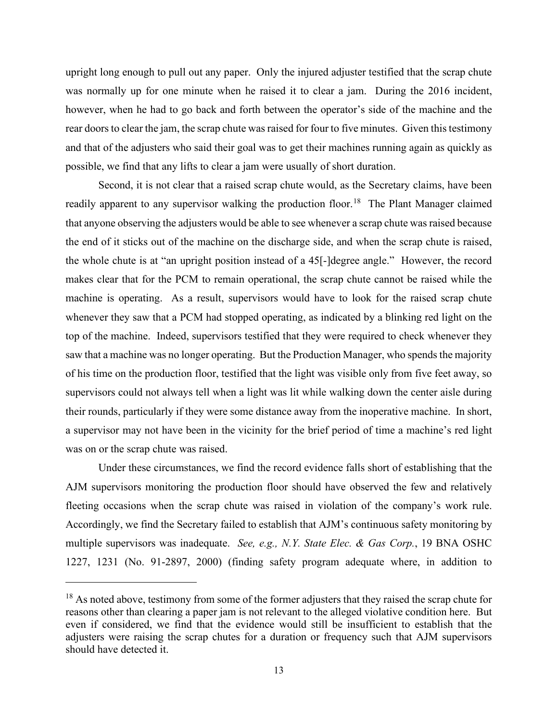upright long enough to pull out any paper. Only the injured adjuster testified that the scrap chute was normally up for one minute when he raised it to clear a jam. During the 2016 incident, however, when he had to go back and forth between the operator's side of the machine and the rear doors to clear the jam, the scrap chute was raised for four to five minutes. Given this testimony and that of the adjusters who said their goal was to get their machines running again as quickly as possible, we find that any lifts to clear a jam were usually of short duration.

Second, it is not clear that a raised scrap chute would, as the Secretary claims, have been readily apparent to any supervisor walking the production floor.<sup>18</sup> The Plant Manager claimed that anyone observing the adjusters would be able to see whenever a scrap chute was raised because the end of it sticks out of the machine on the discharge side, and when the scrap chute is raised, the whole chute is at "an upright position instead of a 45[-]degree angle." However, the record makes clear that for the PCM to remain operational, the scrap chute cannot be raised while the machine is operating. As a result, supervisors would have to look for the raised scrap chute whenever they saw that a PCM had stopped operating, as indicated by a blinking red light on the top of the machine. Indeed, supervisors testified that they were required to check whenever they saw that a machine was no longer operating. But the Production Manager, who spends the majority of his time on the production floor, testified that the light was visible only from five feet away, so supervisors could not always tell when a light was lit while walking down the center aisle during their rounds, particularly if they were some distance away from the inoperative machine. In short, a supervisor may not have been in the vicinity for the brief period of time a machine's red light was on or the scrap chute was raised.

Under these circumstances, we find the record evidence falls short of establishing that the AJM supervisors monitoring the production floor should have observed the few and relatively fleeting occasions when the scrap chute was raised in violation of the company's work rule. Accordingly, we find the Secretary failed to establish that AJM's continuous safety monitoring by multiple supervisors was inadequate. *See, e.g., N.Y. State Elec. & Gas Corp.*, 19 BNA OSHC 1227, 1231 (No. 91-2897, 2000) (finding safety program adequate where, in addition to

<sup>&</sup>lt;sup>18</sup> As noted above, testimony from some of the former adjusters that they raised the scrap chute for reasons other than clearing a paper jam is not relevant to the alleged violative condition here. But even if considered, we find that the evidence would still be insufficient to establish that the adjusters were raising the scrap chutes for a duration or frequency such that AJM supervisors should have detected it.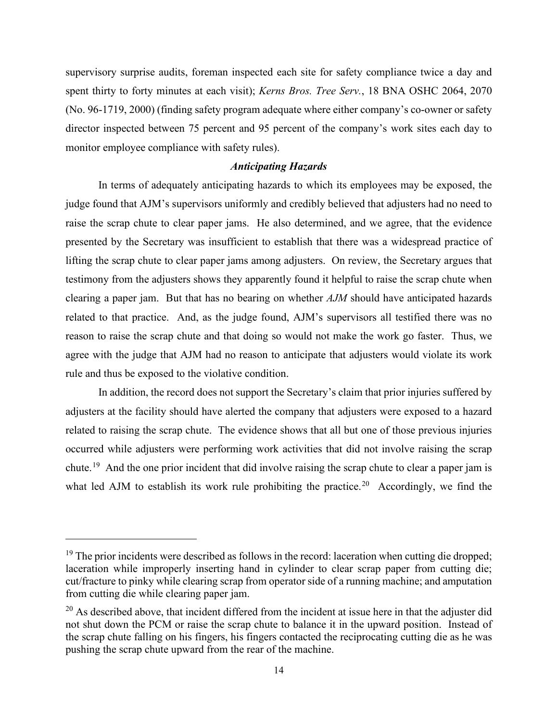supervisory surprise audits, foreman inspected each site for safety compliance twice a day and spent thirty to forty minutes at each visit); *Kerns Bros. Tree Serv.*, 18 BNA OSHC 2064, 2070 (No. 96-1719, 2000) (finding safety program adequate where either company's co-owner or safety director inspected between 75 percent and 95 percent of the company's work sites each day to monitor employee compliance with safety rules).

## *Anticipating Hazards*

In terms of adequately anticipating hazards to which its employees may be exposed, the judge found that AJM's supervisors uniformly and credibly believed that adjusters had no need to raise the scrap chute to clear paper jams. He also determined, and we agree, that the evidence presented by the Secretary was insufficient to establish that there was a widespread practice of lifting the scrap chute to clear paper jams among adjusters. On review, the Secretary argues that testimony from the adjusters shows they apparently found it helpful to raise the scrap chute when clearing a paper jam. But that has no bearing on whether *AJM* should have anticipated hazards related to that practice. And, as the judge found, AJM's supervisors all testified there was no reason to raise the scrap chute and that doing so would not make the work go faster. Thus, we agree with the judge that AJM had no reason to anticipate that adjusters would violate its work rule and thus be exposed to the violative condition.

In addition, the record does not support the Secretary's claim that prior injuries suffered by adjusters at the facility should have alerted the company that adjusters were exposed to a hazard related to raising the scrap chute. The evidence shows that all but one of those previous injuries occurred while adjusters were performing work activities that did not involve raising the scrap chute.<sup>19</sup> And the one prior incident that did involve raising the scrap chute to clear a paper jam is what led AJM to establish its work rule prohibiting the practice.<sup>20</sup> Accordingly, we find the

 $19$  The prior incidents were described as follows in the record: laceration when cutting die dropped; laceration while improperly inserting hand in cylinder to clear scrap paper from cutting die; cut/fracture to pinky while clearing scrap from operator side of a running machine; and amputation from cutting die while clearing paper jam.

 $20$  As described above, that incident differed from the incident at issue here in that the adjuster did not shut down the PCM or raise the scrap chute to balance it in the upward position. Instead of the scrap chute falling on his fingers, his fingers contacted the reciprocating cutting die as he was pushing the scrap chute upward from the rear of the machine.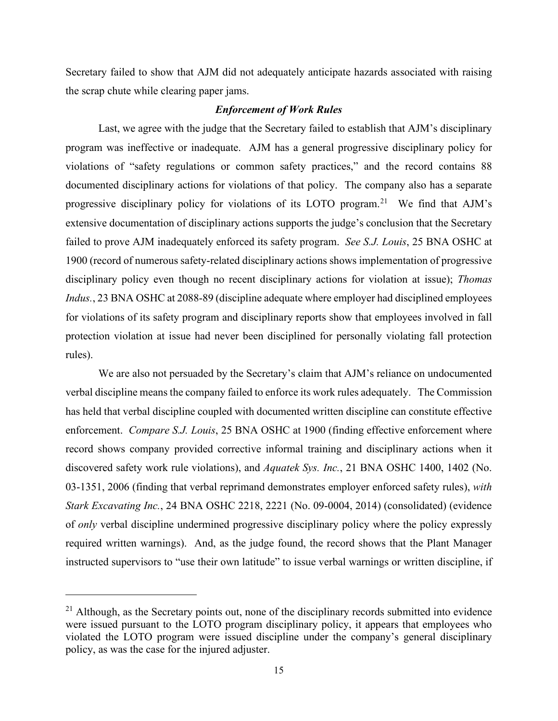Secretary failed to show that AJM did not adequately anticipate hazards associated with raising the scrap chute while clearing paper jams.

## *Enforcement of Work Rules*

Last, we agree with the judge that the Secretary failed to establish that AJM's disciplinary program was ineffective or inadequate. AJM has a general progressive disciplinary policy for violations of "safety regulations or common safety practices," and the record contains 88 documented disciplinary actions for violations of that policy. The company also has a separate progressive disciplinary policy for violations of its LOTO program.21 We find that AJM's extensive documentation of disciplinary actions supports the judge's conclusion that the Secretary failed to prove AJM inadequately enforced its safety program. *See S.J. Louis*, 25 BNA OSHC at 1900 (record of numerous safety-related disciplinary actions shows implementation of progressive disciplinary policy even though no recent disciplinary actions for violation at issue); *Thomas Indus.*, 23 BNA OSHC at 2088-89 (discipline adequate where employer had disciplined employees for violations of its safety program and disciplinary reports show that employees involved in fall protection violation at issue had never been disciplined for personally violating fall protection rules).

We are also not persuaded by the Secretary's claim that AJM's reliance on undocumented verbal discipline means the company failed to enforce its work rules adequately. The Commission has held that verbal discipline coupled with documented written discipline can constitute effective enforcement. *Compare S.J. Louis*, 25 BNA OSHC at 1900 (finding effective enforcement where record shows company provided corrective informal training and disciplinary actions when it discovered safety work rule violations), and *Aquatek Sys. Inc.*, 21 BNA OSHC 1400, 1402 (No. 03-1351, 2006 (finding that verbal reprimand demonstrates employer enforced safety rules), *with Stark Excavating Inc.*, 24 BNA OSHC 2218, 2221 (No. 09-0004, 2014) (consolidated) (evidence of *only* verbal discipline undermined progressive disciplinary policy where the policy expressly required written warnings). And, as the judge found, the record shows that the Plant Manager instructed supervisors to "use their own latitude" to issue verbal warnings or written discipline, if

 $21$  Although, as the Secretary points out, none of the disciplinary records submitted into evidence were issued pursuant to the LOTO program disciplinary policy, it appears that employees who violated the LOTO program were issued discipline under the company's general disciplinary policy, as was the case for the injured adjuster.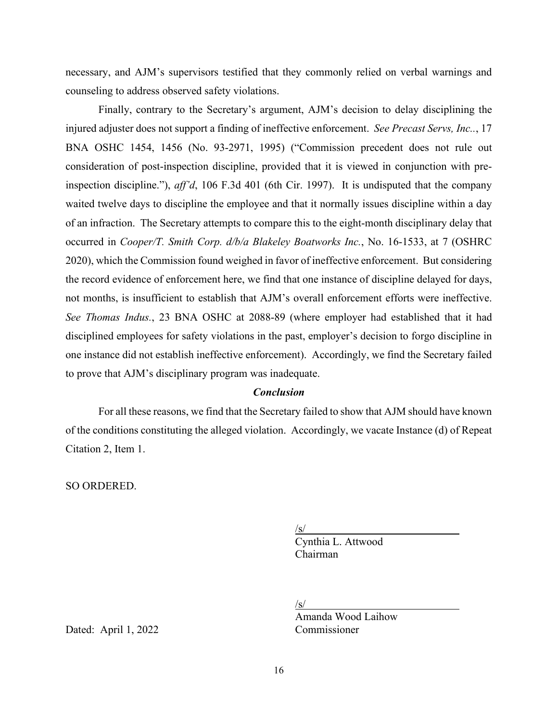necessary, and AJM's supervisors testified that they commonly relied on verbal warnings and counseling to address observed safety violations.

Finally, contrary to the Secretary's argument, AJM's decision to delay disciplining the injured adjuster does not support a finding of ineffective enforcement. *See Precast Servs, Inc..*, 17 BNA OSHC 1454, 1456 (No. 93-2971, 1995) ("Commission precedent does not rule out consideration of post-inspection discipline, provided that it is viewed in conjunction with preinspection discipline."), *aff'd*, 106 F.3d 401 (6th Cir. 1997). It is undisputed that the company waited twelve days to discipline the employee and that it normally issues discipline within a day of an infraction. The Secretary attempts to compare this to the eight-month disciplinary delay that occurred in *Cooper/T. Smith Corp. d/b/a Blakeley Boatworks Inc.*, No. 16-1533, at 7 (OSHRC 2020), which the Commission found weighed in favor of ineffective enforcement. But considering the record evidence of enforcement here, we find that one instance of discipline delayed for days, not months, is insufficient to establish that AJM's overall enforcement efforts were ineffective. *See Thomas Indus.*, 23 BNA OSHC at 2088-89 (where employer had established that it had disciplined employees for safety violations in the past, employer's decision to forgo discipline in one instance did not establish ineffective enforcement). Accordingly, we find the Secretary failed to prove that AJM's disciplinary program was inadequate.

## *Conclusion*

For all these reasons, we find that the Secretary failed to show that AJM should have known of the conditions constituting the alleged violation. Accordingly, we vacate Instance (d) of Repeat Citation 2, Item 1.

SO ORDERED.

 $\sqrt{s/2}$ 

 Cynthia L. Attwood Chairman

 $\sqrt{s/2}$ 

Amanda Wood Laihow

Dated: April 1, 2022 Commissioner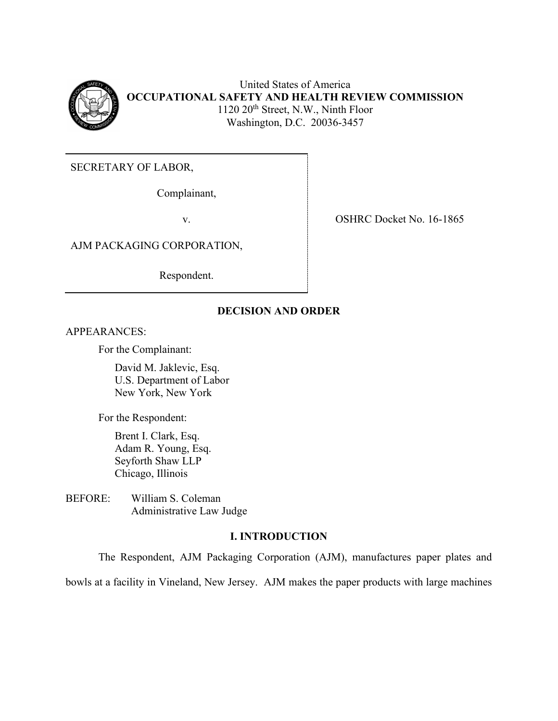

United States of America **OCCUPATIONAL SAFETY AND HEALTH REVIEW COMMISSION** 1120 20<sup>th</sup> Street, N.W., Ninth Floor Washington, D.C. 20036-3457

SECRETARY OF LABOR,

Complainant,

AJM PACKAGING CORPORATION,

Respondent.

v. SHRC Docket No. 16-1865

## **DECISION AND ORDER**

APPEARANCES:

For the Complainant:

David M. Jaklevic, Esq. U.S. Department of Labor New York, New York

For the Respondent:

Brent I. Clark, Esq. Adam R. Young, Esq. Seyforth Shaw LLP Chicago, Illinois

BEFORE: William S. Coleman Administrative Law Judge

## **I. INTRODUCTION**

The Respondent, AJM Packaging Corporation (AJM), manufactures paper plates and

bowls at a facility in Vineland, New Jersey. AJM makes the paper products with large machines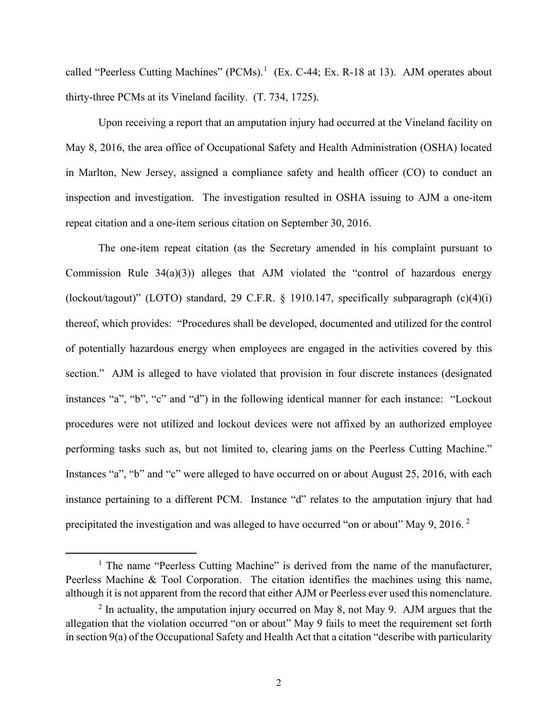called "Peerless Cutting Machines" (PCMs).<sup>1</sup> (Ex. C-44; Ex. R-18 at 13). AJM operates about thirty-three PCMs at its Vineland facility. (T. 734, 1725).

Upon receiving a report that an amputation injury had occurred at the Vineland facility on May 8, 2016, the area office of Occupational Safety and Health Administration (OSHA) located in Marlton, New Jersey, assigned a compliance safety and health officer (CO) to conduct an inspection and investigation. The investigation resulted in OSHA issuing to AJM a one-item repeat citation and a one-item serious citation on September 30, 2016.

The one-item repeat citation (as the Secretary amended in his complaint pursuant to Commission Rule  $34(a)(3)$ ) alleges that AJM violated the "control of hazardous energy (lockout/tagout)" (LOTO) standard, 29 C.F.R. § 1910.147, specifically subparagraph (c)(4)(i) thereof, which provides: "Procedures shall be developed, documented and utilized for the control of potentially hazardous energy when employees are engaged in the activities covered by this section." AJM is alleged to have violated that provision in four discrete instances (designated instances "a", "b", "c" and "d") in the following identical manner for each instance: "Lockout procedures were not utilized and lockout devices were not affixed by an authorized employee performing tasks such as, but not limited to, clearing jams on the Peerless Cutting Machine." Instances "a", "b" and "c" were alleged to have occurred on or about August 25, 2016, with each instance pertaining to a different PCM. Instance "d" relates to the amputation injury that had precipitated the investigation and was alleged to have occurred "on or about" May 9, 2016. <sup>2</sup>

<sup>&</sup>lt;sup>1</sup> The name "Peerless Cutting Machine" is derived from the name of the manufacturer, Peerless Machine & Tool Corporation. The citation identifies the machines using this name, although it is not apparent from the record that either AJM or Peerless ever used this nomenclature.

 $2$  In actuality, the amputation injury occurred on May 8, not May 9. AJM argues that the allegation that the violation occurred "on or about" May 9 fails to meet the requirement set forth in section 9(a) of the Occupational Safety and Health Act that a citation "describe with particularity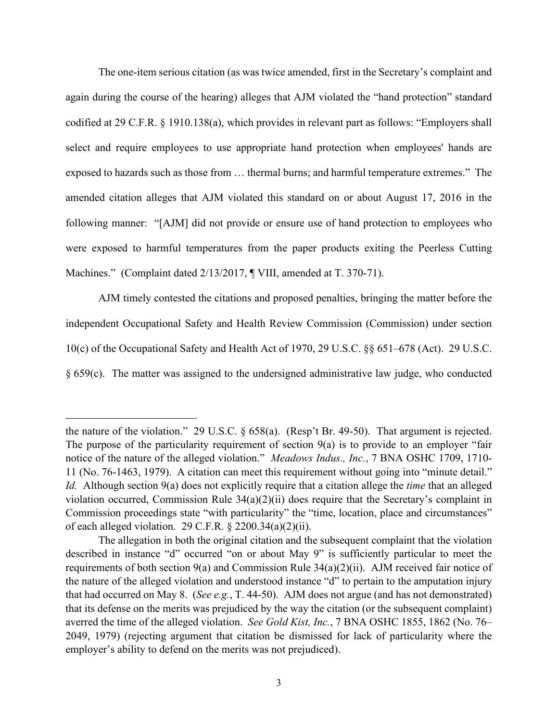The one-item serious citation (as was twice amended, first in the Secretary's complaint and again during the course of the hearing) alleges that AJM violated the "hand protection" standard codified at 29 C.F.R. § 1910.138(a), which provides in relevant part as follows: "Employers shall select and require employees to use appropriate hand protection when employees' hands are exposed to hazards such as those from … thermal burns; and harmful temperature extremes." The amended citation alleges that AJM violated this standard on or about August 17, 2016 in the following manner: "[AJM] did not provide or ensure use of hand protection to employees who were exposed to harmful temperatures from the paper products exiting the Peerless Cutting Machines." (Complaint dated 2/13/2017, ¶ VIII, amended at T. 370-71).

AJM timely contested the citations and proposed penalties, bringing the matter before the independent Occupational Safety and Health Review Commission (Commission) under section 10(c) of the Occupational Safety and Health Act of 1970, 29 U.S.C. §§ 651–678 (Act). 29 U.S.C. § 659(c). The matter was assigned to the undersigned administrative law judge, who conducted

the nature of the violation." 29 U.S.C. § 658(a). (Resp't Br. 49-50). That argument is rejected. The purpose of the particularity requirement of section 9(a) is to provide to an employer "fair notice of the nature of the alleged violation." *Meadows Indus., Inc.*, 7 BNA OSHC 1709, 1710- 11 (No. 76-1463, 1979). A citation can meet this requirement without going into "minute detail." *Id.* Although section 9(a) does not explicitly require that a citation allege the *time* that an alleged violation occurred, Commission Rule 34(a)(2)(ii) does require that the Secretary's complaint in Commission proceedings state "with particularity" the "time, location, place and circumstances" of each alleged violation. 29 C.F.R.  $\S$  2200.34(a)(2)(ii).

The allegation in both the original citation and the subsequent complaint that the violation described in instance "d" occurred "on or about May 9" is sufficiently particular to meet the requirements of both section 9(a) and Commission Rule 34(a)(2)(ii). AJM received fair notice of the nature of the alleged violation and understood instance "d" to pertain to the amputation injury that had occurred on May 8. (*See e.g.*, T. 44-50). AJM does not argue (and has not demonstrated) that its defense on the merits was prejudiced by the way the citation (or the subsequent complaint) averred the time of the alleged violation. *See Gold Kist, Inc.*, 7 BNA OSHC 1855, 1862 (No. 76– 2049, 1979) (rejecting argument that citation be dismissed for lack of particularity where the employer's ability to defend on the merits was not prejudiced).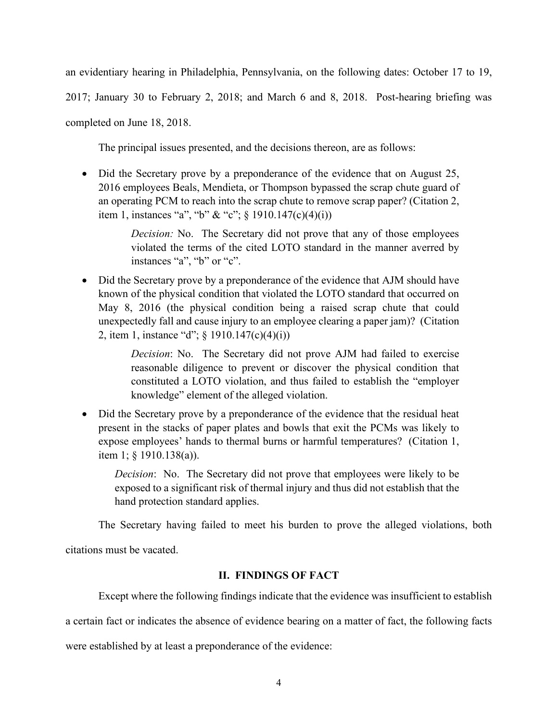an evidentiary hearing in Philadelphia, Pennsylvania, on the following dates: October 17 to 19,

2017; January 30 to February 2, 2018; and March 6 and 8, 2018. Post-hearing briefing was

completed on June 18, 2018.

The principal issues presented, and the decisions thereon, are as follows:

• Did the Secretary prove by a preponderance of the evidence that on August 25, 2016 employees Beals, Mendieta, or Thompson bypassed the scrap chute guard of an operating PCM to reach into the scrap chute to remove scrap paper? (Citation 2, item 1, instances "a", "b" & "c";  $\S$  1910.147(c)(4)(i))

> *Decision:* No. The Secretary did not prove that any of those employees violated the terms of the cited LOTO standard in the manner averred by instances "a", "b" or "c".

• Did the Secretary prove by a preponderance of the evidence that AJM should have known of the physical condition that violated the LOTO standard that occurred on May 8, 2016 (the physical condition being a raised scrap chute that could unexpectedly fall and cause injury to an employee clearing a paper jam)? (Citation 2, item 1, instance "d"; § 1910.147(c)(4)(i))

> *Decision*: No. The Secretary did not prove AJM had failed to exercise reasonable diligence to prevent or discover the physical condition that constituted a LOTO violation, and thus failed to establish the "employer knowledge" element of the alleged violation.

• Did the Secretary prove by a preponderance of the evidence that the residual heat present in the stacks of paper plates and bowls that exit the PCMs was likely to expose employees' hands to thermal burns or harmful temperatures? (Citation 1, item 1; § 1910.138(a)).

*Decision*: No. The Secretary did not prove that employees were likely to be exposed to a significant risk of thermal injury and thus did not establish that the hand protection standard applies.

The Secretary having failed to meet his burden to prove the alleged violations, both

citations must be vacated.

## **II. FINDINGS OF FACT**

Except where the following findings indicate that the evidence was insufficient to establish

a certain fact or indicates the absence of evidence bearing on a matter of fact, the following facts

were established by at least a preponderance of the evidence: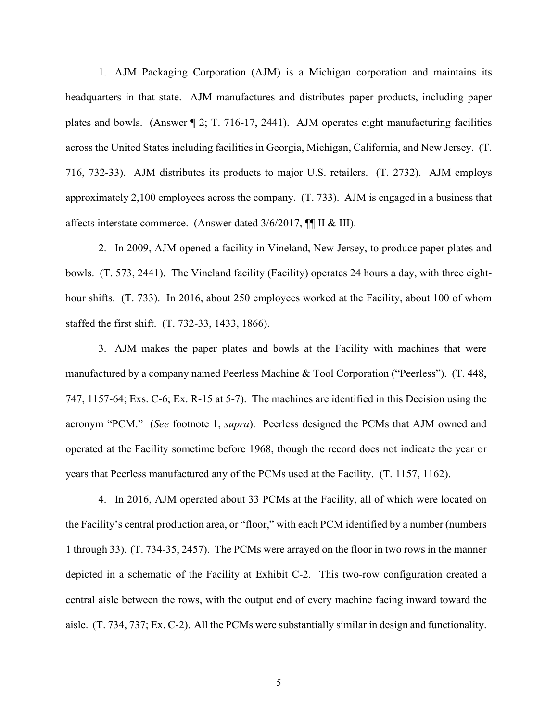1. AJM Packaging Corporation (AJM) is a Michigan corporation and maintains its headquarters in that state. AJM manufactures and distributes paper products, including paper plates and bowls. (Answer ¶ 2; T. 716-17, 2441). AJM operates eight manufacturing facilities across the United States including facilities in Georgia, Michigan, California, and New Jersey. (T. 716, 732-33). AJM distributes its products to major U.S. retailers. (T. 2732). AJM employs approximately 2,100 employees across the company. (T. 733). AJM is engaged in a business that affects interstate commerce. (Answer dated 3/6/2017, ¶¶ II & III).

2. In 2009, AJM opened a facility in Vineland, New Jersey, to produce paper plates and bowls. (T. 573, 2441). The Vineland facility (Facility) operates 24 hours a day, with three eighthour shifts. (T. 733). In 2016, about 250 employees worked at the Facility, about 100 of whom staffed the first shift. (T. 732-33, 1433, 1866).

3. AJM makes the paper plates and bowls at the Facility with machines that were manufactured by a company named Peerless Machine & Tool Corporation ("Peerless"). (T. 448, 747, 1157-64; Exs. C-6; Ex. R-15 at 5-7). The machines are identified in this Decision using the acronym "PCM." (*See* footnote 1, *supra*). Peerless designed the PCMs that AJM owned and operated at the Facility sometime before 1968, though the record does not indicate the year or years that Peerless manufactured any of the PCMs used at the Facility. (T. 1157, 1162).

4. In 2016, AJM operated about 33 PCMs at the Facility, all of which were located on the Facility's central production area, or "floor," with each PCM identified by a number (numbers 1 through 33). (T. 734-35, 2457). The PCMs were arrayed on the floor in two rows in the manner depicted in a schematic of the Facility at Exhibit C-2. This two-row configuration created a central aisle between the rows, with the output end of every machine facing inward toward the aisle. (T. 734, 737; Ex. C-2). All the PCMs were substantially similar in design and functionality.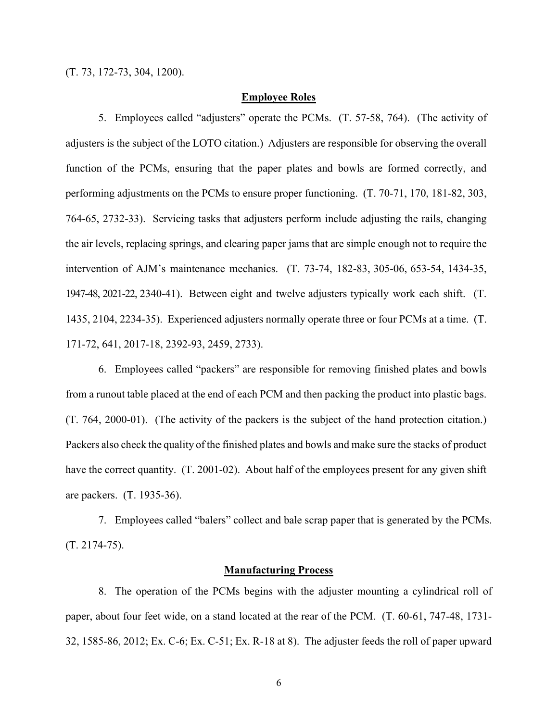### **Employee Roles**

5. Employees called "adjusters" operate the PCMs. (T. 57-58, 764). (The activity of adjusters is the subject of the LOTO citation.) Adjusters are responsible for observing the overall function of the PCMs, ensuring that the paper plates and bowls are formed correctly, and performing adjustments on the PCMs to ensure proper functioning. (T. 70-71, 170, 181-82, 303, 764-65, 2732-33). Servicing tasks that adjusters perform include adjusting the rails, changing the air levels, replacing springs, and clearing paper jams that are simple enough not to require the intervention of AJM's maintenance mechanics. (T. 73-74, 182-83, 305-06, 653-54, 1434-35, 1947-48, 2021-22, 2340-41). Between eight and twelve adjusters typically work each shift. (T. 1435, 2104, 2234-35). Experienced adjusters normally operate three or four PCMs at a time. (T. 171-72, 641, 2017-18, 2392-93, 2459, 2733).

6. Employees called "packers" are responsible for removing finished plates and bowls from a runout table placed at the end of each PCM and then packing the product into plastic bags. (T. 764, 2000-01). (The activity of the packers is the subject of the hand protection citation.) Packers also check the quality of the finished plates and bowls and make sure the stacks of product have the correct quantity. (T. 2001-02). About half of the employees present for any given shift are packers. (T. 1935-36).

7. Employees called "balers" collect and bale scrap paper that is generated by the PCMs. (T. 2174-75).

## **Manufacturing Process**

8. The operation of the PCMs begins with the adjuster mounting a cylindrical roll of paper, about four feet wide, on a stand located at the rear of the PCM. (T. 60-61, 747-48, 1731- 32, 1585-86, 2012; Ex. C-6; Ex. C-51; Ex. R-18 at 8). The adjuster feeds the roll of paper upward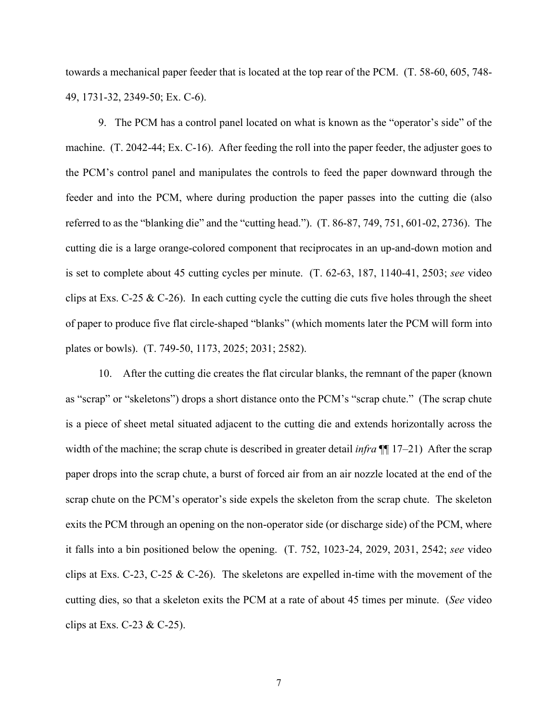towards a mechanical paper feeder that is located at the top rear of the PCM. (T. 58-60, 605, 748- 49, 1731-32, 2349-50; Ex. C-6).

9. The PCM has a control panel located on what is known as the "operator's side" of the machine. (T. 2042-44; Ex. C-16). After feeding the roll into the paper feeder, the adjuster goes to the PCM's control panel and manipulates the controls to feed the paper downward through the feeder and into the PCM, where during production the paper passes into the cutting die (also referred to as the "blanking die" and the "cutting head."). (T. 86-87, 749, 751, 601-02, 2736). The cutting die is a large orange-colored component that reciprocates in an up-and-down motion and is set to complete about 45 cutting cycles per minute. (T. 62-63, 187, 1140-41, 2503; *see* video clips at Exs. C-25  $\&$  C-26). In each cutting cycle the cutting die cuts five holes through the sheet of paper to produce five flat circle-shaped "blanks" (which moments later the PCM will form into plates or bowls). (T. 749-50, 1173, 2025; 2031; 2582).

10. After the cutting die creates the flat circular blanks, the remnant of the paper (known as "scrap" or "skeletons") drops a short distance onto the PCM's "scrap chute." (The scrap chute is a piece of sheet metal situated adjacent to the cutting die and extends horizontally across the width of the machine; the scrap chute is described in greater detail *infra* [[1] 17–21) After the scrap paper drops into the scrap chute, a burst of forced air from an air nozzle located at the end of the scrap chute on the PCM's operator's side expels the skeleton from the scrap chute. The skeleton exits the PCM through an opening on the non-operator side (or discharge side) of the PCM, where it falls into a bin positioned below the opening. (T. 752, 1023-24, 2029, 2031, 2542; *see* video clips at Exs. C-23, C-25 & C-26). The skeletons are expelled in-time with the movement of the cutting dies, so that a skeleton exits the PCM at a rate of about 45 times per minute. (*See* video clips at Exs. C-23 & C-25).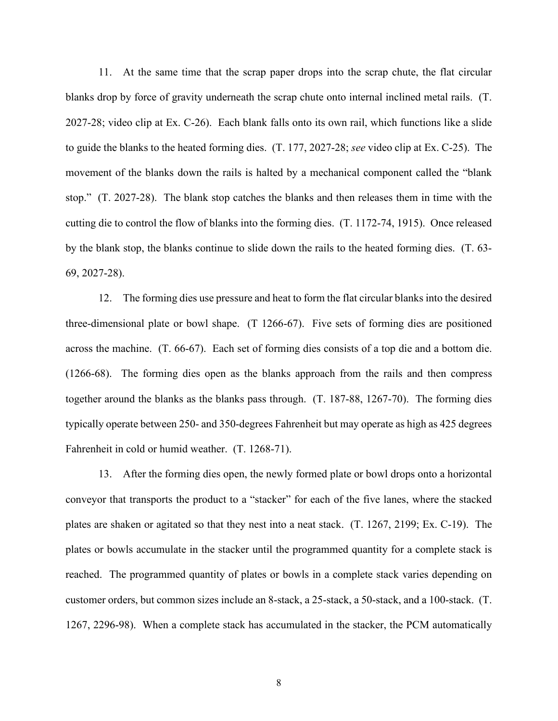11. At the same time that the scrap paper drops into the scrap chute, the flat circular blanks drop by force of gravity underneath the scrap chute onto internal inclined metal rails. (T. 2027-28; video clip at Ex. C-26). Each blank falls onto its own rail, which functions like a slide to guide the blanks to the heated forming dies. (T. 177, 2027-28; *see* video clip at Ex. C-25). The movement of the blanks down the rails is halted by a mechanical component called the "blank stop." (T. 2027-28). The blank stop catches the blanks and then releases them in time with the cutting die to control the flow of blanks into the forming dies. (T. 1172-74, 1915). Once released by the blank stop, the blanks continue to slide down the rails to the heated forming dies. (T. 63- 69, 2027-28).

12. The forming dies use pressure and heat to form the flat circular blanks into the desired three-dimensional plate or bowl shape. (T 1266-67). Five sets of forming dies are positioned across the machine. (T. 66-67). Each set of forming dies consists of a top die and a bottom die. (1266-68). The forming dies open as the blanks approach from the rails and then compress together around the blanks as the blanks pass through. (T. 187-88, 1267-70). The forming dies typically operate between 250- and 350-degrees Fahrenheit but may operate as high as 425 degrees Fahrenheit in cold or humid weather. (T. 1268-71).

13. After the forming dies open, the newly formed plate or bowl drops onto a horizontal conveyor that transports the product to a "stacker" for each of the five lanes, where the stacked plates are shaken or agitated so that they nest into a neat stack. (T. 1267, 2199; Ex. C-19). The plates or bowls accumulate in the stacker until the programmed quantity for a complete stack is reached. The programmed quantity of plates or bowls in a complete stack varies depending on customer orders, but common sizes include an 8-stack, a 25-stack, a 50-stack, and a 100-stack. (T. 1267, 2296-98). When a complete stack has accumulated in the stacker, the PCM automatically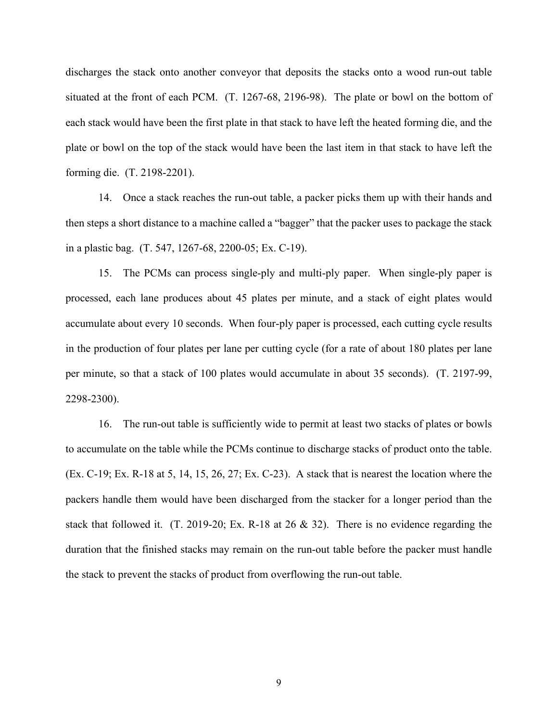discharges the stack onto another conveyor that deposits the stacks onto a wood run-out table situated at the front of each PCM. (T. 1267-68, 2196-98). The plate or bowl on the bottom of each stack would have been the first plate in that stack to have left the heated forming die, and the plate or bowl on the top of the stack would have been the last item in that stack to have left the forming die. (T. 2198-2201).

14. Once a stack reaches the run-out table, a packer picks them up with their hands and then steps a short distance to a machine called a "bagger" that the packer uses to package the stack in a plastic bag. (T. 547, 1267-68, 2200-05; Ex. C-19).

15. The PCMs can process single-ply and multi-ply paper. When single-ply paper is processed, each lane produces about 45 plates per minute, and a stack of eight plates would accumulate about every 10 seconds. When four-ply paper is processed, each cutting cycle results in the production of four plates per lane per cutting cycle (for a rate of about 180 plates per lane per minute, so that a stack of 100 plates would accumulate in about 35 seconds). (T. 2197-99, 2298-2300).

16. The run-out table is sufficiently wide to permit at least two stacks of plates or bowls to accumulate on the table while the PCMs continue to discharge stacks of product onto the table. (Ex. C-19; Ex. R-18 at 5, 14, 15, 26, 27; Ex. C-23). A stack that is nearest the location where the packers handle them would have been discharged from the stacker for a longer period than the stack that followed it. (T. 2019-20; Ex. R-18 at 26 & 32). There is no evidence regarding the duration that the finished stacks may remain on the run-out table before the packer must handle the stack to prevent the stacks of product from overflowing the run-out table.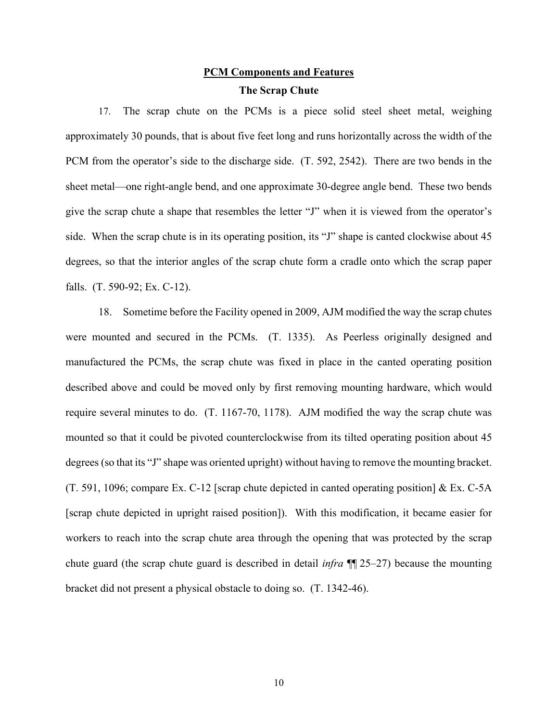# **PCM Components and Features The Scrap Chute**

17. The scrap chute on the PCMs is a piece solid steel sheet metal, weighing approximately 30 pounds, that is about five feet long and runs horizontally across the width of the PCM from the operator's side to the discharge side. (T. 592, 2542). There are two bends in the sheet metal—one right-angle bend, and one approximate 30-degree angle bend. These two bends give the scrap chute a shape that resembles the letter "J" when it is viewed from the operator's side. When the scrap chute is in its operating position, its "J" shape is canted clockwise about 45 degrees, so that the interior angles of the scrap chute form a cradle onto which the scrap paper falls. (T. 590-92; Ex. C-12).

18. Sometime before the Facility opened in 2009, AJM modified the way the scrap chutes were mounted and secured in the PCMs. (T. 1335). As Peerless originally designed and manufactured the PCMs, the scrap chute was fixed in place in the canted operating position described above and could be moved only by first removing mounting hardware, which would require several minutes to do. (T. 1167-70, 1178). AJM modified the way the scrap chute was mounted so that it could be pivoted counterclockwise from its tilted operating position about 45 degrees (so that its "J" shape was oriented upright) without having to remove the mounting bracket. (T. 591, 1096; compare Ex. C-12 [scrap chute depicted in canted operating position] & Ex. C-5A [scrap chute depicted in upright raised position]). With this modification, it became easier for workers to reach into the scrap chute area through the opening that was protected by the scrap chute guard (the scrap chute guard is described in detail *infra* ¶¶ 25–27) because the mounting bracket did not present a physical obstacle to doing so. (T. 1342-46).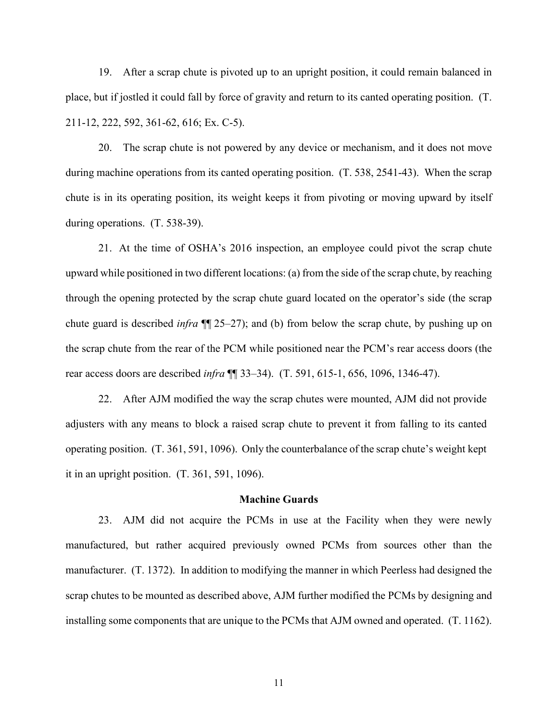19. After a scrap chute is pivoted up to an upright position, it could remain balanced in place, but if jostled it could fall by force of gravity and return to its canted operating position. (T. 211-12, 222, 592, 361-62, 616; Ex. C-5).

20. The scrap chute is not powered by any device or mechanism, and it does not move during machine operations from its canted operating position. (T. 538, 2541-43). When the scrap chute is in its operating position, its weight keeps it from pivoting or moving upward by itself during operations. (T. 538-39).

21. At the time of OSHA's 2016 inspection, an employee could pivot the scrap chute upward while positioned in two different locations: (a) from the side of the scrap chute, by reaching through the opening protected by the scrap chute guard located on the operator's side (the scrap chute guard is described *infra* ¶¶ 25–27); and (b) from below the scrap chute, by pushing up on the scrap chute from the rear of the PCM while positioned near the PCM's rear access doors (the rear access doors are described *infra* ¶¶ 33–34). (T. 591, 615-1, 656, 1096, 1346-47).

22. After AJM modified the way the scrap chutes were mounted, AJM did not provide adjusters with any means to block a raised scrap chute to prevent it from falling to its canted operating position. (T. 361, 591, 1096). Only the counterbalance of the scrap chute's weight kept it in an upright position. (T. 361, 591, 1096).

## **Machine Guards**

23. AJM did not acquire the PCMs in use at the Facility when they were newly manufactured, but rather acquired previously owned PCMs from sources other than the manufacturer. (T. 1372). In addition to modifying the manner in which Peerless had designed the scrap chutes to be mounted as described above, AJM further modified the PCMs by designing and installing some components that are unique to the PCMs that AJM owned and operated. (T. 1162).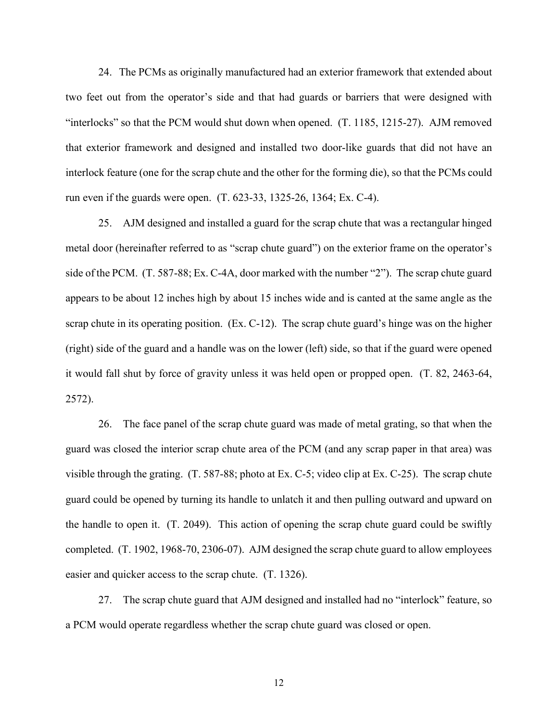24. The PCMs as originally manufactured had an exterior framework that extended about two feet out from the operator's side and that had guards or barriers that were designed with "interlocks" so that the PCM would shut down when opened. (T. 1185, 1215-27). AJM removed that exterior framework and designed and installed two door-like guards that did not have an interlock feature (one for the scrap chute and the other for the forming die), so that the PCMs could run even if the guards were open. (T. 623-33, 1325-26, 1364; Ex. C-4).

25. AJM designed and installed a guard for the scrap chute that was a rectangular hinged metal door (hereinafter referred to as "scrap chute guard") on the exterior frame on the operator's side of the PCM. (T. 587-88; Ex. C-4A, door marked with the number "2"). The scrap chute guard appears to be about 12 inches high by about 15 inches wide and is canted at the same angle as the scrap chute in its operating position. (Ex. C-12). The scrap chute guard's hinge was on the higher (right) side of the guard and a handle was on the lower (left) side, so that if the guard were opened it would fall shut by force of gravity unless it was held open or propped open. (T. 82, 2463-64, 2572).

26. The face panel of the scrap chute guard was made of metal grating, so that when the guard was closed the interior scrap chute area of the PCM (and any scrap paper in that area) was visible through the grating. (T. 587-88; photo at Ex. C-5; video clip at Ex. C-25). The scrap chute guard could be opened by turning its handle to unlatch it and then pulling outward and upward on the handle to open it. (T. 2049). This action of opening the scrap chute guard could be swiftly completed. (T. 1902, 1968-70, 2306-07). AJM designed the scrap chute guard to allow employees easier and quicker access to the scrap chute. (T. 1326).

27. The scrap chute guard that AJM designed and installed had no "interlock" feature, so a PCM would operate regardless whether the scrap chute guard was closed or open.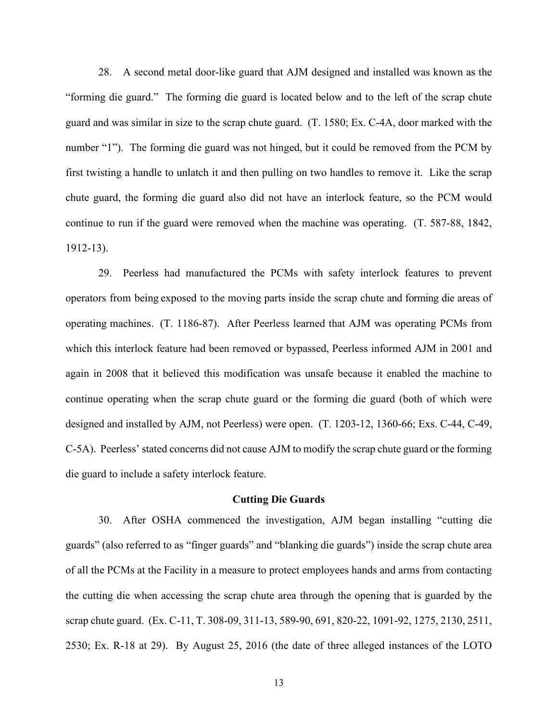28. A second metal door-like guard that AJM designed and installed was known as the "forming die guard." The forming die guard is located below and to the left of the scrap chute guard and was similar in size to the scrap chute guard. (T. 1580; Ex. C-4A, door marked with the number "1"). The forming die guard was not hinged, but it could be removed from the PCM by first twisting a handle to unlatch it and then pulling on two handles to remove it. Like the scrap chute guard, the forming die guard also did not have an interlock feature, so the PCM would continue to run if the guard were removed when the machine was operating. (T. 587-88, 1842, 1912-13).

29. Peerless had manufactured the PCMs with safety interlock features to prevent operators from being exposed to the moving parts inside the scrap chute and forming die areas of operating machines. (T. 1186-87). After Peerless learned that AJM was operating PCMs from which this interlock feature had been removed or bypassed, Peerless informed AJM in 2001 and again in 2008 that it believed this modification was unsafe because it enabled the machine to continue operating when the scrap chute guard or the forming die guard (both of which were designed and installed by AJM, not Peerless) were open. (T. 1203-12, 1360-66; Exs. C-44, C-49, C-5A). Peerless' stated concerns did not cause AJM to modify the scrap chute guard or the forming die guard to include a safety interlock feature.

#### **Cutting Die Guards**

30. After OSHA commenced the investigation, AJM began installing "cutting die guards" (also referred to as "finger guards" and "blanking die guards") inside the scrap chute area of all the PCMs at the Facility in a measure to protect employees hands and arms from contacting the cutting die when accessing the scrap chute area through the opening that is guarded by the scrap chute guard. (Ex. C-11, T. 308-09, 311-13, 589-90, 691, 820-22, 1091-92, 1275, 2130, 2511, 2530; Ex. R-18 at 29). By August 25, 2016 (the date of three alleged instances of the LOTO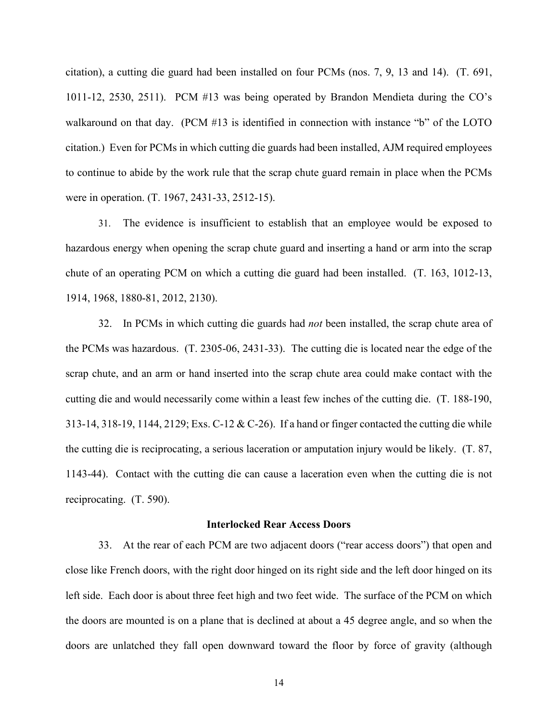citation), a cutting die guard had been installed on four PCMs (nos. 7, 9, 13 and 14). (T. 691, 1011-12, 2530, 2511). PCM #13 was being operated by Brandon Mendieta during the CO's walkaround on that day. (PCM #13 is identified in connection with instance "b" of the LOTO citation.) Even for PCMs in which cutting die guards had been installed, AJM required employees to continue to abide by the work rule that the scrap chute guard remain in place when the PCMs were in operation. (T. 1967, 2431-33, 2512-15).

31. The evidence is insufficient to establish that an employee would be exposed to hazardous energy when opening the scrap chute guard and inserting a hand or arm into the scrap chute of an operating PCM on which a cutting die guard had been installed. (T. 163, 1012-13, 1914, 1968, 1880-81, 2012, 2130).

32. In PCMs in which cutting die guards had *not* been installed, the scrap chute area of the PCMs was hazardous. (T. 2305-06, 2431-33). The cutting die is located near the edge of the scrap chute, and an arm or hand inserted into the scrap chute area could make contact with the cutting die and would necessarily come within a least few inches of the cutting die. (T. 188-190, 313-14, 318-19, 1144, 2129; Exs. C-12 & C-26). If a hand or finger contacted the cutting die while the cutting die is reciprocating, a serious laceration or amputation injury would be likely. (T. 87, 1143-44). Contact with the cutting die can cause a laceration even when the cutting die is not reciprocating. (T. 590).

#### **Interlocked Rear Access Doors**

33. At the rear of each PCM are two adjacent doors ("rear access doors") that open and close like French doors, with the right door hinged on its right side and the left door hinged on its left side. Each door is about three feet high and two feet wide. The surface of the PCM on which the doors are mounted is on a plane that is declined at about a 45 degree angle, and so when the doors are unlatched they fall open downward toward the floor by force of gravity (although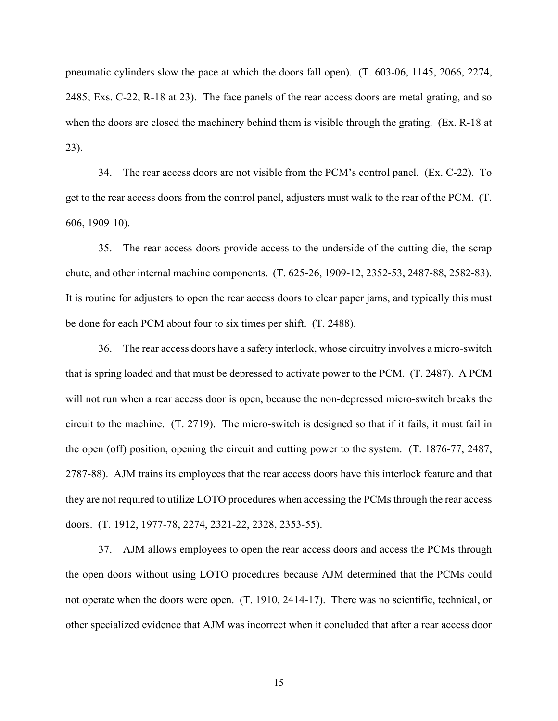pneumatic cylinders slow the pace at which the doors fall open). (T. 603-06, 1145, 2066, 2274, 2485; Exs. C-22, R-18 at 23). The face panels of the rear access doors are metal grating, and so when the doors are closed the machinery behind them is visible through the grating. (Ex. R-18 at 23).

34. The rear access doors are not visible from the PCM's control panel. (Ex. C-22). To get to the rear access doors from the control panel, adjusters must walk to the rear of the PCM. (T. 606, 1909-10).

35. The rear access doors provide access to the underside of the cutting die, the scrap chute, and other internal machine components. (T. 625-26, 1909-12, 2352-53, 2487-88, 2582-83). It is routine for adjusters to open the rear access doors to clear paper jams, and typically this must be done for each PCM about four to six times per shift. (T. 2488).

36. The rear access doors have a safety interlock, whose circuitry involves a micro-switch that is spring loaded and that must be depressed to activate power to the PCM. (T. 2487). A PCM will not run when a rear access door is open, because the non-depressed micro-switch breaks the circuit to the machine. (T. 2719). The micro-switch is designed so that if it fails, it must fail in the open (off) position, opening the circuit and cutting power to the system. (T. 1876-77, 2487, 2787-88). AJM trains its employees that the rear access doors have this interlock feature and that they are not required to utilize LOTO procedures when accessing the PCMs through the rear access doors. (T. 1912, 1977-78, 2274, 2321-22, 2328, 2353-55).

37. AJM allows employees to open the rear access doors and access the PCMs through the open doors without using LOTO procedures because AJM determined that the PCMs could not operate when the doors were open. (T. 1910, 2414-17). There was no scientific, technical, or other specialized evidence that AJM was incorrect when it concluded that after a rear access door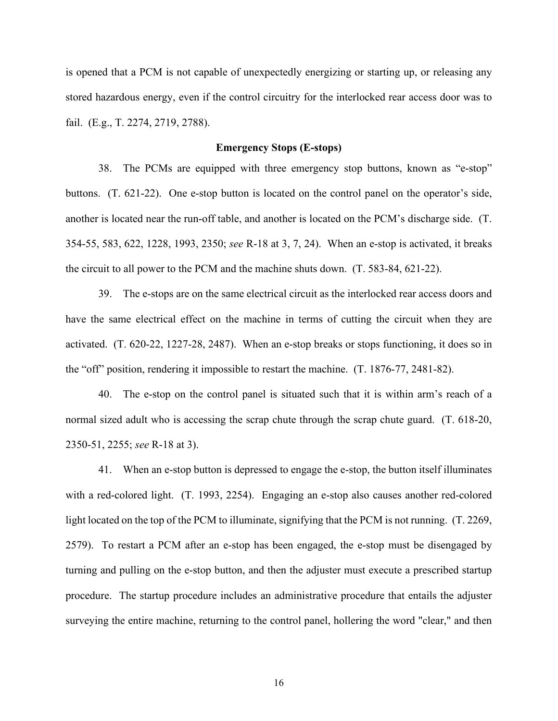is opened that a PCM is not capable of unexpectedly energizing or starting up, or releasing any stored hazardous energy, even if the control circuitry for the interlocked rear access door was to fail. (E.g., T. 2274, 2719, 2788).

## **Emergency Stops (E-stops)**

38. The PCMs are equipped with three emergency stop buttons, known as "e-stop" buttons. (T. 621-22). One e-stop button is located on the control panel on the operator's side, another is located near the run-off table, and another is located on the PCM's discharge side. (T. 354-55, 583, 622, 1228, 1993, 2350; *see* R-18 at 3, 7, 24). When an e-stop is activated, it breaks the circuit to all power to the PCM and the machine shuts down. (T. 583-84, 621-22).

39. The e-stops are on the same electrical circuit as the interlocked rear access doors and have the same electrical effect on the machine in terms of cutting the circuit when they are activated. (T. 620-22, 1227-28, 2487). When an e-stop breaks or stops functioning, it does so in the "off" position, rendering it impossible to restart the machine. (T. 1876-77, 2481-82).

40. The e-stop on the control panel is situated such that it is within arm's reach of a normal sized adult who is accessing the scrap chute through the scrap chute guard. (T. 618-20, 2350-51, 2255; *see* R-18 at 3).

41. When an e-stop button is depressed to engage the e-stop, the button itself illuminates with a red-colored light. (T. 1993, 2254). Engaging an e-stop also causes another red-colored light located on the top of the PCM to illuminate, signifying that the PCM is not running. (T. 2269, 2579). To restart a PCM after an e-stop has been engaged, the e-stop must be disengaged by turning and pulling on the e-stop button, and then the adjuster must execute a prescribed startup procedure. The startup procedure includes an administrative procedure that entails the adjuster surveying the entire machine, returning to the control panel, hollering the word "clear," and then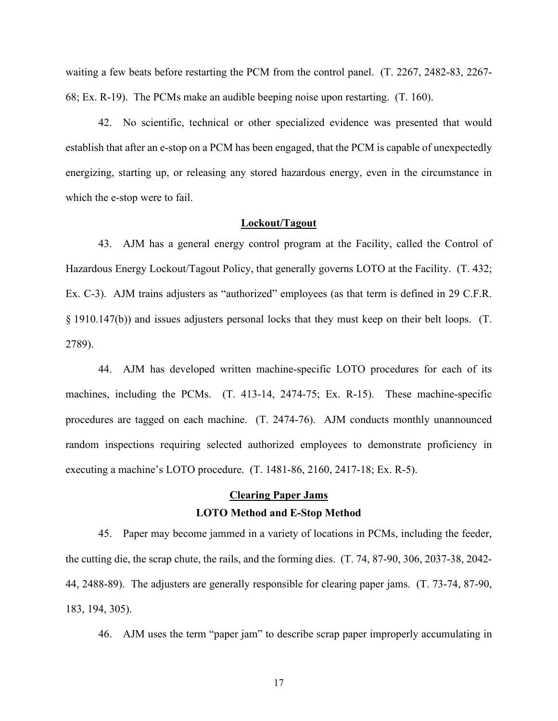waiting a few beats before restarting the PCM from the control panel. (T. 2267, 2482-83, 2267- 68; Ex. R-19). The PCMs make an audible beeping noise upon restarting. (T. 160).

42. No scientific, technical or other specialized evidence was presented that would establish that after an e-stop on a PCM has been engaged, that the PCM is capable of unexpectedly energizing, starting up, or releasing any stored hazardous energy, even in the circumstance in which the e-stop were to fail.

#### **Lockout/Tagout**

43. AJM has a general energy control program at the Facility, called the Control of Hazardous Energy Lockout/Tagout Policy, that generally governs LOTO at the Facility. (T. 432; Ex. C-3). AJM trains adjusters as "authorized" employees (as that term is defined in 29 C.F.R. § 1910.147(b)) and issues adjusters personal locks that they must keep on their belt loops. (T. 2789).

44. AJM has developed written machine-specific LOTO procedures for each of its machines, including the PCMs. (T. 413-14, 2474-75; Ex. R-15). These machine-specific procedures are tagged on each machine. (T. 2474-76). AJM conducts monthly unannounced random inspections requiring selected authorized employees to demonstrate proficiency in executing a machine's LOTO procedure. (T. 1481-86, 2160, 2417-18; Ex. R-5).

## **Clearing Paper Jams LOTO Method and E-Stop Method**

45. Paper may become jammed in a variety of locations in PCMs, including the feeder, the cutting die, the scrap chute, the rails, and the forming dies. (T. 74, 87-90, 306, 2037-38, 2042- 44, 2488-89). The adjusters are generally responsible for clearing paper jams. (T. 73-74, 87-90, 183, 194, 305).

46. AJM uses the term "paper jam" to describe scrap paper improperly accumulating in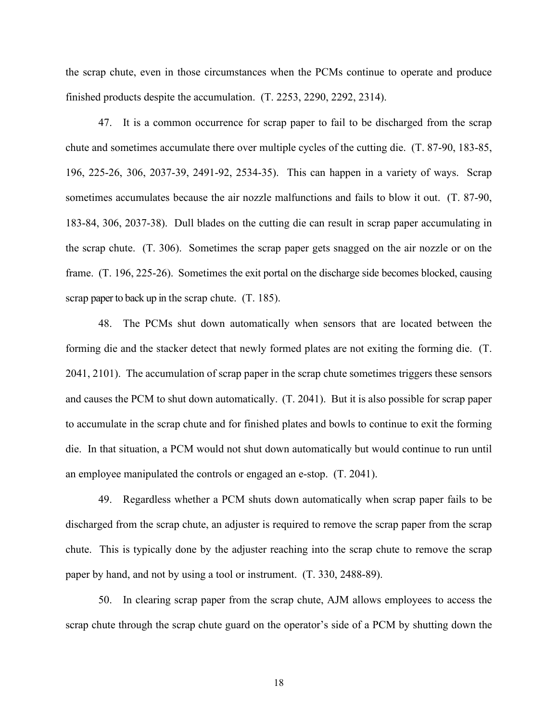the scrap chute, even in those circumstances when the PCMs continue to operate and produce finished products despite the accumulation. (T. 2253, 2290, 2292, 2314).

47. It is a common occurrence for scrap paper to fail to be discharged from the scrap chute and sometimes accumulate there over multiple cycles of the cutting die. (T. 87-90, 183-85, 196, 225-26, 306, 2037-39, 2491-92, 2534-35). This can happen in a variety of ways. Scrap sometimes accumulates because the air nozzle malfunctions and fails to blow it out. (T. 87-90, 183-84, 306, 2037-38). Dull blades on the cutting die can result in scrap paper accumulating in the scrap chute. (T. 306). Sometimes the scrap paper gets snagged on the air nozzle or on the frame. (T. 196, 225-26). Sometimes the exit portal on the discharge side becomes blocked, causing scrap paper to back up in the scrap chute. (T. 185).

48. The PCMs shut down automatically when sensors that are located between the forming die and the stacker detect that newly formed plates are not exiting the forming die. (T. 2041, 2101). The accumulation of scrap paper in the scrap chute sometimes triggers these sensors and causes the PCM to shut down automatically. (T. 2041). But it is also possible for scrap paper to accumulate in the scrap chute and for finished plates and bowls to continue to exit the forming die. In that situation, a PCM would not shut down automatically but would continue to run until an employee manipulated the controls or engaged an e-stop. (T. 2041).

49. Regardless whether a PCM shuts down automatically when scrap paper fails to be discharged from the scrap chute, an adjuster is required to remove the scrap paper from the scrap chute. This is typically done by the adjuster reaching into the scrap chute to remove the scrap paper by hand, and not by using a tool or instrument. (T. 330, 2488-89).

50. In clearing scrap paper from the scrap chute, AJM allows employees to access the scrap chute through the scrap chute guard on the operator's side of a PCM by shutting down the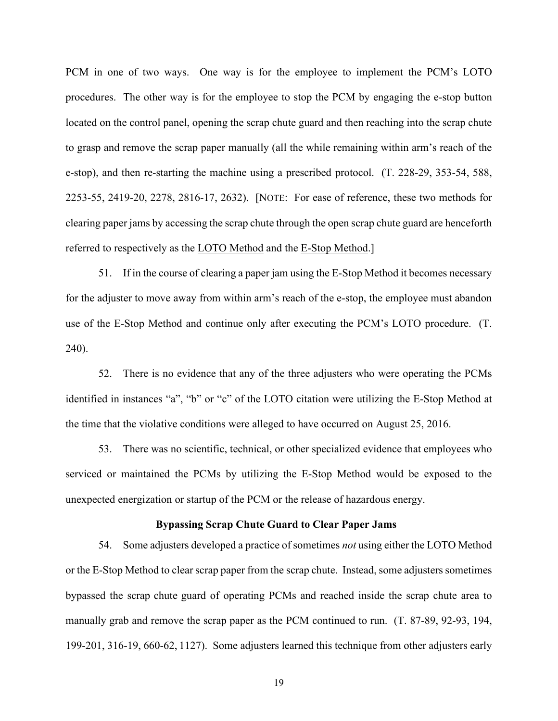PCM in one of two ways. One way is for the employee to implement the PCM's LOTO procedures. The other way is for the employee to stop the PCM by engaging the e-stop button located on the control panel, opening the scrap chute guard and then reaching into the scrap chute to grasp and remove the scrap paper manually (all the while remaining within arm's reach of the e-stop), and then re-starting the machine using a prescribed protocol. (T. 228-29, 353-54, 588, 2253-55, 2419-20, 2278, 2816-17, 2632). [NOTE: For ease of reference, these two methods for clearing paper jams by accessing the scrap chute through the open scrap chute guard are henceforth referred to respectively as the LOTO Method and the E-Stop Method.]

51. If in the course of clearing a paper jam using the E-Stop Method it becomes necessary for the adjuster to move away from within arm's reach of the e-stop, the employee must abandon use of the E-Stop Method and continue only after executing the PCM's LOTO procedure. (T. 240).

52. There is no evidence that any of the three adjusters who were operating the PCMs identified in instances "a", "b" or "c" of the LOTO citation were utilizing the E-Stop Method at the time that the violative conditions were alleged to have occurred on August 25, 2016.

53. There was no scientific, technical, or other specialized evidence that employees who serviced or maintained the PCMs by utilizing the E-Stop Method would be exposed to the unexpected energization or startup of the PCM or the release of hazardous energy.

#### **Bypassing Scrap Chute Guard to Clear Paper Jams**

54. Some adjusters developed a practice of sometimes *not* using either the LOTO Method or the E-Stop Method to clear scrap paper from the scrap chute. Instead, some adjusters sometimes bypassed the scrap chute guard of operating PCMs and reached inside the scrap chute area to manually grab and remove the scrap paper as the PCM continued to run. (T. 87-89, 92-93, 194, 199-201, 316-19, 660-62, 1127). Some adjusters learned this technique from other adjusters early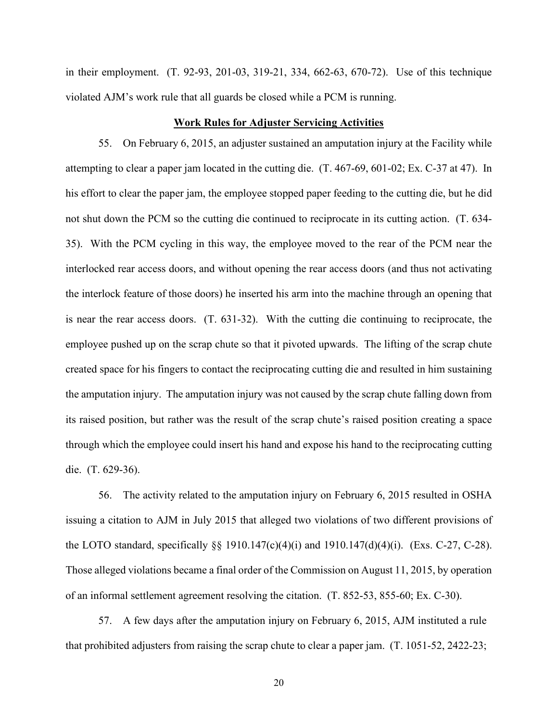in their employment. (T. 92-93, 201-03, 319-21, 334, 662-63, 670-72). Use of this technique violated AJM's work rule that all guards be closed while a PCM is running.

### **Work Rules for Adjuster Servicing Activities**

55. On February 6, 2015, an adjuster sustained an amputation injury at the Facility while attempting to clear a paper jam located in the cutting die. (T. 467-69, 601-02; Ex. C-37 at 47). In his effort to clear the paper jam, the employee stopped paper feeding to the cutting die, but he did not shut down the PCM so the cutting die continued to reciprocate in its cutting action. (T. 634- 35). With the PCM cycling in this way, the employee moved to the rear of the PCM near the interlocked rear access doors, and without opening the rear access doors (and thus not activating the interlock feature of those doors) he inserted his arm into the machine through an opening that is near the rear access doors. (T. 631-32). With the cutting die continuing to reciprocate, the employee pushed up on the scrap chute so that it pivoted upwards. The lifting of the scrap chute created space for his fingers to contact the reciprocating cutting die and resulted in him sustaining the amputation injury. The amputation injury was not caused by the scrap chute falling down from its raised position, but rather was the result of the scrap chute's raised position creating a space through which the employee could insert his hand and expose his hand to the reciprocating cutting die. (T. 629-36).

56. The activity related to the amputation injury on February 6, 2015 resulted in OSHA issuing a citation to AJM in July 2015 that alleged two violations of two different provisions of the LOTO standard, specifically §§ 1910.147(c)(4)(i) and 1910.147(d)(4)(i). (Exs. C-27, C-28). Those alleged violations became a final order of the Commission on August 11, 2015, by operation of an informal settlement agreement resolving the citation. (T. 852-53, 855-60; Ex. C-30).

57. A few days after the amputation injury on February 6, 2015, AJM instituted a rule that prohibited adjusters from raising the scrap chute to clear a paper jam. (T. 1051-52, 2422-23;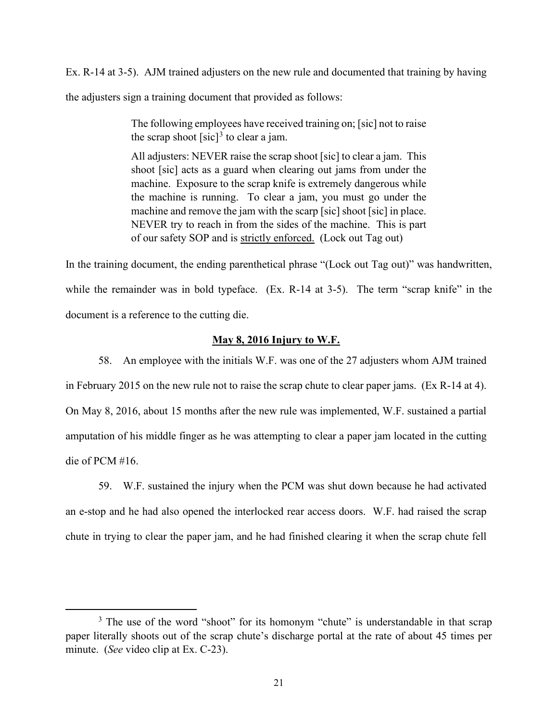Ex. R-14 at 3-5). AJM trained adjusters on the new rule and documented that training by having

the adjusters sign a training document that provided as follows:

The following employees have received training on; [sic] not to raise the scrap shoot  $[sic]<sup>3</sup>$  to clear a jam.

All adjusters: NEVER raise the scrap shoot [sic] to clear a jam. This shoot [sic] acts as a guard when clearing out jams from under the machine. Exposure to the scrap knife is extremely dangerous while the machine is running. To clear a jam, you must go under the machine and remove the jam with the scarp [sic] shoot [sic] in place. NEVER try to reach in from the sides of the machine. This is part of our safety SOP and is strictly enforced. (Lock out Tag out)

In the training document, the ending parenthetical phrase "(Lock out Tag out)" was handwritten, while the remainder was in bold typeface. (Ex. R-14 at 3-5). The term "scrap knife" in the document is a reference to the cutting die.

# **May 8, 2016 Injury to W.F.**

58. An employee with the initials W.F. was one of the 27 adjusters whom AJM trained in February 2015 on the new rule not to raise the scrap chute to clear paper jams. (Ex R-14 at 4). On May 8, 2016, about 15 months after the new rule was implemented, W.F. sustained a partial amputation of his middle finger as he was attempting to clear a paper jam located in the cutting die of PCM #16.

59. W.F. sustained the injury when the PCM was shut down because he had activated an e-stop and he had also opened the interlocked rear access doors. W.F. had raised the scrap chute in trying to clear the paper jam, and he had finished clearing it when the scrap chute fell

<sup>&</sup>lt;sup>3</sup> The use of the word "shoot" for its homonym "chute" is understandable in that scrap paper literally shoots out of the scrap chute's discharge portal at the rate of about 45 times per minute. (*See* video clip at Ex. C-23).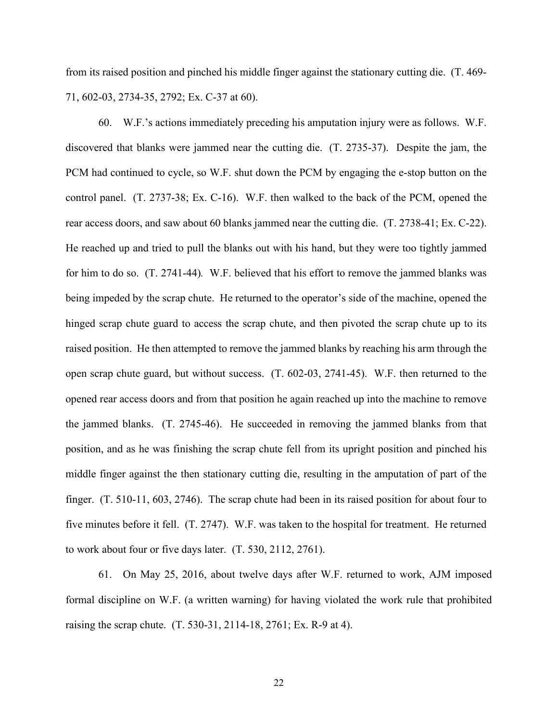from its raised position and pinched his middle finger against the stationary cutting die. (T. 469- 71, 602-03, 2734-35, 2792; Ex. C-37 at 60).

60. W.F.'s actions immediately preceding his amputation injury were as follows. W.F. discovered that blanks were jammed near the cutting die. (T. 2735-37). Despite the jam, the PCM had continued to cycle, so W.F. shut down the PCM by engaging the e-stop button on the control panel. (T. 2737-38; Ex. C-16). W.F. then walked to the back of the PCM, opened the rear access doors, and saw about 60 blanks jammed near the cutting die. (T. 2738-41; Ex. C-22). He reached up and tried to pull the blanks out with his hand, but they were too tightly jammed for him to do so. (T. 2741-44)*.* W.F. believed that his effort to remove the jammed blanks was being impeded by the scrap chute. He returned to the operator's side of the machine, opened the hinged scrap chute guard to access the scrap chute, and then pivoted the scrap chute up to its raised position. He then attempted to remove the jammed blanks by reaching his arm through the open scrap chute guard, but without success. (T. 602-03, 2741-45). W.F. then returned to the opened rear access doors and from that position he again reached up into the machine to remove the jammed blanks. (T. 2745-46). He succeeded in removing the jammed blanks from that position, and as he was finishing the scrap chute fell from its upright position and pinched his middle finger against the then stationary cutting die, resulting in the amputation of part of the finger. (T. 510-11, 603, 2746). The scrap chute had been in its raised position for about four to five minutes before it fell. (T. 2747). W.F. was taken to the hospital for treatment. He returned to work about four or five days later. (T. 530, 2112, 2761).

61. On May 25, 2016, about twelve days after W.F. returned to work, AJM imposed formal discipline on W.F. (a written warning) for having violated the work rule that prohibited raising the scrap chute. (T. 530-31, 2114-18, 2761; Ex. R-9 at 4).

22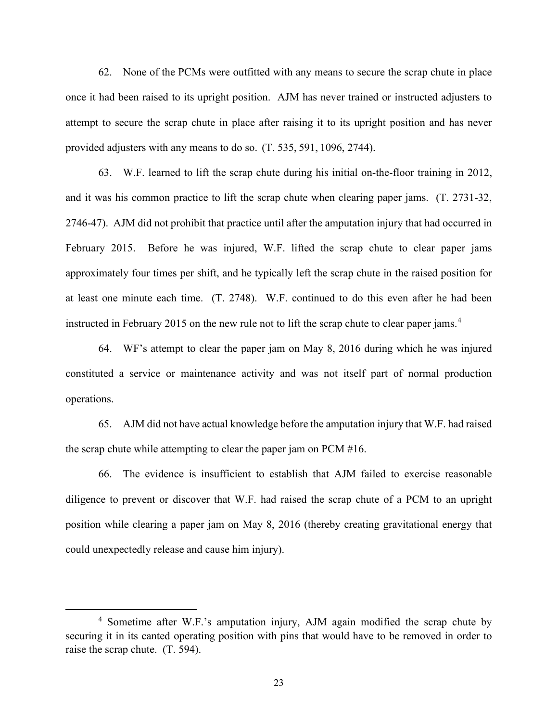62. None of the PCMs were outfitted with any means to secure the scrap chute in place once it had been raised to its upright position. AJM has never trained or instructed adjusters to attempt to secure the scrap chute in place after raising it to its upright position and has never provided adjusters with any means to do so. (T. 535, 591, 1096, 2744).

63. W.F. learned to lift the scrap chute during his initial on-the-floor training in 2012, and it was his common practice to lift the scrap chute when clearing paper jams. (T. 2731-32, 2746-47). AJM did not prohibit that practice until after the amputation injury that had occurred in February 2015. Before he was injured, W.F. lifted the scrap chute to clear paper jams approximately four times per shift, and he typically left the scrap chute in the raised position for at least one minute each time. (T. 2748). W.F. continued to do this even after he had been instructed in February 2015 on the new rule not to lift the scrap chute to clear paper jams. 4

64. WF's attempt to clear the paper jam on May 8, 2016 during which he was injured constituted a service or maintenance activity and was not itself part of normal production operations.

65. AJM did not have actual knowledge before the amputation injury that W.F. had raised the scrap chute while attempting to clear the paper jam on PCM #16.

66. The evidence is insufficient to establish that AJM failed to exercise reasonable diligence to prevent or discover that W.F. had raised the scrap chute of a PCM to an upright position while clearing a paper jam on May 8, 2016 (thereby creating gravitational energy that could unexpectedly release and cause him injury).

<sup>4</sup> Sometime after W.F.'s amputation injury, AJM again modified the scrap chute by securing it in its canted operating position with pins that would have to be removed in order to raise the scrap chute. (T. 594).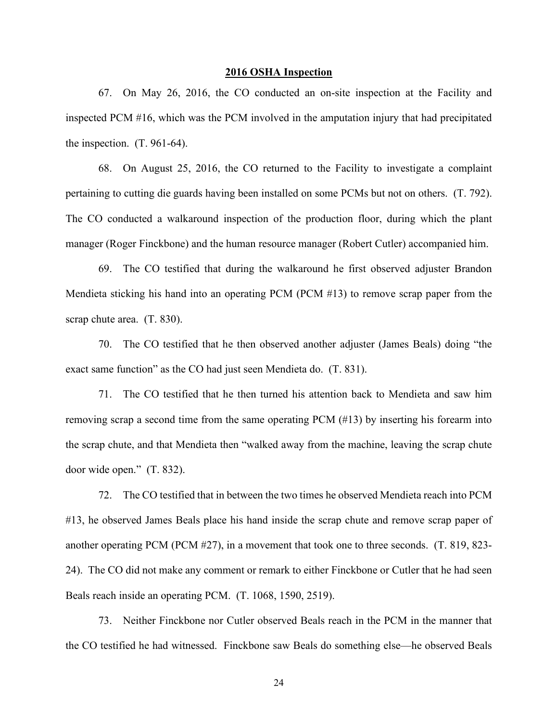### **2016 OSHA Inspection**

67. On May 26, 2016, the CO conducted an on-site inspection at the Facility and inspected PCM #16, which was the PCM involved in the amputation injury that had precipitated the inspection. (T. 961-64).

68. On August 25, 2016, the CO returned to the Facility to investigate a complaint pertaining to cutting die guards having been installed on some PCMs but not on others. (T. 792). The CO conducted a walkaround inspection of the production floor, during which the plant manager (Roger Finckbone) and the human resource manager (Robert Cutler) accompanied him.

69. The CO testified that during the walkaround he first observed adjuster Brandon Mendieta sticking his hand into an operating PCM (PCM #13) to remove scrap paper from the scrap chute area. (T. 830).

70. The CO testified that he then observed another adjuster (James Beals) doing "the exact same function" as the CO had just seen Mendieta do. (T. 831).

71. The CO testified that he then turned his attention back to Mendieta and saw him removing scrap a second time from the same operating PCM (#13) by inserting his forearm into the scrap chute, and that Mendieta then "walked away from the machine, leaving the scrap chute door wide open." (T. 832).

72. The CO testified that in between the two times he observed Mendieta reach into PCM #13, he observed James Beals place his hand inside the scrap chute and remove scrap paper of another operating PCM (PCM #27), in a movement that took one to three seconds. (T. 819, 823- 24). The CO did not make any comment or remark to either Finckbone or Cutler that he had seen Beals reach inside an operating PCM. (T. 1068, 1590, 2519).

73. Neither Finckbone nor Cutler observed Beals reach in the PCM in the manner that the CO testified he had witnessed. Finckbone saw Beals do something else—he observed Beals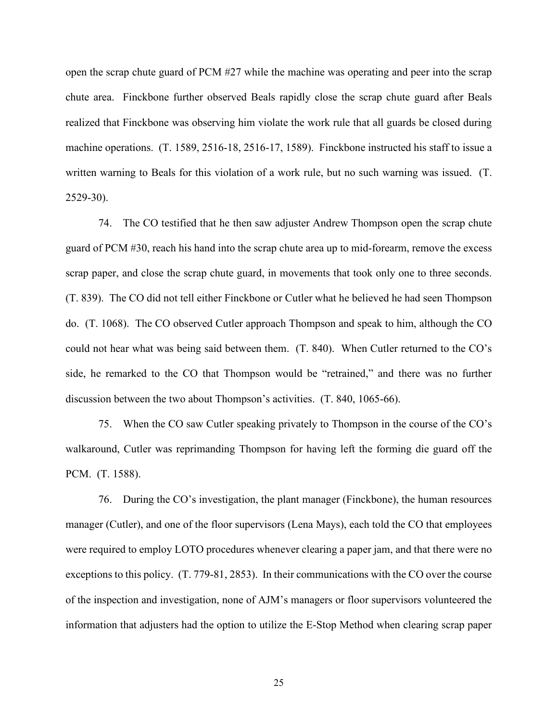open the scrap chute guard of PCM #27 while the machine was operating and peer into the scrap chute area. Finckbone further observed Beals rapidly close the scrap chute guard after Beals realized that Finckbone was observing him violate the work rule that all guards be closed during machine operations. (T. 1589, 2516-18, 2516-17, 1589). Finckbone instructed his staff to issue a written warning to Beals for this violation of a work rule, but no such warning was issued. (T. 2529-30).

74. The CO testified that he then saw adjuster Andrew Thompson open the scrap chute guard of PCM #30, reach his hand into the scrap chute area up to mid-forearm, remove the excess scrap paper, and close the scrap chute guard, in movements that took only one to three seconds. (T. 839). The CO did not tell either Finckbone or Cutler what he believed he had seen Thompson do. (T. 1068). The CO observed Cutler approach Thompson and speak to him, although the CO could not hear what was being said between them. (T. 840). When Cutler returned to the CO's side, he remarked to the CO that Thompson would be "retrained," and there was no further discussion between the two about Thompson's activities. (T. 840, 1065-66).

75. When the CO saw Cutler speaking privately to Thompson in the course of the CO's walkaround, Cutler was reprimanding Thompson for having left the forming die guard off the PCM. (T. 1588).

76. During the CO's investigation, the plant manager (Finckbone), the human resources manager (Cutler), and one of the floor supervisors (Lena Mays), each told the CO that employees were required to employ LOTO procedures whenever clearing a paper jam, and that there were no exceptions to this policy. (T. 779-81, 2853). In their communications with the CO over the course of the inspection and investigation, none of AJM's managers or floor supervisors volunteered the information that adjusters had the option to utilize the E-Stop Method when clearing scrap paper

25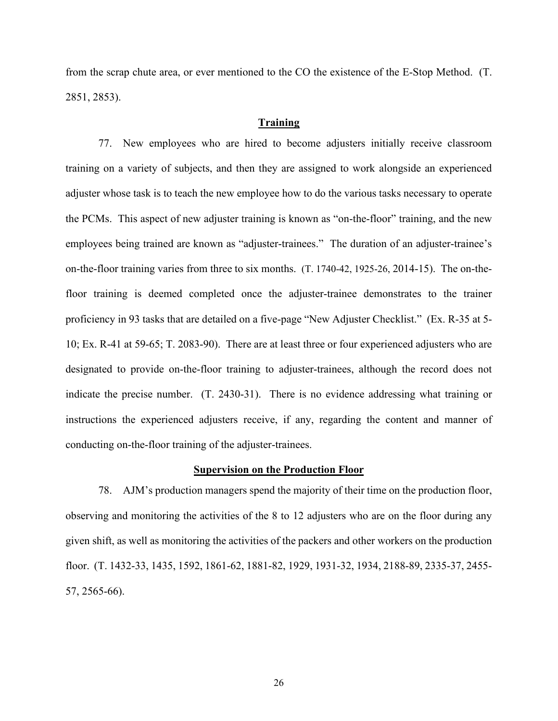from the scrap chute area, or ever mentioned to the CO the existence of the E-Stop Method. (T. 2851, 2853).

# **Training**

77. New employees who are hired to become adjusters initially receive classroom training on a variety of subjects, and then they are assigned to work alongside an experienced adjuster whose task is to teach the new employee how to do the various tasks necessary to operate the PCMs. This aspect of new adjuster training is known as "on-the-floor" training, and the new employees being trained are known as "adjuster-trainees." The duration of an adjuster-trainee's on-the-floor training varies from three to six months. (T. 1740-42, 1925-26, 2014-15). The on-thefloor training is deemed completed once the adjuster-trainee demonstrates to the trainer proficiency in 93 tasks that are detailed on a five-page "New Adjuster Checklist." (Ex. R-35 at 5- 10; Ex. R-41 at 59-65; T. 2083-90). There are at least three or four experienced adjusters who are designated to provide on-the-floor training to adjuster-trainees, although the record does not indicate the precise number. (T. 2430-31). There is no evidence addressing what training or instructions the experienced adjusters receive, if any, regarding the content and manner of conducting on-the-floor training of the adjuster-trainees.

### **Supervision on the Production Floor**

78. AJM's production managers spend the majority of their time on the production floor, observing and monitoring the activities of the 8 to 12 adjusters who are on the floor during any given shift, as well as monitoring the activities of the packers and other workers on the production floor. (T. 1432-33, 1435, 1592, 1861-62, 1881-82, 1929, 1931-32, 1934, 2188-89, 2335-37, 2455- 57, 2565-66).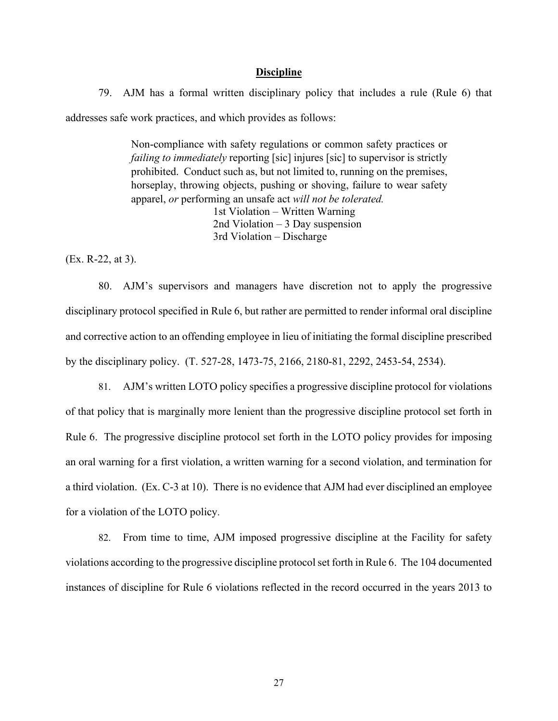### **Discipline**

79. AJM has a formal written disciplinary policy that includes a rule (Rule 6) that addresses safe work practices, and which provides as follows:

> Non-compliance with safety regulations or common safety practices or *failing to immediately* reporting [sic] injures [sic] to supervisor is strictly prohibited. Conduct such as, but not limited to, running on the premises, horseplay, throwing objects, pushing or shoving, failure to wear safety apparel, *or* performing an unsafe act *will not be tolerated.* 1st Violation – Written Warning 2nd Violation – 3 Day suspension 3rd Violation – Discharge

(Ex. R-22, at 3).

80. AJM's supervisors and managers have discretion not to apply the progressive disciplinary protocol specified in Rule 6, but rather are permitted to render informal oral discipline and corrective action to an offending employee in lieu of initiating the formal discipline prescribed by the disciplinary policy. (T. 527-28, 1473-75, 2166, 2180-81, 2292, 2453-54, 2534).

81. AJM's written LOTO policy specifies a progressive discipline protocol for violations of that policy that is marginally more lenient than the progressive discipline protocol set forth in Rule 6. The progressive discipline protocol set forth in the LOTO policy provides for imposing an oral warning for a first violation, a written warning for a second violation, and termination for a third violation. (Ex. C-3 at 10). There is no evidence that AJM had ever disciplined an employee for a violation of the LOTO policy.

82. From time to time, AJM imposed progressive discipline at the Facility for safety violations according to the progressive discipline protocol set forth in Rule 6. The 104 documented instances of discipline for Rule 6 violations reflected in the record occurred in the years 2013 to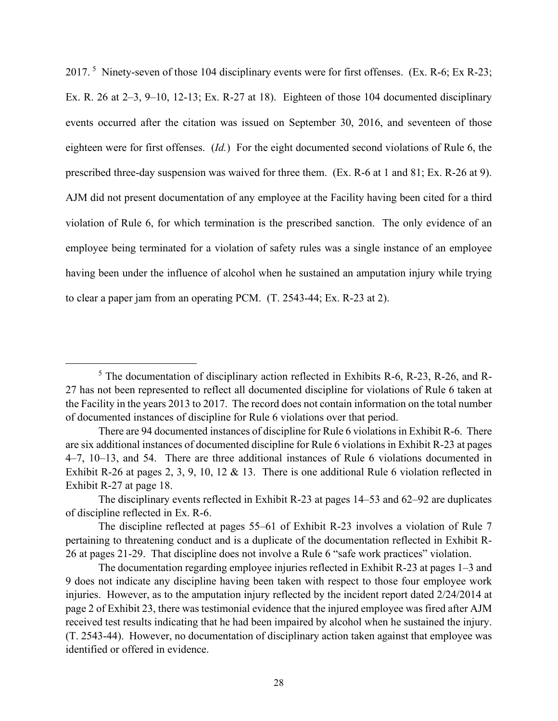2017.<sup>5</sup> Ninety-seven of those 104 disciplinary events were for first offenses. (Ex. R-6; Ex R-23; Ex. R. 26 at 2–3, 9–10, 12-13; Ex. R-27 at 18). Eighteen of those 104 documented disciplinary events occurred after the citation was issued on September 30, 2016, and seventeen of those eighteen were for first offenses. (*Id.*) For the eight documented second violations of Rule 6, the prescribed three-day suspension was waived for three them. (Ex. R-6 at 1 and 81; Ex. R-26 at 9). AJM did not present documentation of any employee at the Facility having been cited for a third violation of Rule 6, for which termination is the prescribed sanction. The only evidence of an employee being terminated for a violation of safety rules was a single instance of an employee having been under the influence of alcohol when he sustained an amputation injury while trying to clear a paper jam from an operating PCM. (T. 2543-44; Ex. R-23 at 2).

<sup>&</sup>lt;sup>5</sup> The documentation of disciplinary action reflected in Exhibits R-6, R-23, R-26, and R-27 has not been represented to reflect all documented discipline for violations of Rule 6 taken at the Facility in the years 2013 to 2017. The record does not contain information on the total number of documented instances of discipline for Rule 6 violations over that period.

There are 94 documented instances of discipline for Rule 6 violations in Exhibit R-6. There are six additional instances of documented discipline for Rule 6 violations in Exhibit R-23 at pages 4–7, 10–13, and 54. There are three additional instances of Rule 6 violations documented in Exhibit R-26 at pages 2, 3, 9, 10, 12 & 13. There is one additional Rule 6 violation reflected in Exhibit R-27 at page 18.

The disciplinary events reflected in Exhibit R-23 at pages 14–53 and 62–92 are duplicates of discipline reflected in Ex. R-6.

The discipline reflected at pages 55–61 of Exhibit R-23 involves a violation of Rule 7 pertaining to threatening conduct and is a duplicate of the documentation reflected in Exhibit R-26 at pages 21-29. That discipline does not involve a Rule 6 "safe work practices" violation.

The documentation regarding employee injuries reflected in Exhibit R-23 at pages 1–3 and 9 does not indicate any discipline having been taken with respect to those four employee work injuries. However, as to the amputation injury reflected by the incident report dated 2/24/2014 at page 2 of Exhibit 23, there was testimonial evidence that the injured employee was fired after AJM received test results indicating that he had been impaired by alcohol when he sustained the injury. (T. 2543-44). However, no documentation of disciplinary action taken against that employee was identified or offered in evidence.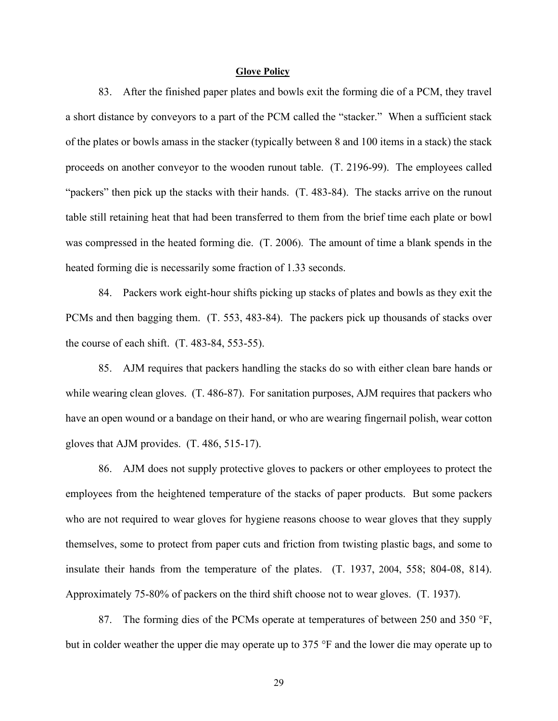### **Glove Policy**

83. After the finished paper plates and bowls exit the forming die of a PCM, they travel a short distance by conveyors to a part of the PCM called the "stacker." When a sufficient stack of the plates or bowls amass in the stacker (typically between 8 and 100 items in a stack) the stack proceeds on another conveyor to the wooden runout table. (T. 2196-99). The employees called "packers" then pick up the stacks with their hands. (T. 483-84). The stacks arrive on the runout table still retaining heat that had been transferred to them from the brief time each plate or bowl was compressed in the heated forming die. (T. 2006). The amount of time a blank spends in the heated forming die is necessarily some fraction of 1.33 seconds.

84. Packers work eight-hour shifts picking up stacks of plates and bowls as they exit the PCMs and then bagging them. (T. 553, 483-84). The packers pick up thousands of stacks over the course of each shift. (T. 483-84, 553-55).

85. AJM requires that packers handling the stacks do so with either clean bare hands or while wearing clean gloves. (T. 486-87). For sanitation purposes, AJM requires that packers who have an open wound or a bandage on their hand, or who are wearing fingernail polish, wear cotton gloves that AJM provides. (T. 486, 515-17).

86. AJM does not supply protective gloves to packers or other employees to protect the employees from the heightened temperature of the stacks of paper products. But some packers who are not required to wear gloves for hygiene reasons choose to wear gloves that they supply themselves, some to protect from paper cuts and friction from twisting plastic bags, and some to insulate their hands from the temperature of the plates. (T. 1937, 2004, 558; 804-08, 814). Approximately 75-80% of packers on the third shift choose not to wear gloves. (T. 1937).

87. The forming dies of the PCMs operate at temperatures of between 250 and 350 °F, but in colder weather the upper die may operate up to 375 °F and the lower die may operate up to

29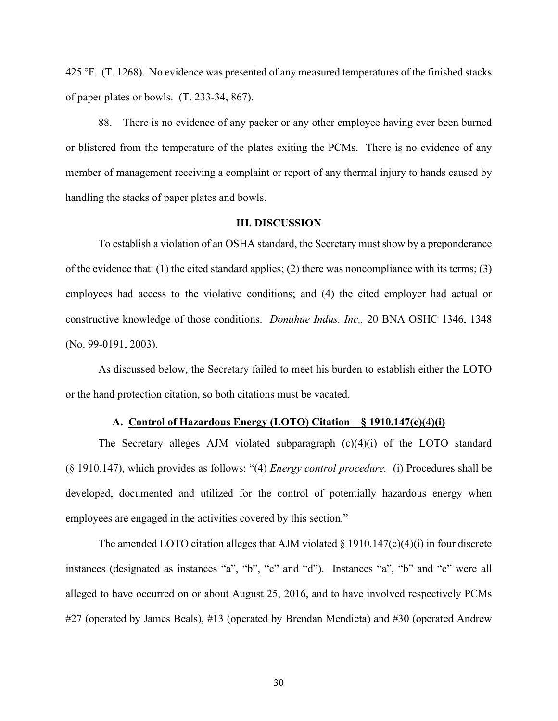425 °F. (T. 1268). No evidence was presented of any measured temperatures of the finished stacks of paper plates or bowls. (T. 233-34, 867).

88. There is no evidence of any packer or any other employee having ever been burned or blistered from the temperature of the plates exiting the PCMs. There is no evidence of any member of management receiving a complaint or report of any thermal injury to hands caused by handling the stacks of paper plates and bowls.

### **III. DISCUSSION**

To establish a violation of an OSHA standard, the Secretary must show by a preponderance of the evidence that: (1) the cited standard applies; (2) there was noncompliance with its terms; (3) employees had access to the violative conditions; and (4) the cited employer had actual or constructive knowledge of those conditions. *Donahue Indus. Inc.,* 20 BNA OSHC 1346, 1348 (No. 99-0191, 2003).

As discussed below, the Secretary failed to meet his burden to establish either the LOTO or the hand protection citation, so both citations must be vacated.

# **A. Control of Hazardous Energy (LOTO) Citation – § 1910.147(c)(4)(i)**

The Secretary alleges AJM violated subparagraph (c)(4)(i) of the LOTO standard (§ 1910.147), which provides as follows: "(4) *Energy control procedure.* (i) Procedures shall be developed, documented and utilized for the control of potentially hazardous energy when employees are engaged in the activities covered by this section."

The amended LOTO citation alleges that AJM violated  $\S$  1910.147(c)(4)(i) in four discrete instances (designated as instances "a", "b", "c" and "d"). Instances "a", "b" and "c" were all alleged to have occurred on or about August 25, 2016, and to have involved respectively PCMs #27 (operated by James Beals), #13 (operated by Brendan Mendieta) and #30 (operated Andrew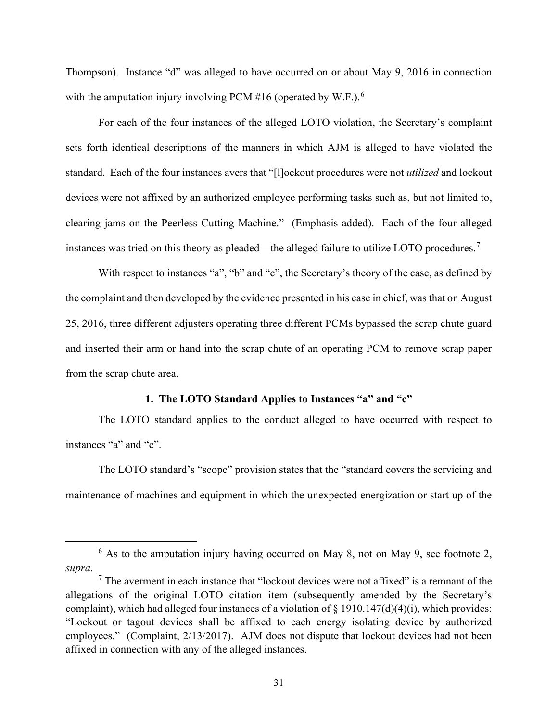Thompson). Instance "d" was alleged to have occurred on or about May 9, 2016 in connection with the amputation injury involving PCM #16 (operated by W.F.).<sup>6</sup>

For each of the four instances of the alleged LOTO violation, the Secretary's complaint sets forth identical descriptions of the manners in which AJM is alleged to have violated the standard. Each of the four instances avers that "[l]ockout procedures were not *utilized* and lockout devices were not affixed by an authorized employee performing tasks such as, but not limited to, clearing jams on the Peerless Cutting Machine." (Emphasis added). Each of the four alleged instances was tried on this theory as pleaded—the alleged failure to utilize LOTO procedures.<sup>7</sup>

With respect to instances "a", "b" and "c", the Secretary's theory of the case, as defined by the complaint and then developed by the evidence presented in his case in chief, was that on August 25, 2016, three different adjusters operating three different PCMs bypassed the scrap chute guard and inserted their arm or hand into the scrap chute of an operating PCM to remove scrap paper from the scrap chute area.

# **1. The LOTO Standard Applies to Instances "a" and "c"**

The LOTO standard applies to the conduct alleged to have occurred with respect to instances "a" and "c".

The LOTO standard's "scope" provision states that the "standard covers the servicing and maintenance of machines and equipment in which the unexpected energization or start up of the

 $6$  As to the amputation injury having occurred on May 8, not on May 9, see footnote 2, *supra*.

 $<sup>7</sup>$  The averment in each instance that "lockout devices were not affixed" is a remnant of the</sup> allegations of the original LOTO citation item (subsequently amended by the Secretary's complaint), which had alleged four instances of a violation of  $\S$  1910.147(d)(4)(i), which provides: "Lockout or tagout devices shall be affixed to each energy isolating device by authorized employees." (Complaint, 2/13/2017). AJM does not dispute that lockout devices had not been affixed in connection with any of the alleged instances.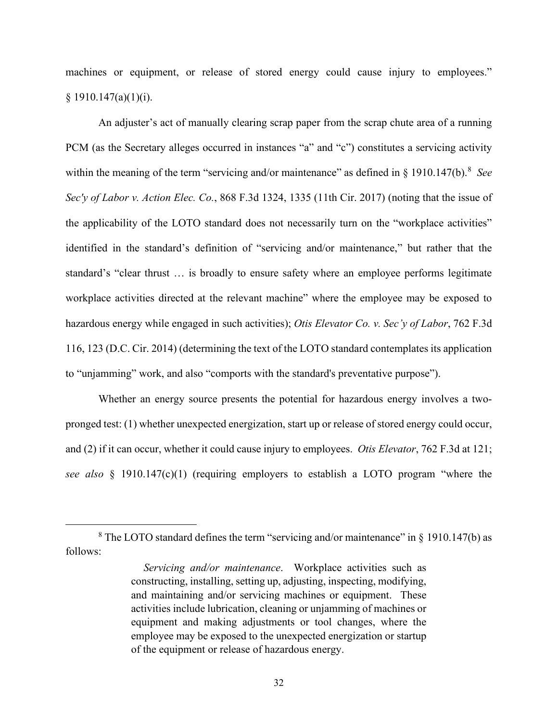machines or equipment, or release of stored energy could cause injury to employees."  $§ 1910.147(a)(1)(i).$ 

An adjuster's act of manually clearing scrap paper from the scrap chute area of a running PCM (as the Secretary alleges occurred in instances "a" and "c") constitutes a servicing activity within the meaning of the term "servicing and/or maintenance" as defined in § 1910.147(b).<sup>8</sup> See *Sec'y of Labor v. Action Elec. Co.*, 868 F.3d 1324, 1335 (11th Cir. 2017) (noting that the issue of the applicability of the LOTO standard does not necessarily turn on the "workplace activities" identified in the standard's definition of "servicing and/or maintenance," but rather that the standard's "clear thrust … is broadly to ensure safety where an employee performs legitimate workplace activities directed at the relevant machine" where the employee may be exposed to hazardous energy while engaged in such activities); *Otis Elevator Co. v. Sec'y of Labor*, 762 F.3d 116, 123 (D.C. Cir. 2014) (determining the text of the LOTO standard contemplates its application to "unjamming" work, and also "comports with the standard's preventative purpose").

Whether an energy source presents the potential for hazardous energy involves a twopronged test: (1) whether unexpected energization, start up or release of stored energy could occur, and (2) if it can occur, whether it could cause injury to employees. *Otis Elevator*, 762 F.3d at 121; *see also* § 1910.147(c)(1) (requiring employers to establish a LOTO program "where the

 $8$  The LOTO standard defines the term "servicing and/or maintenance" in  $\frac{8}{9}$  1910.147(b) as follows:

*Servicing and/or maintenance*. Workplace activities such as constructing, installing, setting up, adjusting, inspecting, modifying, and maintaining and/or servicing machines or equipment. These activities include lubrication, cleaning or unjamming of machines or equipment and making adjustments or tool changes, where the employee may be exposed to the unexpected energization or startup of the equipment or release of hazardous energy.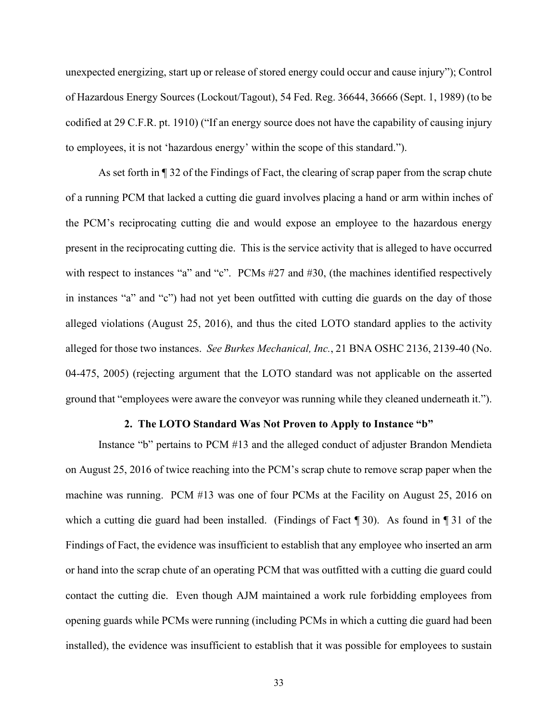unexpected energizing, start up or release of stored energy could occur and cause injury"); Control of Hazardous Energy Sources (Lockout/Tagout), 54 Fed. Reg. 36644, 36666 (Sept. 1, 1989) (to be codified at 29 C.F.R. pt. 1910) ("If an energy source does not have the capability of causing injury to employees, it is not 'hazardous energy' within the scope of this standard.").

As set forth in ¶ 32 of the Findings of Fact, the clearing of scrap paper from the scrap chute of a running PCM that lacked a cutting die guard involves placing a hand or arm within inches of the PCM's reciprocating cutting die and would expose an employee to the hazardous energy present in the reciprocating cutting die. This is the service activity that is alleged to have occurred with respect to instances "a" and "c". PCMs #27 and #30, (the machines identified respectively in instances "a" and "c") had not yet been outfitted with cutting die guards on the day of those alleged violations (August 25, 2016), and thus the cited LOTO standard applies to the activity alleged for those two instances. *See Burkes Mechanical, Inc.*, 21 BNA OSHC 2136, 2139-40 (No. 04-475, 2005) (rejecting argument that the LOTO standard was not applicable on the asserted ground that "employees were aware the conveyor was running while they cleaned underneath it.").

### **2. The LOTO Standard Was Not Proven to Apply to Instance "b"**

Instance "b" pertains to PCM #13 and the alleged conduct of adjuster Brandon Mendieta on August 25, 2016 of twice reaching into the PCM's scrap chute to remove scrap paper when the machine was running. PCM #13 was one of four PCMs at the Facility on August 25, 2016 on which a cutting die guard had been installed. (Findings of Fact ¶ 30). As found in ¶ 31 of the Findings of Fact, the evidence was insufficient to establish that any employee who inserted an arm or hand into the scrap chute of an operating PCM that was outfitted with a cutting die guard could contact the cutting die. Even though AJM maintained a work rule forbidding employees from opening guards while PCMs were running (including PCMs in which a cutting die guard had been installed), the evidence was insufficient to establish that it was possible for employees to sustain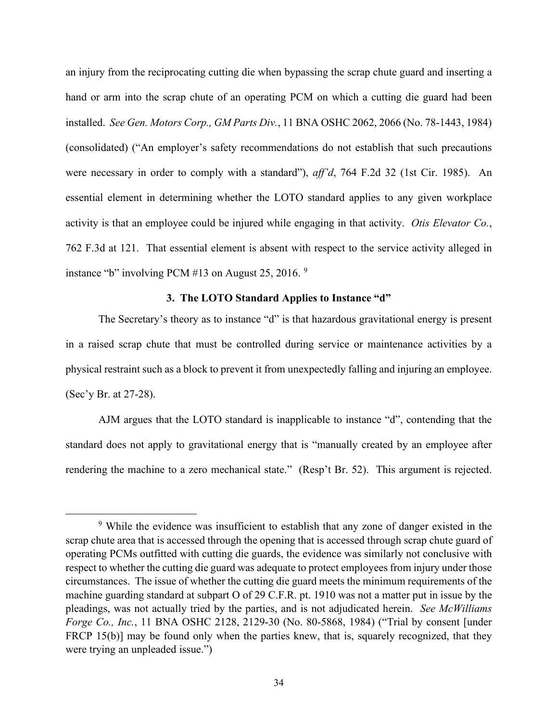an injury from the reciprocating cutting die when bypassing the scrap chute guard and inserting a hand or arm into the scrap chute of an operating PCM on which a cutting die guard had been installed. *See Gen. Motors Corp., GM Parts Div.*, 11 BNA OSHC 2062, 2066 (No. 78-1443, 1984) (consolidated) ("An employer's safety recommendations do not establish that such precautions were necessary in order to comply with a standard"), *aff'd*, 764 F.2d 32 (1st Cir. 1985). An essential element in determining whether the LOTO standard applies to any given workplace activity is that an employee could be injured while engaging in that activity. *Otis Elevator Co.*, 762 F.3d at 121. That essential element is absent with respect to the service activity alleged in instance "b" involving PCM #13 on August 25, 2016.  $9$ 

# **3. The LOTO Standard Applies to Instance "d"**

The Secretary's theory as to instance "d" is that hazardous gravitational energy is present in a raised scrap chute that must be controlled during service or maintenance activities by a physical restraint such as a block to prevent it from unexpectedly falling and injuring an employee. (Sec'y Br. at 27-28).

AJM argues that the LOTO standard is inapplicable to instance "d", contending that the standard does not apply to gravitational energy that is "manually created by an employee after rendering the machine to a zero mechanical state." (Resp't Br. 52). This argument is rejected.

<sup>9</sup> While the evidence was insufficient to establish that any zone of danger existed in the scrap chute area that is accessed through the opening that is accessed through scrap chute guard of operating PCMs outfitted with cutting die guards, the evidence was similarly not conclusive with respect to whether the cutting die guard was adequate to protect employees from injury under those circumstances. The issue of whether the cutting die guard meets the minimum requirements of the machine guarding standard at subpart O of 29 C.F.R. pt. 1910 was not a matter put in issue by the pleadings, was not actually tried by the parties, and is not adjudicated herein. *See McWilliams Forge Co., Inc.*, 11 BNA OSHC 2128, 2129-30 (No. 80-5868, 1984) ("Trial by consent [under FRCP 15(b)] may be found only when the parties knew, that is, squarely recognized, that they were trying an unpleaded issue.")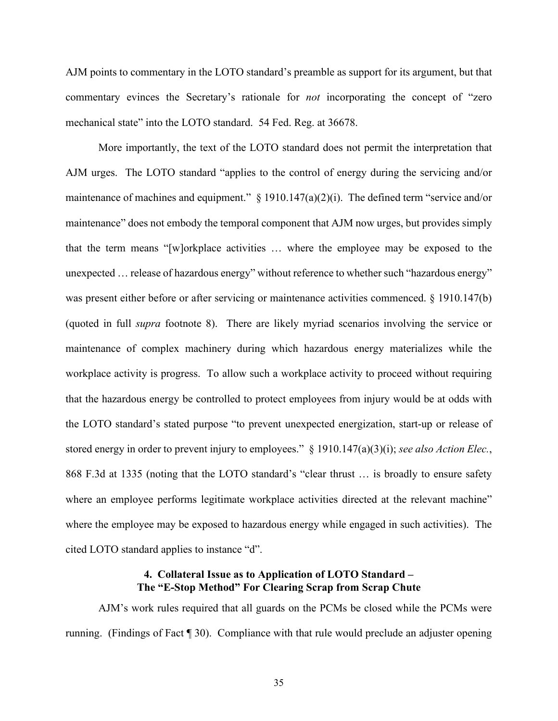AJM points to commentary in the LOTO standard's preamble as support for its argument, but that commentary evinces the Secretary's rationale for *not* incorporating the concept of "zero mechanical state" into the LOTO standard. 54 Fed. Reg. at 36678.

More importantly, the text of the LOTO standard does not permit the interpretation that AJM urges. The LOTO standard "applies to the control of energy during the servicing and/or maintenance of machines and equipment." § 1910.147(a)(2)(i). The defined term "service and/or maintenance" does not embody the temporal component that AJM now urges, but provides simply that the term means "[w]orkplace activities … where the employee may be exposed to the unexpected ... release of hazardous energy" without reference to whether such "hazardous energy" was present either before or after servicing or maintenance activities commenced. § 1910.147(b) (quoted in full *supra* footnote 8). There are likely myriad scenarios involving the service or maintenance of complex machinery during which hazardous energy materializes while the workplace activity is progress. To allow such a workplace activity to proceed without requiring that the hazardous energy be controlled to protect employees from injury would be at odds with the LOTO standard's stated purpose "to prevent unexpected energization, start-up or release of stored energy in order to prevent injury to employees." § 1910.147(a)(3)(i); *see also Action Elec.*, 868 F.3d at 1335 (noting that the LOTO standard's "clear thrust … is broadly to ensure safety where an employee performs legitimate workplace activities directed at the relevant machine" where the employee may be exposed to hazardous energy while engaged in such activities). The cited LOTO standard applies to instance "d".

# **4. Collateral Issue as to Application of LOTO Standard – The "E-Stop Method" For Clearing Scrap from Scrap Chute**

AJM's work rules required that all guards on the PCMs be closed while the PCMs were running. (Findings of Fact ¶ 30). Compliance with that rule would preclude an adjuster opening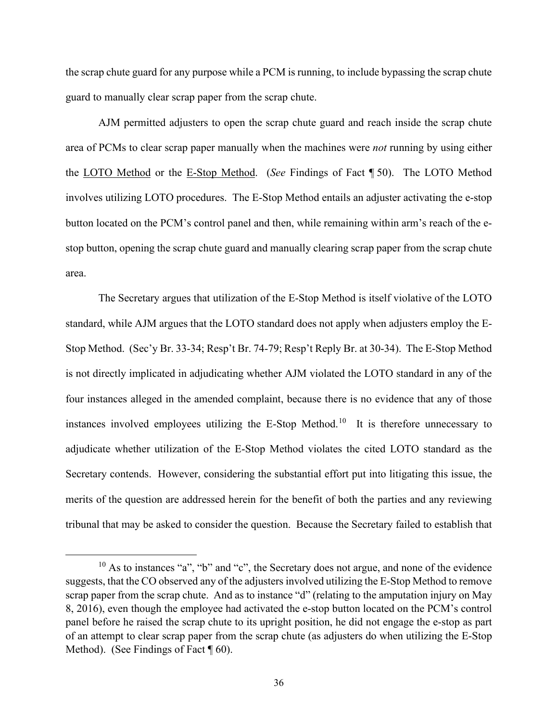the scrap chute guard for any purpose while a PCM is running, to include bypassing the scrap chute guard to manually clear scrap paper from the scrap chute.

AJM permitted adjusters to open the scrap chute guard and reach inside the scrap chute area of PCMs to clear scrap paper manually when the machines were *not* running by using either the LOTO Method or the E-Stop Method. (*See* Findings of Fact ¶ 50). The LOTO Method involves utilizing LOTO procedures. The E-Stop Method entails an adjuster activating the e-stop button located on the PCM's control panel and then, while remaining within arm's reach of the estop button, opening the scrap chute guard and manually clearing scrap paper from the scrap chute area.

The Secretary argues that utilization of the E-Stop Method is itself violative of the LOTO standard, while AJM argues that the LOTO standard does not apply when adjusters employ the E-Stop Method. (Sec'y Br. 33-34; Resp't Br. 74-79; Resp't Reply Br. at 30-34). The E-Stop Method is not directly implicated in adjudicating whether AJM violated the LOTO standard in any of the four instances alleged in the amended complaint, because there is no evidence that any of those instances involved employees utilizing the E-Stop Method.<sup>10</sup> It is therefore unnecessary to adjudicate whether utilization of the E-Stop Method violates the cited LOTO standard as the Secretary contends. However, considering the substantial effort put into litigating this issue, the merits of the question are addressed herein for the benefit of both the parties and any reviewing tribunal that may be asked to consider the question. Because the Secretary failed to establish that

 $10$  As to instances "a", "b" and "c", the Secretary does not argue, and none of the evidence suggests, that the CO observed any of the adjusters involved utilizing the E-Stop Method to remove scrap paper from the scrap chute. And as to instance "d" (relating to the amputation injury on May 8, 2016), even though the employee had activated the e-stop button located on the PCM's control panel before he raised the scrap chute to its upright position, he did not engage the e-stop as part of an attempt to clear scrap paper from the scrap chute (as adjusters do when utilizing the E-Stop Method). (See Findings of Fact  $\P$  60).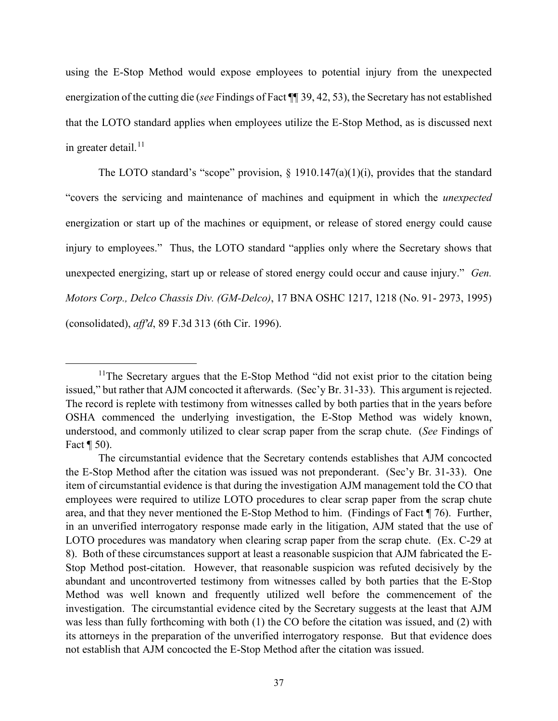using the E-Stop Method would expose employees to potential injury from the unexpected energization of the cutting die (*see* Findings of Fact ¶¶ 39, 42, 53), the Secretary has not established that the LOTO standard applies when employees utilize the E-Stop Method, as is discussed next in greater detail.<sup>11</sup>

The LOTO standard's "scope" provision,  $\S$  1910.147(a)(1)(i), provides that the standard "covers the servicing and maintenance of machines and equipment in which the *unexpected* energization or start up of the machines or equipment, or release of stored energy could cause injury to employees." Thus, the LOTO standard "applies only where the Secretary shows that unexpected energizing, start up or release of stored energy could occur and cause injury." *Gen. Motors Corp., Delco Chassis Div. (GM-Delco)*, 17 BNA OSHC 1217, 1218 (No. 91- 2973, 1995) (consolidated), *aff'd*, 89 F.3d 313 (6th Cir. 1996).

 $11$ The Secretary argues that the E-Stop Method "did not exist prior to the citation being issued," but rather that AJM concocted it afterwards. (Sec'y Br. 31-33). This argument is rejected. The record is replete with testimony from witnesses called by both parties that in the years before OSHA commenced the underlying investigation, the E-Stop Method was widely known, understood, and commonly utilized to clear scrap paper from the scrap chute. (*See* Findings of Fact ¶ 50).

The circumstantial evidence that the Secretary contends establishes that AJM concocted the E-Stop Method after the citation was issued was not preponderant. (Sec'y Br. 31-33). One item of circumstantial evidence is that during the investigation AJM management told the CO that employees were required to utilize LOTO procedures to clear scrap paper from the scrap chute area, and that they never mentioned the E-Stop Method to him. (Findings of Fact ¶ 76). Further, in an unverified interrogatory response made early in the litigation, AJM stated that the use of LOTO procedures was mandatory when clearing scrap paper from the scrap chute. (Ex. C-29 at 8). Both of these circumstances support at least a reasonable suspicion that AJM fabricated the E-Stop Method post-citation. However, that reasonable suspicion was refuted decisively by the abundant and uncontroverted testimony from witnesses called by both parties that the E-Stop Method was well known and frequently utilized well before the commencement of the investigation. The circumstantial evidence cited by the Secretary suggests at the least that AJM was less than fully forthcoming with both (1) the CO before the citation was issued, and (2) with its attorneys in the preparation of the unverified interrogatory response. But that evidence does not establish that AJM concocted the E-Stop Method after the citation was issued.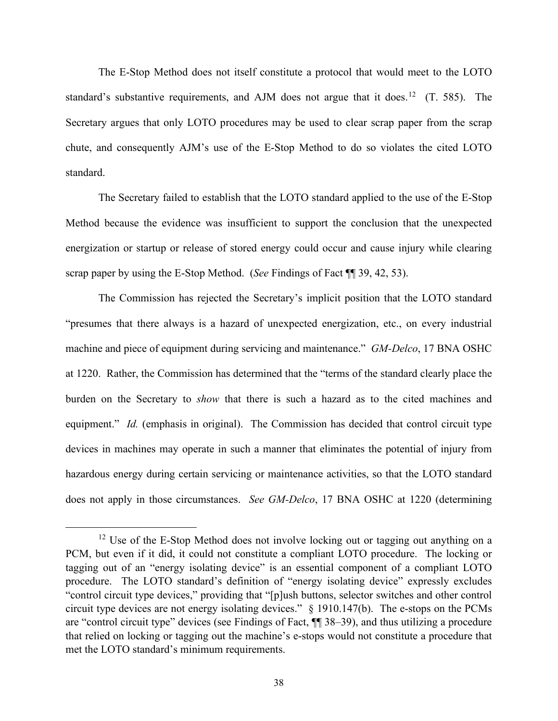The E-Stop Method does not itself constitute a protocol that would meet to the LOTO standard's substantive requirements, and AJM does not argue that it does.<sup>12</sup> (T. 585). The Secretary argues that only LOTO procedures may be used to clear scrap paper from the scrap chute, and consequently AJM's use of the E-Stop Method to do so violates the cited LOTO standard.

The Secretary failed to establish that the LOTO standard applied to the use of the E-Stop Method because the evidence was insufficient to support the conclusion that the unexpected energization or startup or release of stored energy could occur and cause injury while clearing scrap paper by using the E-Stop Method. (*See* Findings of Fact ¶¶ 39, 42, 53).

The Commission has rejected the Secretary's implicit position that the LOTO standard "presumes that there always is a hazard of unexpected energization, etc., on every industrial machine and piece of equipment during servicing and maintenance." *GM-Delco*, 17 BNA OSHC at 1220. Rather, the Commission has determined that the "terms of the standard clearly place the burden on the Secretary to *show* that there is such a hazard as to the cited machines and equipment." *Id.* (emphasis in original). The Commission has decided that control circuit type devices in machines may operate in such a manner that eliminates the potential of injury from hazardous energy during certain servicing or maintenance activities, so that the LOTO standard does not apply in those circumstances. *See GM-Delco*, 17 BNA OSHC at 1220 (determining

<sup>&</sup>lt;sup>12</sup> Use of the E-Stop Method does not involve locking out or tagging out anything on a PCM, but even if it did, it could not constitute a compliant LOTO procedure. The locking or tagging out of an "energy isolating device" is an essential component of a compliant LOTO procedure. The LOTO standard's definition of "energy isolating device" expressly excludes "control circuit type devices," providing that "[p]ush buttons, selector switches and other control circuit type devices are not energy isolating devices." § 1910.147(b). The e-stops on the PCMs are "control circuit type" devices (see Findings of Fact, ¶¶ 38–39), and thus utilizing a procedure that relied on locking or tagging out the machine's e-stops would not constitute a procedure that met the LOTO standard's minimum requirements.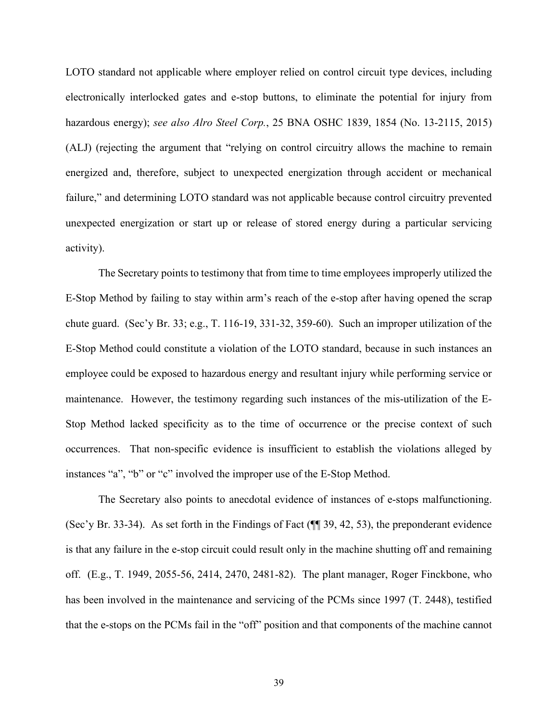LOTO standard not applicable where employer relied on control circuit type devices, including electronically interlocked gates and e-stop buttons, to eliminate the potential for injury from hazardous energy); *see also Alro Steel Corp.*, 25 BNA OSHC 1839, 1854 (No. 13-2115, 2015) (ALJ) (rejecting the argument that "relying on control circuitry allows the machine to remain energized and, therefore, subject to unexpected energization through accident or mechanical failure," and determining LOTO standard was not applicable because control circuitry prevented unexpected energization or start up or release of stored energy during a particular servicing activity).

The Secretary points to testimony that from time to time employees improperly utilized the E-Stop Method by failing to stay within arm's reach of the e-stop after having opened the scrap chute guard. (Sec'y Br. 33; e.g., T. 116-19, 331-32, 359-60). Such an improper utilization of the E-Stop Method could constitute a violation of the LOTO standard, because in such instances an employee could be exposed to hazardous energy and resultant injury while performing service or maintenance. However, the testimony regarding such instances of the mis-utilization of the E-Stop Method lacked specificity as to the time of occurrence or the precise context of such occurrences. That non-specific evidence is insufficient to establish the violations alleged by instances "a", "b" or "c" involved the improper use of the E-Stop Method.

The Secretary also points to anecdotal evidence of instances of e-stops malfunctioning. (Sec'y Br. 33-34). As set forth in the Findings of Fact (¶¶ 39, 42, 53), the preponderant evidence is that any failure in the e-stop circuit could result only in the machine shutting off and remaining off. (E.g., T. 1949, 2055-56, 2414, 2470, 2481-82). The plant manager, Roger Finckbone, who has been involved in the maintenance and servicing of the PCMs since 1997 (T. 2448), testified that the e-stops on the PCMs fail in the "off" position and that components of the machine cannot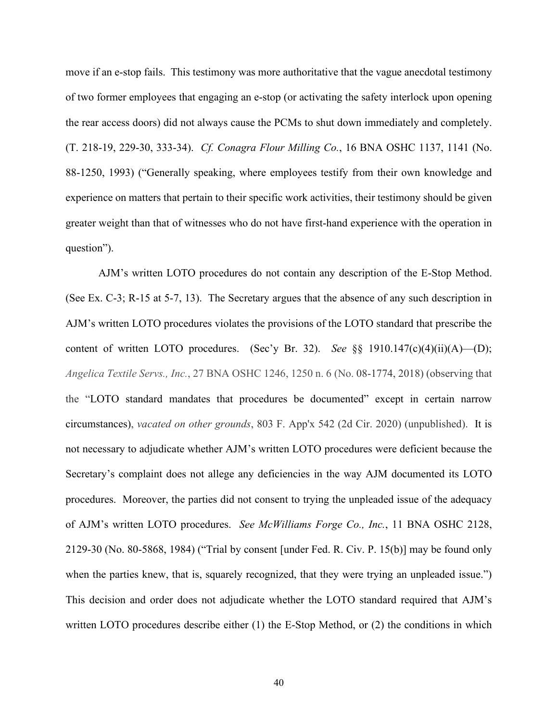move if an e-stop fails. This testimony was more authoritative that the vague anecdotal testimony of two former employees that engaging an e-stop (or activating the safety interlock upon opening the rear access doors) did not always cause the PCMs to shut down immediately and completely. (T. 218-19, 229-30, 333-34). *Cf. Conagra Flour Milling Co.*, 16 BNA OSHC 1137, 1141 (No. 88-1250, 1993) ("Generally speaking, where employees testify from their own knowledge and experience on matters that pertain to their specific work activities, their testimony should be given greater weight than that of witnesses who do not have first-hand experience with the operation in question").

AJM's written LOTO procedures do not contain any description of the E-Stop Method. (See Ex. C-3; R-15 at 5-7, 13). The Secretary argues that the absence of any such description in AJM's written LOTO procedures violates the provisions of the LOTO standard that prescribe the content of written LOTO procedures. (Sec'y Br. 32). *See* §§ 1910.147(c)(4)(ii)(A)—(D); *Angelica Textile Servs., Inc.*, 27 BNA OSHC 1246, 1250 n. 6 (No. 08-1774, 2018) (observing that the "LOTO standard mandates that procedures be documented" except in certain narrow circumstances), *vacated on other grounds*, 803 F. App'x 542 (2d Cir. 2020) (unpublished). It is not necessary to adjudicate whether AJM's written LOTO procedures were deficient because the Secretary's complaint does not allege any deficiencies in the way AJM documented its LOTO procedures. Moreover, the parties did not consent to trying the unpleaded issue of the adequacy of AJM's written LOTO procedures. *See McWilliams Forge Co., Inc.*, 11 BNA OSHC 2128, 2129-30 (No. 80-5868, 1984) ("Trial by consent [under Fed. R. Civ. P. 15(b)] may be found only when the parties knew, that is, squarely recognized, that they were trying an unpleaded issue.") This decision and order does not adjudicate whether the LOTO standard required that AJM's written LOTO procedures describe either (1) the E-Stop Method, or (2) the conditions in which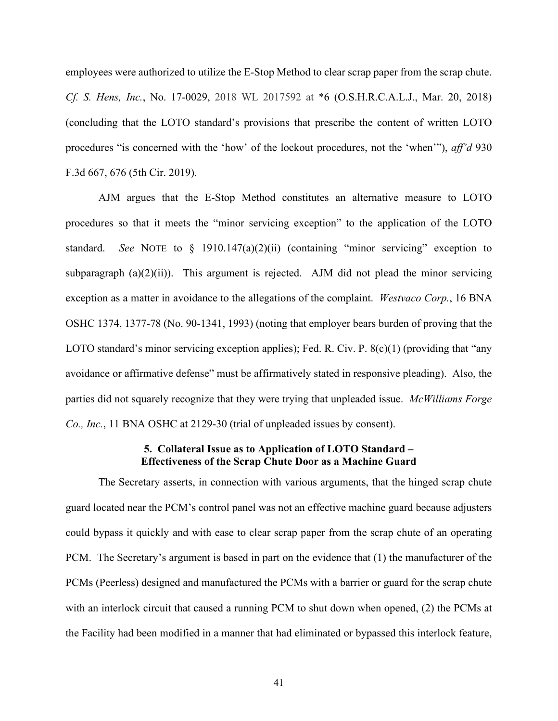employees were authorized to utilize the E-Stop Method to clear scrap paper from the scrap chute. *Cf. S. Hens, Inc.*, No. 17-0029, 2018 WL 2017592 at \*6 (O.S.H.R.C.A.L.J., Mar. 20, 2018) (concluding that the LOTO standard's provisions that prescribe the content of written LOTO procedures "is concerned with the 'how' of the lockout procedures, not the 'when'"), *aff'd* 930 F.3d 667, 676 (5th Cir. 2019).

AJM argues that the E-Stop Method constitutes an alternative measure to LOTO procedures so that it meets the "minor servicing exception" to the application of the LOTO standard. *See* NOTE to § 1910.147(a)(2)(ii) (containing "minor servicing" exception to subparagraph  $(a)(2)(ii)$ ). This argument is rejected. AJM did not plead the minor servicing exception as a matter in avoidance to the allegations of the complaint. *Westvaco Corp.*, 16 BNA OSHC 1374, 1377-78 (No. 90-1341, 1993) (noting that employer bears burden of proving that the LOTO standard's minor servicing exception applies); Fed. R. Civ. P.  $8(c)(1)$  (providing that "any avoidance or affirmative defense" must be affirmatively stated in responsive pleading). Also, the parties did not squarely recognize that they were trying that unpleaded issue. *McWilliams Forge Co., Inc.*, 11 BNA OSHC at 2129-30 (trial of unpleaded issues by consent).

## **5. Collateral Issue as to Application of LOTO Standard – Effectiveness of the Scrap Chute Door as a Machine Guard**

The Secretary asserts, in connection with various arguments, that the hinged scrap chute guard located near the PCM's control panel was not an effective machine guard because adjusters could bypass it quickly and with ease to clear scrap paper from the scrap chute of an operating PCM. The Secretary's argument is based in part on the evidence that (1) the manufacturer of the PCMs (Peerless) designed and manufactured the PCMs with a barrier or guard for the scrap chute with an interlock circuit that caused a running PCM to shut down when opened, (2) the PCMs at the Facility had been modified in a manner that had eliminated or bypassed this interlock feature,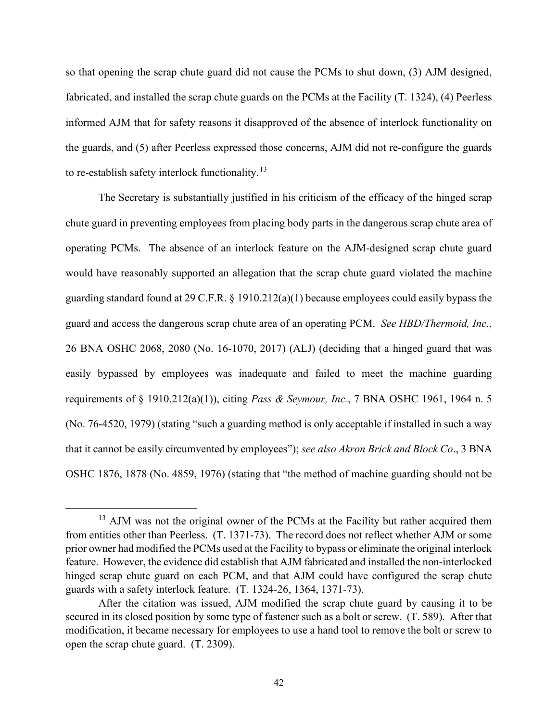so that opening the scrap chute guard did not cause the PCMs to shut down, (3) AJM designed, fabricated, and installed the scrap chute guards on the PCMs at the Facility (T. 1324), (4) Peerless informed AJM that for safety reasons it disapproved of the absence of interlock functionality on the guards, and (5) after Peerless expressed those concerns, AJM did not re-configure the guards to re-establish safety interlock functionality.<sup>13</sup>

The Secretary is substantially justified in his criticism of the efficacy of the hinged scrap chute guard in preventing employees from placing body parts in the dangerous scrap chute area of operating PCMs. The absence of an interlock feature on the AJM-designed scrap chute guard would have reasonably supported an allegation that the scrap chute guard violated the machine guarding standard found at 29 C.F.R. § 1910.212(a)(1) because employees could easily bypass the guard and access the dangerous scrap chute area of an operating PCM. *See HBD/Thermoid, Inc.*, 26 BNA OSHC 2068, 2080 (No. 16-1070, 2017) (ALJ) (deciding that a hinged guard that was easily bypassed by employees was inadequate and failed to meet the machine guarding requirements of § 1910.212(a)(1)), citing *Pass & Seymour, Inc.*, 7 BNA OSHC 1961, 1964 n. 5 (No. 76-4520, 1979) (stating "such a guarding method is only acceptable if installed in such a way that it cannot be easily circumvented by employees"); *see also Akron Brick and Block Co*., 3 BNA OSHC 1876, 1878 (No. 4859, 1976) (stating that "the method of machine guarding should not be

<sup>&</sup>lt;sup>13</sup> AJM was not the original owner of the PCMs at the Facility but rather acquired them from entities other than Peerless. (T. 1371-73). The record does not reflect whether AJM or some prior owner had modified the PCMs used at the Facility to bypass or eliminate the original interlock feature. However, the evidence did establish that AJM fabricated and installed the non-interlocked hinged scrap chute guard on each PCM, and that AJM could have configured the scrap chute guards with a safety interlock feature. (T. 1324-26, 1364, 1371-73).

After the citation was issued, AJM modified the scrap chute guard by causing it to be secured in its closed position by some type of fastener such as a bolt or screw. (T. 589). After that modification, it became necessary for employees to use a hand tool to remove the bolt or screw to open the scrap chute guard. (T. 2309).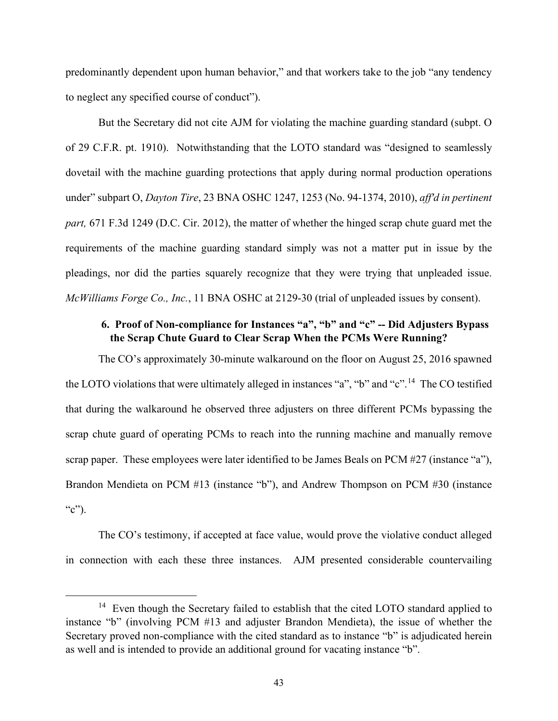predominantly dependent upon human behavior," and that workers take to the job "any tendency to neglect any specified course of conduct").

But the Secretary did not cite AJM for violating the machine guarding standard (subpt. O of 29 C.F.R. pt. 1910). Notwithstanding that the LOTO standard was "designed to seamlessly dovetail with the machine guarding protections that apply during normal production operations under" subpart O, *Dayton Tire*, 23 BNA OSHC 1247, 1253 (No. 94-1374, 2010), *aff'd in pertinent part,* 671 F.3d 1249 (D.C. Cir. 2012), the matter of whether the hinged scrap chute guard met the requirements of the machine guarding standard simply was not a matter put in issue by the pleadings, nor did the parties squarely recognize that they were trying that unpleaded issue. *McWilliams Forge Co., Inc.*, 11 BNA OSHC at 2129-30 (trial of unpleaded issues by consent).

# **6. Proof of Non-compliance for Instances "a", "b" and "c" -- Did Adjusters Bypass the Scrap Chute Guard to Clear Scrap When the PCMs Were Running?**

The CO's approximately 30-minute walkaround on the floor on August 25, 2016 spawned the LOTO violations that were ultimately alleged in instances "a", "b" and "c".14 The CO testified that during the walkaround he observed three adjusters on three different PCMs bypassing the scrap chute guard of operating PCMs to reach into the running machine and manually remove scrap paper. These employees were later identified to be James Beals on PCM #27 (instance "a"), Brandon Mendieta on PCM #13 (instance "b"), and Andrew Thompson on PCM #30 (instance "c").

The CO's testimony, if accepted at face value, would prove the violative conduct alleged in connection with each these three instances. AJM presented considerable countervailing

<sup>&</sup>lt;sup>14</sup> Even though the Secretary failed to establish that the cited LOTO standard applied to instance "b" (involving PCM #13 and adjuster Brandon Mendieta), the issue of whether the Secretary proved non-compliance with the cited standard as to instance "b" is adjudicated herein as well and is intended to provide an additional ground for vacating instance "b".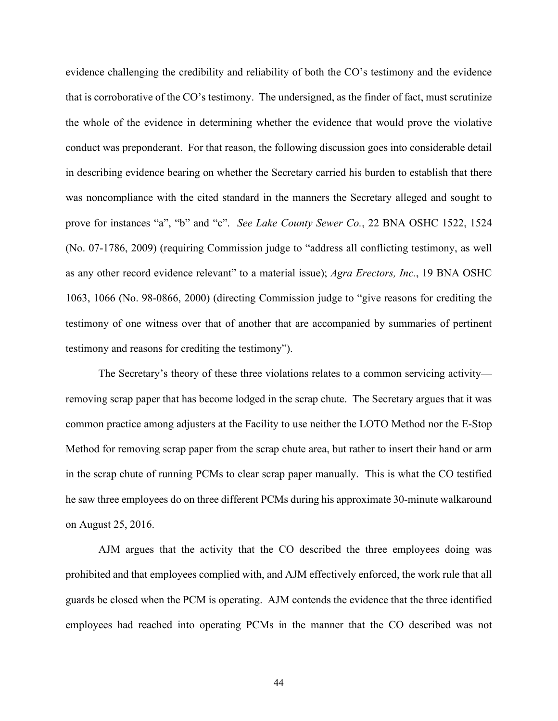evidence challenging the credibility and reliability of both the CO's testimony and the evidence that is corroborative of the CO's testimony. The undersigned, as the finder of fact, must scrutinize the whole of the evidence in determining whether the evidence that would prove the violative conduct was preponderant. For that reason, the following discussion goes into considerable detail in describing evidence bearing on whether the Secretary carried his burden to establish that there was noncompliance with the cited standard in the manners the Secretary alleged and sought to prove for instances "a", "b" and "c". *See Lake County Sewer Co.*, 22 BNA OSHC 1522, 1524 (No. 07-1786, 2009) (requiring Commission judge to "address all conflicting testimony, as well as any other record evidence relevant" to a material issue); *Agra Erectors, Inc.*, 19 BNA OSHC 1063, 1066 (No. 98-0866, 2000) (directing Commission judge to "give reasons for crediting the testimony of one witness over that of another that are accompanied by summaries of pertinent testimony and reasons for crediting the testimony").

The Secretary's theory of these three violations relates to a common servicing activity removing scrap paper that has become lodged in the scrap chute. The Secretary argues that it was common practice among adjusters at the Facility to use neither the LOTO Method nor the E-Stop Method for removing scrap paper from the scrap chute area, but rather to insert their hand or arm in the scrap chute of running PCMs to clear scrap paper manually. This is what the CO testified he saw three employees do on three different PCMs during his approximate 30-minute walkaround on August 25, 2016.

AJM argues that the activity that the CO described the three employees doing was prohibited and that employees complied with, and AJM effectively enforced, the work rule that all guards be closed when the PCM is operating. AJM contends the evidence that the three identified employees had reached into operating PCMs in the manner that the CO described was not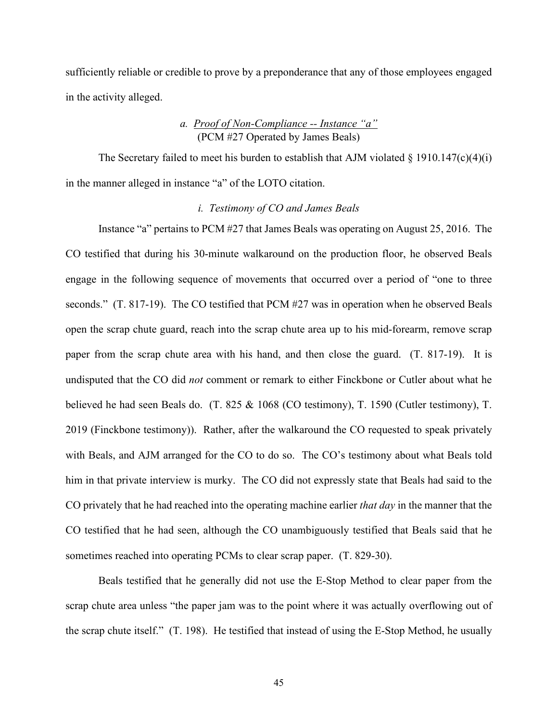sufficiently reliable or credible to prove by a preponderance that any of those employees engaged in the activity alleged.

# *a. Proof of Non-Compliance -- Instance "a"*  (PCM #27 Operated by James Beals)

The Secretary failed to meet his burden to establish that AJM violated  $\S$  1910.147(c)(4)(i) in the manner alleged in instance "a" of the LOTO citation.

## *i. Testimony of CO and James Beals*

Instance "a" pertains to PCM #27 that James Beals was operating on August 25, 2016. The CO testified that during his 30-minute walkaround on the production floor, he observed Beals engage in the following sequence of movements that occurred over a period of "one to three seconds." (T. 817-19). The CO testified that PCM #27 was in operation when he observed Beals open the scrap chute guard, reach into the scrap chute area up to his mid-forearm, remove scrap paper from the scrap chute area with his hand, and then close the guard. (T. 817-19). It is undisputed that the CO did *not* comment or remark to either Finckbone or Cutler about what he believed he had seen Beals do. (T. 825 & 1068 (CO testimony), T. 1590 (Cutler testimony), T. 2019 (Finckbone testimony)). Rather, after the walkaround the CO requested to speak privately with Beals, and AJM arranged for the CO to do so. The CO's testimony about what Beals told him in that private interview is murky. The CO did not expressly state that Beals had said to the CO privately that he had reached into the operating machine earlier *that day* in the manner that the CO testified that he had seen, although the CO unambiguously testified that Beals said that he sometimes reached into operating PCMs to clear scrap paper. (T. 829-30).

Beals testified that he generally did not use the E-Stop Method to clear paper from the scrap chute area unless "the paper jam was to the point where it was actually overflowing out of the scrap chute itself." (T. 198). He testified that instead of using the E-Stop Method, he usually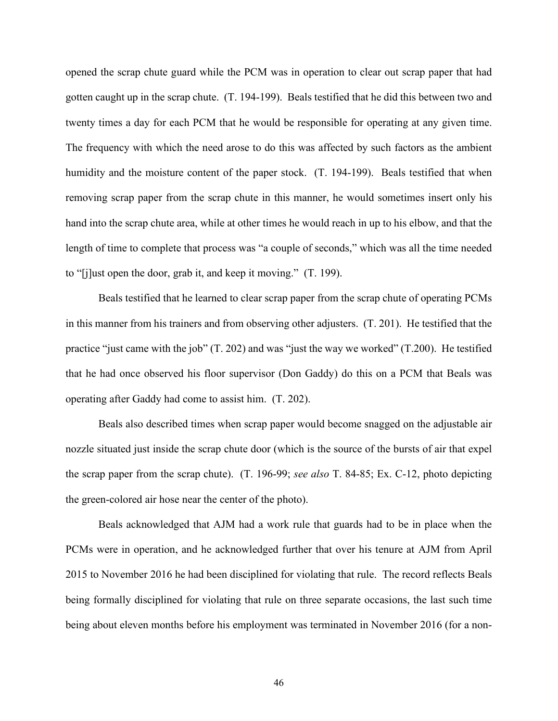opened the scrap chute guard while the PCM was in operation to clear out scrap paper that had gotten caught up in the scrap chute. (T. 194-199). Beals testified that he did this between two and twenty times a day for each PCM that he would be responsible for operating at any given time. The frequency with which the need arose to do this was affected by such factors as the ambient humidity and the moisture content of the paper stock. (T. 194-199). Beals testified that when removing scrap paper from the scrap chute in this manner, he would sometimes insert only his hand into the scrap chute area, while at other times he would reach in up to his elbow, and that the length of time to complete that process was "a couple of seconds," which was all the time needed to "[j]ust open the door, grab it, and keep it moving." (T. 199).

Beals testified that he learned to clear scrap paper from the scrap chute of operating PCMs in this manner from his trainers and from observing other adjusters. (T. 201). He testified that the practice "just came with the job" (T. 202) and was "just the way we worked" (T.200). He testified that he had once observed his floor supervisor (Don Gaddy) do this on a PCM that Beals was operating after Gaddy had come to assist him. (T. 202).

Beals also described times when scrap paper would become snagged on the adjustable air nozzle situated just inside the scrap chute door (which is the source of the bursts of air that expel the scrap paper from the scrap chute). (T. 196-99; *see also* T. 84-85; Ex. C-12, photo depicting the green-colored air hose near the center of the photo).

Beals acknowledged that AJM had a work rule that guards had to be in place when the PCMs were in operation, and he acknowledged further that over his tenure at AJM from April 2015 to November 2016 he had been disciplined for violating that rule. The record reflects Beals being formally disciplined for violating that rule on three separate occasions, the last such time being about eleven months before his employment was terminated in November 2016 (for a non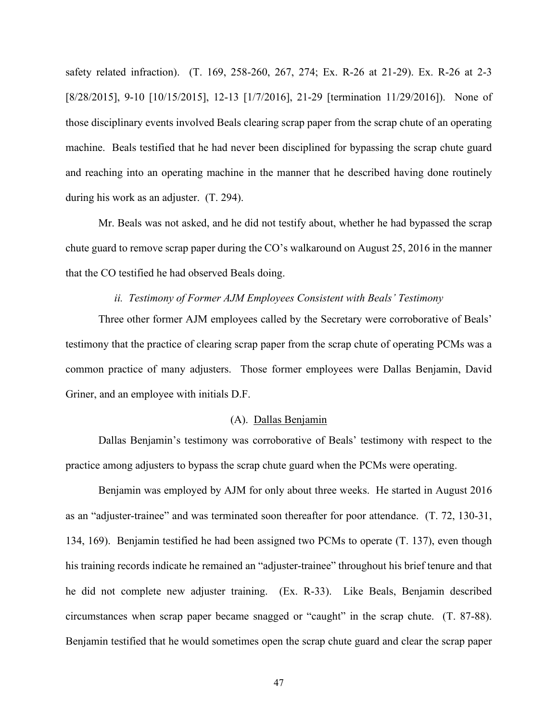safety related infraction). (T. 169, 258-260, 267, 274; Ex. R-26 at 21-29). Ex. R-26 at 2-3 [8/28/2015], 9-10 [10/15/2015], 12-13 [1/7/2016], 21-29 [termination 11/29/2016]). None of those disciplinary events involved Beals clearing scrap paper from the scrap chute of an operating machine. Beals testified that he had never been disciplined for bypassing the scrap chute guard and reaching into an operating machine in the manner that he described having done routinely during his work as an adjuster. (T. 294).

Mr. Beals was not asked, and he did not testify about, whether he had bypassed the scrap chute guard to remove scrap paper during the CO's walkaround on August 25, 2016 in the manner that the CO testified he had observed Beals doing.

### *ii. Testimony of Former AJM Employees Consistent with Beals' Testimony*

Three other former AJM employees called by the Secretary were corroborative of Beals' testimony that the practice of clearing scrap paper from the scrap chute of operating PCMs was a common practice of many adjusters. Those former employees were Dallas Benjamin, David Griner, and an employee with initials D.F.

## (A). Dallas Benjamin

Dallas Benjamin's testimony was corroborative of Beals' testimony with respect to the practice among adjusters to bypass the scrap chute guard when the PCMs were operating.

Benjamin was employed by AJM for only about three weeks. He started in August 2016 as an "adjuster-trainee" and was terminated soon thereafter for poor attendance. (T. 72, 130-31, 134, 169). Benjamin testified he had been assigned two PCMs to operate (T. 137), even though his training records indicate he remained an "adjuster-trainee" throughout his brief tenure and that he did not complete new adjuster training. (Ex. R-33). Like Beals, Benjamin described circumstances when scrap paper became snagged or "caught" in the scrap chute. (T. 87-88). Benjamin testified that he would sometimes open the scrap chute guard and clear the scrap paper

47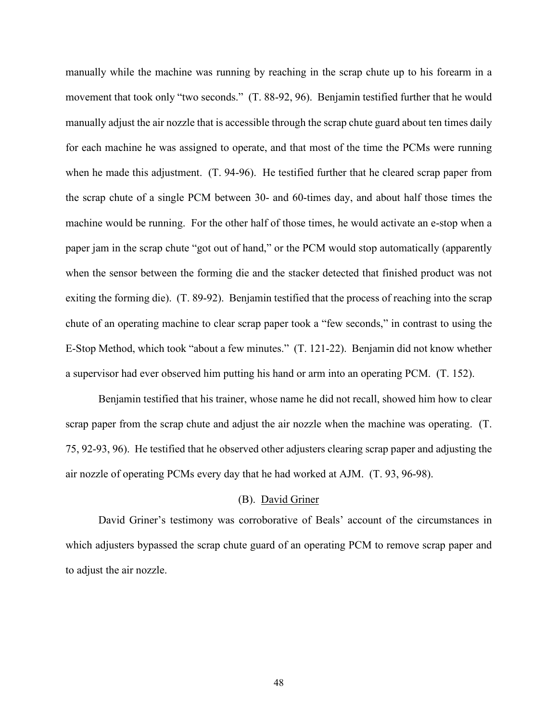manually while the machine was running by reaching in the scrap chute up to his forearm in a movement that took only "two seconds." (T. 88-92, 96). Benjamin testified further that he would manually adjust the air nozzle that is accessible through the scrap chute guard about ten times daily for each machine he was assigned to operate, and that most of the time the PCMs were running when he made this adjustment. (T. 94-96). He testified further that he cleared scrap paper from the scrap chute of a single PCM between 30- and 60-times day, and about half those times the machine would be running. For the other half of those times, he would activate an e-stop when a paper jam in the scrap chute "got out of hand," or the PCM would stop automatically (apparently when the sensor between the forming die and the stacker detected that finished product was not exiting the forming die). (T. 89-92). Benjamin testified that the process of reaching into the scrap chute of an operating machine to clear scrap paper took a "few seconds," in contrast to using the E-Stop Method, which took "about a few minutes." (T. 121-22). Benjamin did not know whether a supervisor had ever observed him putting his hand or arm into an operating PCM. (T. 152).

Benjamin testified that his trainer, whose name he did not recall, showed him how to clear scrap paper from the scrap chute and adjust the air nozzle when the machine was operating. (T. 75, 92-93, 96). He testified that he observed other adjusters clearing scrap paper and adjusting the air nozzle of operating PCMs every day that he had worked at AJM. (T. 93, 96-98).

# (B). David Griner

David Griner's testimony was corroborative of Beals' account of the circumstances in which adjusters bypassed the scrap chute guard of an operating PCM to remove scrap paper and to adjust the air nozzle.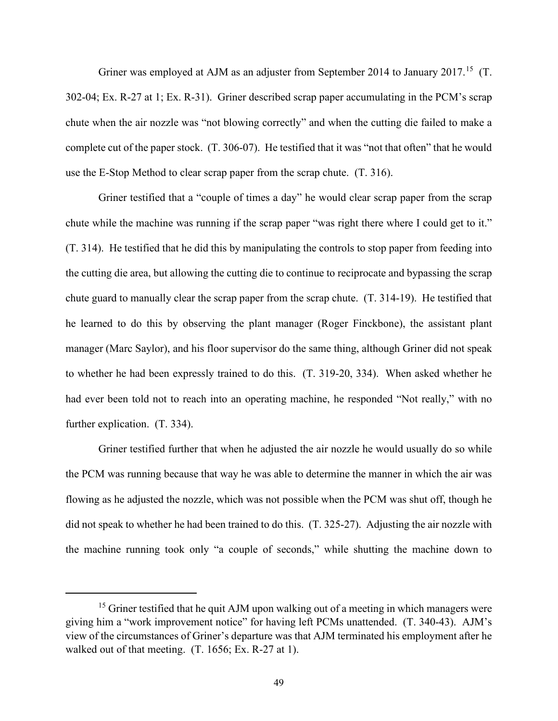Griner was employed at AJM as an adjuster from September 2014 to January 2017.<sup>15</sup> (T. 302-04; Ex. R-27 at 1; Ex. R-31). Griner described scrap paper accumulating in the PCM's scrap chute when the air nozzle was "not blowing correctly" and when the cutting die failed to make a complete cut of the paper stock. (T. 306-07). He testified that it was "not that often" that he would use the E-Stop Method to clear scrap paper from the scrap chute. (T. 316).

Griner testified that a "couple of times a day" he would clear scrap paper from the scrap chute while the machine was running if the scrap paper "was right there where I could get to it." (T. 314). He testified that he did this by manipulating the controls to stop paper from feeding into the cutting die area, but allowing the cutting die to continue to reciprocate and bypassing the scrap chute guard to manually clear the scrap paper from the scrap chute. (T. 314-19). He testified that he learned to do this by observing the plant manager (Roger Finckbone), the assistant plant manager (Marc Saylor), and his floor supervisor do the same thing, although Griner did not speak to whether he had been expressly trained to do this. (T. 319-20, 334). When asked whether he had ever been told not to reach into an operating machine, he responded "Not really," with no further explication. (T. 334).

Griner testified further that when he adjusted the air nozzle he would usually do so while the PCM was running because that way he was able to determine the manner in which the air was flowing as he adjusted the nozzle, which was not possible when the PCM was shut off, though he did not speak to whether he had been trained to do this. (T. 325-27). Adjusting the air nozzle with the machine running took only "a couple of seconds," while shutting the machine down to

 $15$  Griner testified that he quit AJM upon walking out of a meeting in which managers were giving him a "work improvement notice" for having left PCMs unattended. (T. 340-43). AJM's view of the circumstances of Griner's departure was that AJM terminated his employment after he walked out of that meeting. (T. 1656; Ex. R-27 at 1).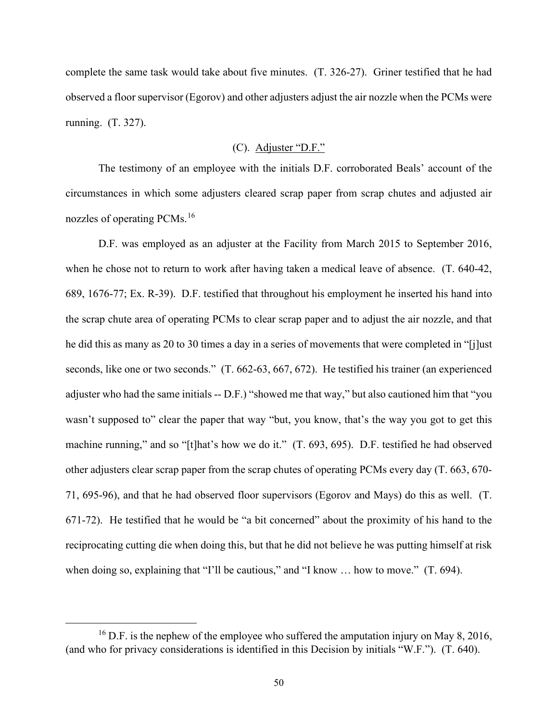complete the same task would take about five minutes. (T. 326-27). Griner testified that he had observed a floor supervisor (Egorov) and other adjusters adjust the air nozzle when the PCMs were running. (T. 327).

# (C). Adjuster "D.F."

The testimony of an employee with the initials D.F. corroborated Beals' account of the circumstances in which some adjusters cleared scrap paper from scrap chutes and adjusted air nozzles of operating PCMs.<sup>16</sup>

D.F. was employed as an adjuster at the Facility from March 2015 to September 2016, when he chose not to return to work after having taken a medical leave of absence. (T. 640-42, 689, 1676-77; Ex. R-39). D.F. testified that throughout his employment he inserted his hand into the scrap chute area of operating PCMs to clear scrap paper and to adjust the air nozzle, and that he did this as many as 20 to 30 times a day in a series of movements that were completed in "[j]ust seconds, like one or two seconds." (T. 662-63, 667, 672). He testified his trainer (an experienced adjuster who had the same initials -- D.F.) "showed me that way," but also cautioned him that "you wasn't supposed to" clear the paper that way "but, you know, that's the way you got to get this machine running," and so "[t]hat's how we do it." (T. 693, 695). D.F. testified he had observed other adjusters clear scrap paper from the scrap chutes of operating PCMs every day (T. 663, 670- 71, 695-96), and that he had observed floor supervisors (Egorov and Mays) do this as well. (T. 671-72). He testified that he would be "a bit concerned" about the proximity of his hand to the reciprocating cutting die when doing this, but that he did not believe he was putting himself at risk when doing so, explaining that "I'll be cautious," and "I know ... how to move." (T. 694).

 $16$  D.F. is the nephew of the employee who suffered the amputation injury on May 8, 2016, (and who for privacy considerations is identified in this Decision by initials "W.F."). (T. 640).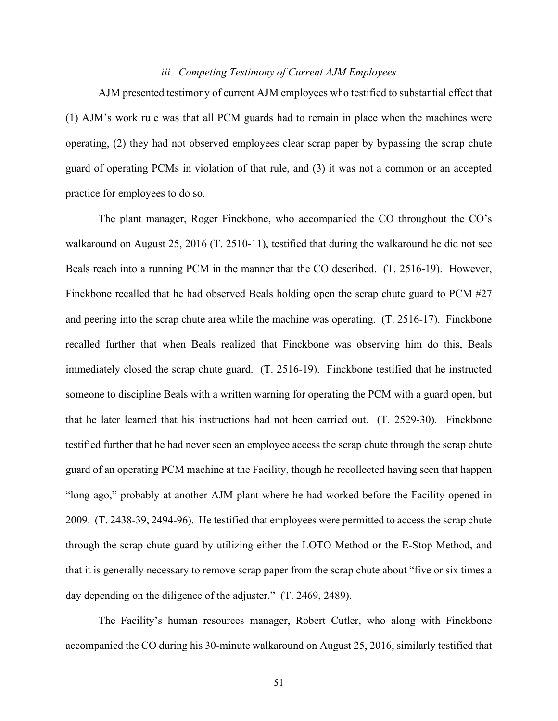# *iii. Competing Testimony of Current AJM Employees*

AJM presented testimony of current AJM employees who testified to substantial effect that (1) AJM's work rule was that all PCM guards had to remain in place when the machines were operating, (2) they had not observed employees clear scrap paper by bypassing the scrap chute guard of operating PCMs in violation of that rule, and (3) it was not a common or an accepted practice for employees to do so.

The plant manager, Roger Finckbone, who accompanied the CO throughout the CO's walkaround on August 25, 2016 (T. 2510-11), testified that during the walkaround he did not see Beals reach into a running PCM in the manner that the CO described. (T. 2516-19). However, Finckbone recalled that he had observed Beals holding open the scrap chute guard to PCM #27 and peering into the scrap chute area while the machine was operating. (T. 2516-17). Finckbone recalled further that when Beals realized that Finckbone was observing him do this, Beals immediately closed the scrap chute guard. (T. 2516-19). Finckbone testified that he instructed someone to discipline Beals with a written warning for operating the PCM with a guard open, but that he later learned that his instructions had not been carried out. (T. 2529-30). Finckbone testified further that he had never seen an employee access the scrap chute through the scrap chute guard of an operating PCM machine at the Facility, though he recollected having seen that happen "long ago," probably at another AJM plant where he had worked before the Facility opened in 2009. (T. 2438-39, 2494-96). He testified that employees were permitted to access the scrap chute through the scrap chute guard by utilizing either the LOTO Method or the E-Stop Method, and that it is generally necessary to remove scrap paper from the scrap chute about "five or six times a day depending on the diligence of the adjuster." (T. 2469, 2489).

The Facility's human resources manager, Robert Cutler, who along with Finckbone accompanied the CO during his 30-minute walkaround on August 25, 2016, similarly testified that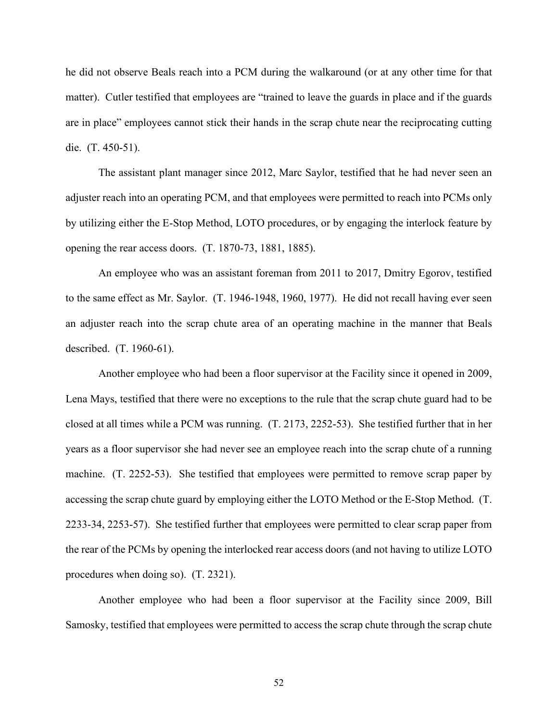he did not observe Beals reach into a PCM during the walkaround (or at any other time for that matter). Cutler testified that employees are "trained to leave the guards in place and if the guards are in place" employees cannot stick their hands in the scrap chute near the reciprocating cutting die. (T. 450-51).

The assistant plant manager since 2012, Marc Saylor, testified that he had never seen an adjuster reach into an operating PCM, and that employees were permitted to reach into PCMs only by utilizing either the E-Stop Method, LOTO procedures, or by engaging the interlock feature by opening the rear access doors. (T. 1870-73, 1881, 1885).

An employee who was an assistant foreman from 2011 to 2017, Dmitry Egorov, testified to the same effect as Mr. Saylor. (T. 1946-1948, 1960, 1977). He did not recall having ever seen an adjuster reach into the scrap chute area of an operating machine in the manner that Beals described. (T. 1960-61).

Another employee who had been a floor supervisor at the Facility since it opened in 2009, Lena Mays, testified that there were no exceptions to the rule that the scrap chute guard had to be closed at all times while a PCM was running. (T. 2173, 2252-53). She testified further that in her years as a floor supervisor she had never see an employee reach into the scrap chute of a running machine. (T. 2252-53). She testified that employees were permitted to remove scrap paper by accessing the scrap chute guard by employing either the LOTO Method or the E-Stop Method. (T. 2233-34, 2253-57). She testified further that employees were permitted to clear scrap paper from the rear of the PCMs by opening the interlocked rear access doors (and not having to utilize LOTO procedures when doing so). (T. 2321).

Another employee who had been a floor supervisor at the Facility since 2009, Bill Samosky, testified that employees were permitted to access the scrap chute through the scrap chute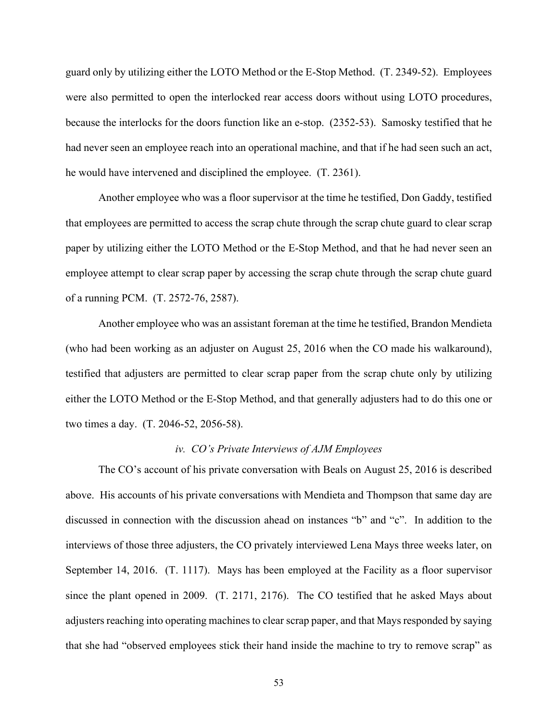guard only by utilizing either the LOTO Method or the E-Stop Method. (T. 2349-52). Employees were also permitted to open the interlocked rear access doors without using LOTO procedures, because the interlocks for the doors function like an e-stop. (2352-53). Samosky testified that he had never seen an employee reach into an operational machine, and that if he had seen such an act, he would have intervened and disciplined the employee. (T. 2361).

Another employee who was a floor supervisor at the time he testified, Don Gaddy, testified that employees are permitted to access the scrap chute through the scrap chute guard to clear scrap paper by utilizing either the LOTO Method or the E-Stop Method, and that he had never seen an employee attempt to clear scrap paper by accessing the scrap chute through the scrap chute guard of a running PCM. (T. 2572-76, 2587).

Another employee who was an assistant foreman at the time he testified, Brandon Mendieta (who had been working as an adjuster on August 25, 2016 when the CO made his walkaround), testified that adjusters are permitted to clear scrap paper from the scrap chute only by utilizing either the LOTO Method or the E-Stop Method, and that generally adjusters had to do this one or two times a day. (T. 2046-52, 2056-58).

### *iv. CO's Private Interviews of AJM Employees*

The CO's account of his private conversation with Beals on August 25, 2016 is described above. His accounts of his private conversations with Mendieta and Thompson that same day are discussed in connection with the discussion ahead on instances "b" and "c". In addition to the interviews of those three adjusters, the CO privately interviewed Lena Mays three weeks later, on September 14, 2016. (T. 1117). Mays has been employed at the Facility as a floor supervisor since the plant opened in 2009. (T. 2171, 2176). The CO testified that he asked Mays about adjusters reaching into operating machines to clear scrap paper, and that Mays responded by saying that she had "observed employees stick their hand inside the machine to try to remove scrap" as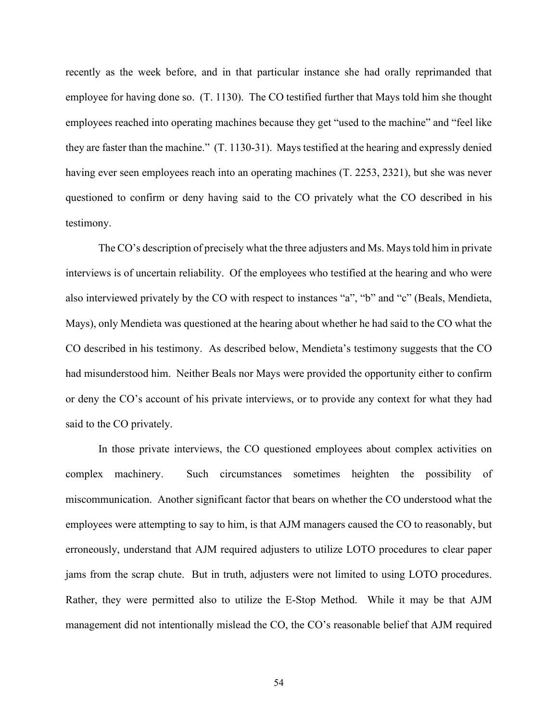recently as the week before, and in that particular instance she had orally reprimanded that employee for having done so. (T. 1130). The CO testified further that Mays told him she thought employees reached into operating machines because they get "used to the machine" and "feel like they are faster than the machine." (T. 1130-31). Mays testified at the hearing and expressly denied having ever seen employees reach into an operating machines (T. 2253, 2321), but she was never questioned to confirm or deny having said to the CO privately what the CO described in his testimony.

The CO's description of precisely what the three adjusters and Ms. Mays told him in private interviews is of uncertain reliability. Of the employees who testified at the hearing and who were also interviewed privately by the CO with respect to instances "a", "b" and "c" (Beals, Mendieta, Mays), only Mendieta was questioned at the hearing about whether he had said to the CO what the CO described in his testimony. As described below, Mendieta's testimony suggests that the CO had misunderstood him. Neither Beals nor Mays were provided the opportunity either to confirm or deny the CO's account of his private interviews, or to provide any context for what they had said to the CO privately.

In those private interviews, the CO questioned employees about complex activities on complex machinery. Such circumstances sometimes heighten the possibility of miscommunication. Another significant factor that bears on whether the CO understood what the employees were attempting to say to him, is that AJM managers caused the CO to reasonably, but erroneously, understand that AJM required adjusters to utilize LOTO procedures to clear paper jams from the scrap chute. But in truth, adjusters were not limited to using LOTO procedures. Rather, they were permitted also to utilize the E-Stop Method. While it may be that AJM management did not intentionally mislead the CO, the CO's reasonable belief that AJM required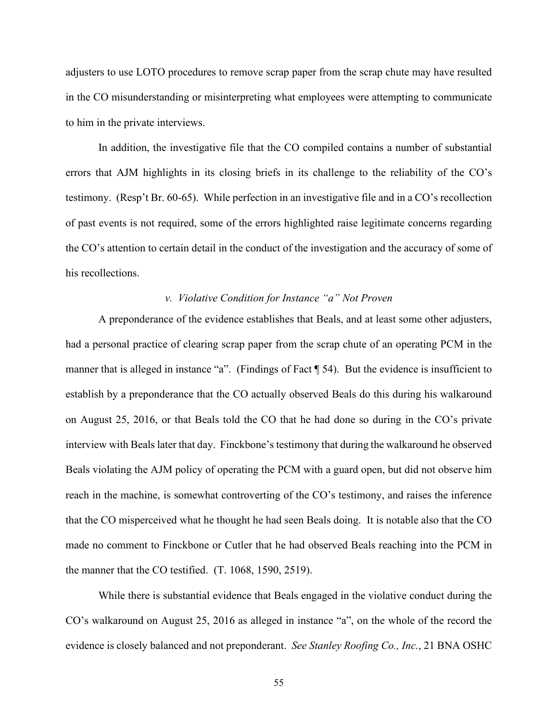adjusters to use LOTO procedures to remove scrap paper from the scrap chute may have resulted in the CO misunderstanding or misinterpreting what employees were attempting to communicate to him in the private interviews.

In addition, the investigative file that the CO compiled contains a number of substantial errors that AJM highlights in its closing briefs in its challenge to the reliability of the CO's testimony. (Resp't Br. 60-65). While perfection in an investigative file and in a CO's recollection of past events is not required, some of the errors highlighted raise legitimate concerns regarding the CO's attention to certain detail in the conduct of the investigation and the accuracy of some of his recollections.

## *v. Violative Condition for Instance "a" Not Proven*

A preponderance of the evidence establishes that Beals, and at least some other adjusters, had a personal practice of clearing scrap paper from the scrap chute of an operating PCM in the manner that is alleged in instance "a". (Findings of Fact ¶ 54). But the evidence is insufficient to establish by a preponderance that the CO actually observed Beals do this during his walkaround on August 25, 2016, or that Beals told the CO that he had done so during in the CO's private interview with Beals later that day. Finckbone's testimony that during the walkaround he observed Beals violating the AJM policy of operating the PCM with a guard open, but did not observe him reach in the machine, is somewhat controverting of the CO's testimony, and raises the inference that the CO misperceived what he thought he had seen Beals doing. It is notable also that the CO made no comment to Finckbone or Cutler that he had observed Beals reaching into the PCM in the manner that the CO testified. (T. 1068, 1590, 2519).

While there is substantial evidence that Beals engaged in the violative conduct during the CO's walkaround on August 25, 2016 as alleged in instance "a", on the whole of the record the evidence is closely balanced and not preponderant. *See Stanley Roofing Co., Inc.*, 21 BNA OSHC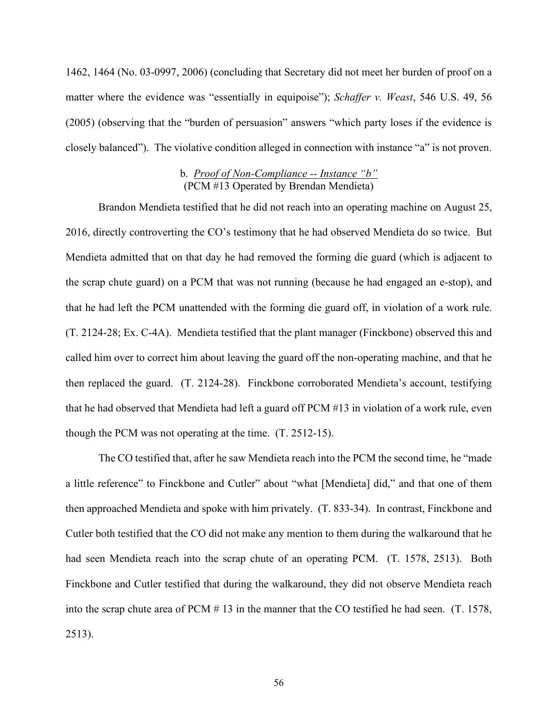1462, 1464 (No. 03-0997, 2006) (concluding that Secretary did not meet her burden of proof on a matter where the evidence was "essentially in equipoise"); *Schaffer v. Weast*, 546 U.S. 49, 56 (2005) (observing that the "burden of persuasion" answers "which party loses if the evidence is closely balanced"). The violative condition alleged in connection with instance "a" is not proven.

# b. *Proof of Non-Compliance -- Instance "b"*  (PCM #13 Operated by Brendan Mendieta)

Brandon Mendieta testified that he did not reach into an operating machine on August 25, 2016, directly controverting the CO's testimony that he had observed Mendieta do so twice. But Mendieta admitted that on that day he had removed the forming die guard (which is adjacent to the scrap chute guard) on a PCM that was not running (because he had engaged an e-stop), and that he had left the PCM unattended with the forming die guard off, in violation of a work rule. (T. 2124-28; Ex. C-4A). Mendieta testified that the plant manager (Finckbone) observed this and called him over to correct him about leaving the guard off the non-operating machine, and that he then replaced the guard. (T. 2124-28). Finckbone corroborated Mendieta's account, testifying that he had observed that Mendieta had left a guard off PCM #13 in violation of a work rule, even though the PCM was not operating at the time. (T. 2512-15).

The CO testified that, after he saw Mendieta reach into the PCM the second time, he "made a little reference" to Finckbone and Cutler" about "what [Mendieta] did," and that one of them then approached Mendieta and spoke with him privately. (T. 833-34). In contrast, Finckbone and Cutler both testified that the CO did not make any mention to them during the walkaround that he had seen Mendieta reach into the scrap chute of an operating PCM. (T. 1578, 2513). Both Finckbone and Cutler testified that during the walkaround, they did not observe Mendieta reach into the scrap chute area of PCM # 13 in the manner that the CO testified he had seen. (T. 1578, 2513).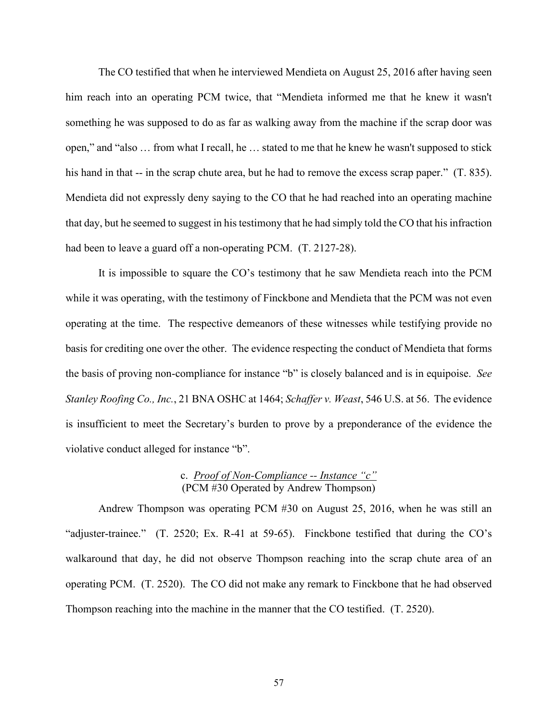The CO testified that when he interviewed Mendieta on August 25, 2016 after having seen him reach into an operating PCM twice, that "Mendieta informed me that he knew it wasn't something he was supposed to do as far as walking away from the machine if the scrap door was open," and "also … from what I recall, he … stated to me that he knew he wasn't supposed to stick his hand in that -- in the scrap chute area, but he had to remove the excess scrap paper." (T. 835). Mendieta did not expressly deny saying to the CO that he had reached into an operating machine that day, but he seemed to suggest in his testimony that he had simply told the CO that his infraction had been to leave a guard off a non-operating PCM. (T. 2127-28).

It is impossible to square the CO's testimony that he saw Mendieta reach into the PCM while it was operating, with the testimony of Finckbone and Mendieta that the PCM was not even operating at the time. The respective demeanors of these witnesses while testifying provide no basis for crediting one over the other. The evidence respecting the conduct of Mendieta that forms the basis of proving non-compliance for instance "b" is closely balanced and is in equipoise. *See Stanley Roofing Co., Inc.*, 21 BNA OSHC at 1464; *Schaffer v. Weast*, 546 U.S. at 56. The evidence is insufficient to meet the Secretary's burden to prove by a preponderance of the evidence the violative conduct alleged for instance "b".

## c. *Proof of Non-Compliance -- Instance "c"* (PCM #30 Operated by Andrew Thompson)

Andrew Thompson was operating PCM #30 on August 25, 2016, when he was still an "adjuster-trainee." (T. 2520; Ex. R-41 at 59-65). Finckbone testified that during the CO's walkaround that day, he did not observe Thompson reaching into the scrap chute area of an operating PCM. (T. 2520). The CO did not make any remark to Finckbone that he had observed Thompson reaching into the machine in the manner that the CO testified. (T. 2520).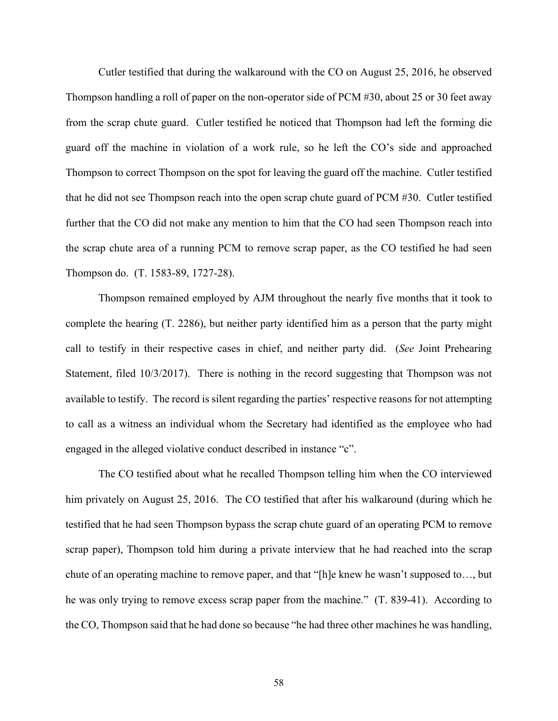Cutler testified that during the walkaround with the CO on August 25, 2016, he observed Thompson handling a roll of paper on the non-operator side of PCM #30, about 25 or 30 feet away from the scrap chute guard. Cutler testified he noticed that Thompson had left the forming die guard off the machine in violation of a work rule, so he left the CO's side and approached Thompson to correct Thompson on the spot for leaving the guard off the machine. Cutler testified that he did not see Thompson reach into the open scrap chute guard of PCM #30. Cutler testified further that the CO did not make any mention to him that the CO had seen Thompson reach into the scrap chute area of a running PCM to remove scrap paper, as the CO testified he had seen Thompson do. (T. 1583-89, 1727-28).

Thompson remained employed by AJM throughout the nearly five months that it took to complete the hearing (T. 2286), but neither party identified him as a person that the party might call to testify in their respective cases in chief, and neither party did. (*See* Joint Prehearing Statement, filed 10/3/2017). There is nothing in the record suggesting that Thompson was not available to testify. The record is silent regarding the parties' respective reasons for not attempting to call as a witness an individual whom the Secretary had identified as the employee who had engaged in the alleged violative conduct described in instance "c".

The CO testified about what he recalled Thompson telling him when the CO interviewed him privately on August 25, 2016. The CO testified that after his walkaround (during which he testified that he had seen Thompson bypass the scrap chute guard of an operating PCM to remove scrap paper), Thompson told him during a private interview that he had reached into the scrap chute of an operating machine to remove paper, and that "[h]e knew he wasn't supposed to…, but he was only trying to remove excess scrap paper from the machine." (T. 839-41). According to the CO, Thompson said that he had done so because "he had three other machines he was handling,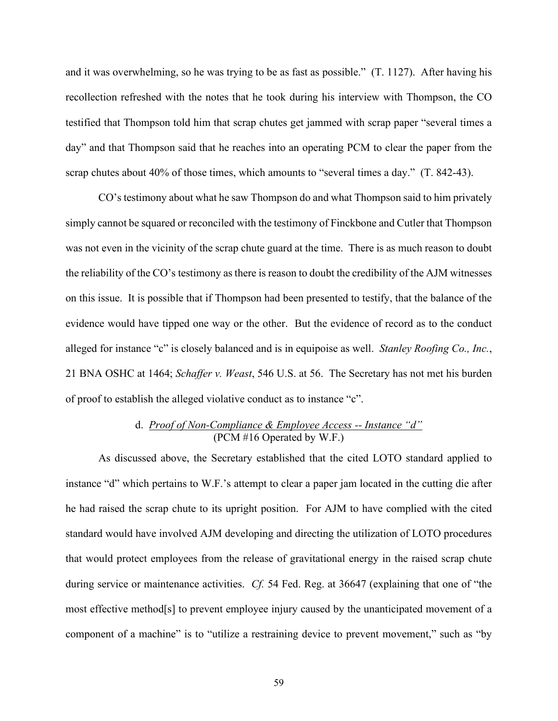and it was overwhelming, so he was trying to be as fast as possible." (T. 1127). After having his recollection refreshed with the notes that he took during his interview with Thompson, the CO testified that Thompson told him that scrap chutes get jammed with scrap paper "several times a day" and that Thompson said that he reaches into an operating PCM to clear the paper from the scrap chutes about 40% of those times, which amounts to "several times a day." (T. 842-43).

CO's testimony about what he saw Thompson do and what Thompson said to him privately simply cannot be squared or reconciled with the testimony of Finckbone and Cutler that Thompson was not even in the vicinity of the scrap chute guard at the time. There is as much reason to doubt the reliability of the CO's testimony as there is reason to doubt the credibility of the AJM witnesses on this issue. It is possible that if Thompson had been presented to testify, that the balance of the evidence would have tipped one way or the other. But the evidence of record as to the conduct alleged for instance "c" is closely balanced and is in equipoise as well. *Stanley Roofing Co., Inc.*, 21 BNA OSHC at 1464; *Schaffer v. Weast*, 546 U.S. at 56. The Secretary has not met his burden of proof to establish the alleged violative conduct as to instance "c".

# d. *Proof of Non-Compliance & Employee Access -- Instance "d"*  (PCM #16 Operated by W.F.)

As discussed above, the Secretary established that the cited LOTO standard applied to instance "d" which pertains to W.F.'s attempt to clear a paper jam located in the cutting die after he had raised the scrap chute to its upright position. For AJM to have complied with the cited standard would have involved AJM developing and directing the utilization of LOTO procedures that would protect employees from the release of gravitational energy in the raised scrap chute during service or maintenance activities. *Cf.* 54 Fed. Reg. at 36647 (explaining that one of "the most effective method[s] to prevent employee injury caused by the unanticipated movement of a component of a machine" is to "utilize a restraining device to prevent movement," such as "by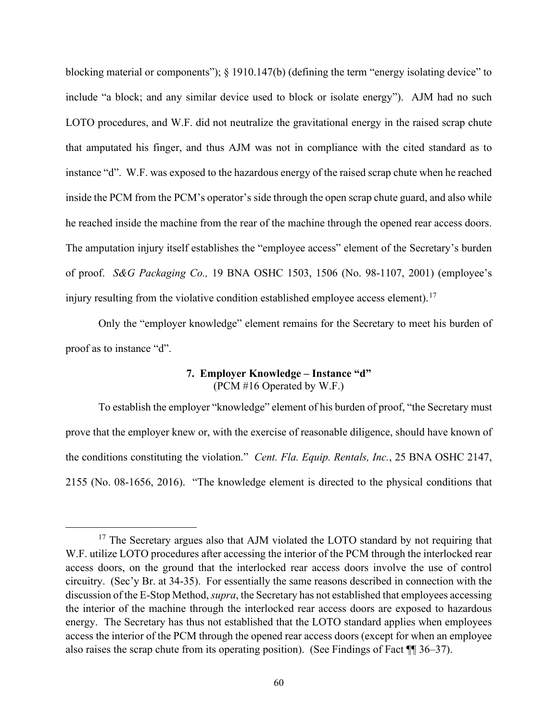blocking material or components"); § 1910.147(b) (defining the term "energy isolating device" to include "a block; and any similar device used to block or isolate energy"). AJM had no such LOTO procedures, and W.F. did not neutralize the gravitational energy in the raised scrap chute that amputated his finger, and thus AJM was not in compliance with the cited standard as to instance "d". W.F. was exposed to the hazardous energy of the raised scrap chute when he reached inside the PCM from the PCM's operator's side through the open scrap chute guard, and also while he reached inside the machine from the rear of the machine through the opened rear access doors. The amputation injury itself establishes the "employee access" element of the Secretary's burden of proof. *S&G Packaging Co.,* 19 BNA OSHC 1503, 1506 (No. 98-1107, 2001) (employee's injury resulting from the violative condition established employee access element).<sup>17</sup>

Only the "employer knowledge" element remains for the Secretary to meet his burden of proof as to instance "d".

# **7. Employer Knowledge – Instance "d"** (PCM #16 Operated by W.F.)

To establish the employer "knowledge" element of his burden of proof, "the Secretary must prove that the employer knew or, with the exercise of reasonable diligence, should have known of the conditions constituting the violation." *Cent. Fla. Equip. Rentals, Inc.*, 25 BNA OSHC 2147, 2155 (No. 08-1656, 2016). "The knowledge element is directed to the physical conditions that

<sup>&</sup>lt;sup>17</sup> The Secretary argues also that AJM violated the LOTO standard by not requiring that W.F. utilize LOTO procedures after accessing the interior of the PCM through the interlocked rear access doors, on the ground that the interlocked rear access doors involve the use of control circuitry. (Sec'y Br. at 34-35). For essentially the same reasons described in connection with the discussion of the E-Stop Method, *supra*, the Secretary has not established that employees accessing the interior of the machine through the interlocked rear access doors are exposed to hazardous energy. The Secretary has thus not established that the LOTO standard applies when employees access the interior of the PCM through the opened rear access doors (except for when an employee also raises the scrap chute from its operating position). (See Findings of Fact ¶¶ 36–37).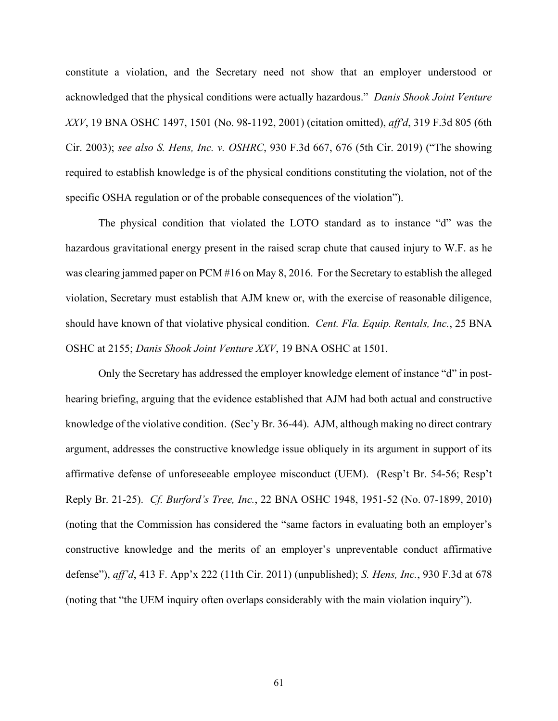constitute a violation, and the Secretary need not show that an employer understood or acknowledged that the physical conditions were actually hazardous." *Danis Shook Joint Venture XXV*, 19 BNA OSHC 1497, 1501 (No. 98-1192, 2001) (citation omitted), *aff'd*, 319 F.3d 805 (6th Cir. 2003); *see also S. Hens, Inc. v. OSHRC*, 930 F.3d 667, 676 (5th Cir. 2019) ("The showing required to establish knowledge is of the physical conditions constituting the violation, not of the specific OSHA regulation or of the probable consequences of the violation").

The physical condition that violated the LOTO standard as to instance "d" was the hazardous gravitational energy present in the raised scrap chute that caused injury to W.F. as he was clearing jammed paper on PCM #16 on May 8, 2016. For the Secretary to establish the alleged violation, Secretary must establish that AJM knew or, with the exercise of reasonable diligence, should have known of that violative physical condition. *Cent. Fla. Equip. Rentals, Inc.*, 25 BNA OSHC at 2155; *Danis Shook Joint Venture XXV*, 19 BNA OSHC at 1501.

Only the Secretary has addressed the employer knowledge element of instance "d" in posthearing briefing, arguing that the evidence established that AJM had both actual and constructive knowledge of the violative condition. (Sec'y Br. 36-44). AJM, although making no direct contrary argument, addresses the constructive knowledge issue obliquely in its argument in support of its affirmative defense of unforeseeable employee misconduct (UEM). (Resp't Br. 54-56; Resp't Reply Br. 21-25). *Cf. Burford's Tree, Inc.*, 22 BNA OSHC 1948, 1951-52 (No. 07-1899, 2010) (noting that the Commission has considered the "same factors in evaluating both an employer's constructive knowledge and the merits of an employer's unpreventable conduct affirmative defense"), *aff'd*, 413 F. App'x 222 (11th Cir. 2011) (unpublished); *S. Hens, Inc.*, 930 F.3d at 678 (noting that "the UEM inquiry often overlaps considerably with the main violation inquiry").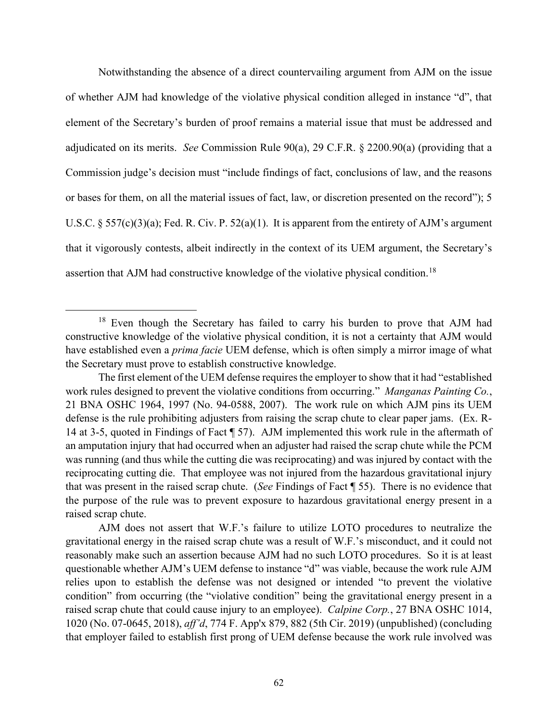Notwithstanding the absence of a direct countervailing argument from AJM on the issue of whether AJM had knowledge of the violative physical condition alleged in instance "d", that element of the Secretary's burden of proof remains a material issue that must be addressed and adjudicated on its merits. *See* Commission Rule 90(a), 29 C.F.R. § 2200.90(a) (providing that a Commission judge's decision must "include findings of fact, conclusions of law, and the reasons or bases for them, on all the material issues of fact, law, or discretion presented on the record"); 5 U.S.C.  $\S 557(c)(3)(a)$ ; Fed. R. Civ. P.  $52(a)(1)$ . It is apparent from the entirety of AJM's argument that it vigorously contests, albeit indirectly in the context of its UEM argument, the Secretary's assertion that AJM had constructive knowledge of the violative physical condition.<sup>18</sup>

<sup>&</sup>lt;sup>18</sup> Even though the Secretary has failed to carry his burden to prove that AJM had constructive knowledge of the violative physical condition, it is not a certainty that AJM would have established even a *prima facie* UEM defense, which is often simply a mirror image of what the Secretary must prove to establish constructive knowledge.

The first element of the UEM defense requires the employer to show that it had "established work rules designed to prevent the violative conditions from occurring." *Manganas Painting Co.*, 21 BNA OSHC 1964, 1997 (No. 94-0588, 2007). The work rule on which AJM pins its UEM defense is the rule prohibiting adjusters from raising the scrap chute to clear paper jams. (Ex. R-14 at 3-5, quoted in Findings of Fact ¶ 57). AJM implemented this work rule in the aftermath of an amputation injury that had occurred when an adjuster had raised the scrap chute while the PCM was running (and thus while the cutting die was reciprocating) and was injured by contact with the reciprocating cutting die. That employee was not injured from the hazardous gravitational injury that was present in the raised scrap chute. (*See* Findings of Fact ¶ 55). There is no evidence that the purpose of the rule was to prevent exposure to hazardous gravitational energy present in a raised scrap chute.

AJM does not assert that W.F.'s failure to utilize LOTO procedures to neutralize the gravitational energy in the raised scrap chute was a result of W.F.'s misconduct, and it could not reasonably make such an assertion because AJM had no such LOTO procedures. So it is at least questionable whether AJM's UEM defense to instance "d" was viable, because the work rule AJM relies upon to establish the defense was not designed or intended "to prevent the violative condition" from occurring (the "violative condition" being the gravitational energy present in a raised scrap chute that could cause injury to an employee). *Calpine Corp.*, 27 BNA OSHC 1014, 1020 (No. 07-0645, 2018), *aff'd*, 774 F. App'x 879, 882 (5th Cir. 2019) (unpublished) (concluding that employer failed to establish first prong of UEM defense because the work rule involved was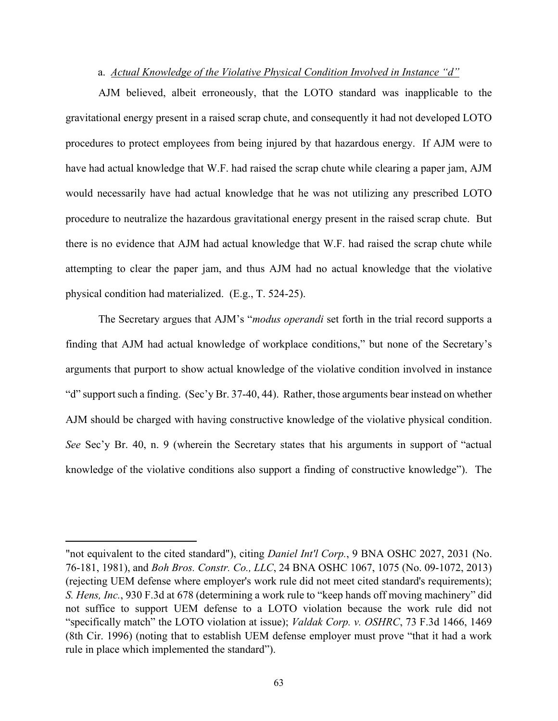#### a. *Actual Knowledge of the Violative Physical Condition Involved in Instance "d"*

AJM believed, albeit erroneously, that the LOTO standard was inapplicable to the gravitational energy present in a raised scrap chute, and consequently it had not developed LOTO procedures to protect employees from being injured by that hazardous energy. If AJM were to have had actual knowledge that W.F. had raised the scrap chute while clearing a paper jam, AJM would necessarily have had actual knowledge that he was not utilizing any prescribed LOTO procedure to neutralize the hazardous gravitational energy present in the raised scrap chute. But there is no evidence that AJM had actual knowledge that W.F. had raised the scrap chute while attempting to clear the paper jam, and thus AJM had no actual knowledge that the violative physical condition had materialized. (E.g., T. 524-25).

The Secretary argues that AJM's "*modus operandi* set forth in the trial record supports a finding that AJM had actual knowledge of workplace conditions," but none of the Secretary's arguments that purport to show actual knowledge of the violative condition involved in instance "d" support such a finding. (Sec'y Br. 37-40, 44). Rather, those arguments bear instead on whether AJM should be charged with having constructive knowledge of the violative physical condition. *See* Sec'y Br. 40, n. 9 (wherein the Secretary states that his arguments in support of "actual knowledge of the violative conditions also support a finding of constructive knowledge"). The

<sup>&</sup>quot;not equivalent to the cited standard"), citing *Daniel Int'l Corp.*, 9 BNA OSHC 2027, 2031 (No. 76-181, 1981), and *Boh Bros. Constr. Co., LLC*, 24 BNA OSHC 1067, 1075 (No. 09-1072, 2013) (rejecting UEM defense where employer's work rule did not meet cited standard's requirements); *S. Hens, Inc.*, 930 F.3d at 678 (determining a work rule to "keep hands off moving machinery" did not suffice to support UEM defense to a LOTO violation because the work rule did not "specifically match" the LOTO violation at issue); *Valdak Corp. v. OSHRC*, 73 F.3d 1466, 1469 (8th Cir. 1996) (noting that to establish UEM defense employer must prove "that it had a work rule in place which implemented the standard").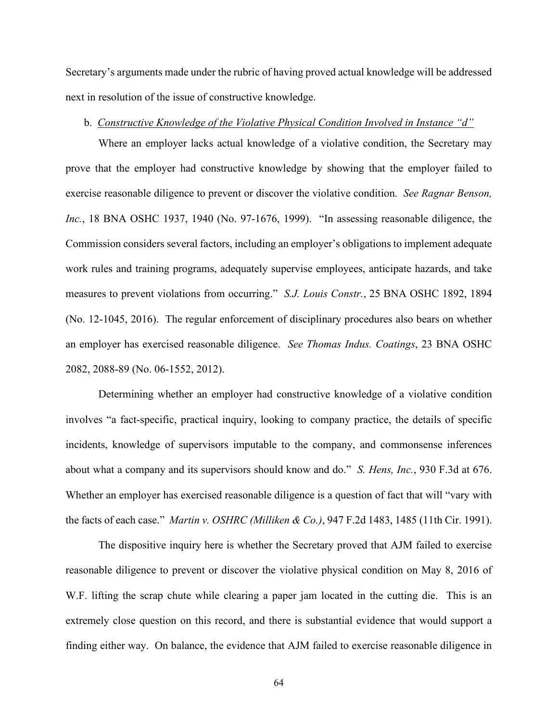Secretary's arguments made under the rubric of having proved actual knowledge will be addressed next in resolution of the issue of constructive knowledge.

#### b. *Constructive Knowledge of the Violative Physical Condition Involved in Instance "d"*

Where an employer lacks actual knowledge of a violative condition, the Secretary may prove that the employer had constructive knowledge by showing that the employer failed to exercise reasonable diligence to prevent or discover the violative condition. *See Ragnar Benson, Inc.*, 18 BNA OSHC 1937, 1940 (No. 97-1676, 1999). "In assessing reasonable diligence, the Commission considers several factors, including an employer's obligations to implement adequate work rules and training programs, adequately supervise employees, anticipate hazards, and take measures to prevent violations from occurring." *S.J. Louis Constr.*, 25 BNA OSHC 1892, 1894 (No. 12-1045, 2016). The regular enforcement of disciplinary procedures also bears on whether an employer has exercised reasonable diligence. *See Thomas Indus. Coatings*, 23 BNA OSHC 2082, 2088-89 (No. 06-1552, 2012).

Determining whether an employer had constructive knowledge of a violative condition involves "a fact-specific, practical inquiry, looking to company practice, the details of specific incidents, knowledge of supervisors imputable to the company, and commonsense inferences about what a company and its supervisors should know and do." *S. Hens, Inc.*, 930 F.3d at 676. Whether an employer has exercised reasonable diligence is a question of fact that will "vary with the facts of each case." *Martin v. OSHRC (Milliken & Co.)*, 947 F.2d 1483, 1485 (11th Cir. 1991).

The dispositive inquiry here is whether the Secretary proved that AJM failed to exercise reasonable diligence to prevent or discover the violative physical condition on May 8, 2016 of W.F. lifting the scrap chute while clearing a paper jam located in the cutting die. This is an extremely close question on this record, and there is substantial evidence that would support a finding either way. On balance, the evidence that AJM failed to exercise reasonable diligence in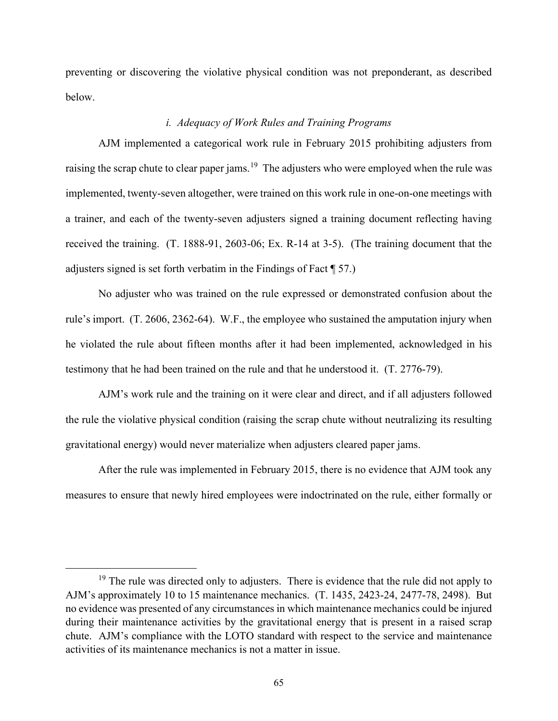preventing or discovering the violative physical condition was not preponderant, as described below.

# *i. Adequacy of Work Rules and Training Programs*

AJM implemented a categorical work rule in February 2015 prohibiting adjusters from raising the scrap chute to clear paper jams.<sup>19</sup> The adjusters who were employed when the rule was implemented, twenty-seven altogether, were trained on this work rule in one-on-one meetings with a trainer, and each of the twenty-seven adjusters signed a training document reflecting having received the training. (T. 1888-91, 2603-06; Ex. R-14 at 3-5). (The training document that the adjusters signed is set forth verbatim in the Findings of Fact ¶ 57.)

No adjuster who was trained on the rule expressed or demonstrated confusion about the rule's import. (T. 2606, 2362-64). W.F., the employee who sustained the amputation injury when he violated the rule about fifteen months after it had been implemented, acknowledged in his testimony that he had been trained on the rule and that he understood it. (T. 2776-79).

AJM's work rule and the training on it were clear and direct, and if all adjusters followed the rule the violative physical condition (raising the scrap chute without neutralizing its resulting gravitational energy) would never materialize when adjusters cleared paper jams.

After the rule was implemented in February 2015, there is no evidence that AJM took any measures to ensure that newly hired employees were indoctrinated on the rule, either formally or

 $19$  The rule was directed only to adjusters. There is evidence that the rule did not apply to AJM's approximately 10 to 15 maintenance mechanics. (T. 1435, 2423-24, 2477-78, 2498). But no evidence was presented of any circumstances in which maintenance mechanics could be injured during their maintenance activities by the gravitational energy that is present in a raised scrap chute. AJM's compliance with the LOTO standard with respect to the service and maintenance activities of its maintenance mechanics is not a matter in issue.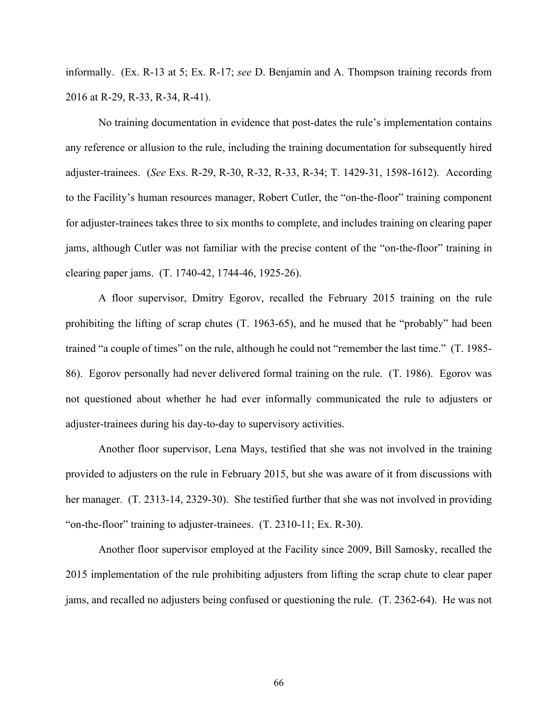informally. (Ex. R-13 at 5; Ex. R-17; *see* D. Benjamin and A. Thompson training records from 2016 at R-29, R-33, R-34, R-41).

No training documentation in evidence that post-dates the rule's implementation contains any reference or allusion to the rule, including the training documentation for subsequently hired adjuster-trainees. (*See* Exs. R-29, R-30, R-32, R-33, R-34; T. 1429-31, 1598-1612). According to the Facility's human resources manager, Robert Cutler, the "on-the-floor" training component for adjuster-trainees takes three to six months to complete, and includes training on clearing paper jams, although Cutler was not familiar with the precise content of the "on-the-floor" training in clearing paper jams. (T. 1740-42, 1744-46, 1925-26).

A floor supervisor, Dmitry Egorov, recalled the February 2015 training on the rule prohibiting the lifting of scrap chutes (T. 1963-65), and he mused that he "probably" had been trained "a couple of times" on the rule, although he could not "remember the last time." (T. 1985- 86). Egorov personally had never delivered formal training on the rule. (T. 1986). Egorov was not questioned about whether he had ever informally communicated the rule to adjusters or adjuster-trainees during his day-to-day to supervisory activities.

Another floor supervisor, Lena Mays, testified that she was not involved in the training provided to adjusters on the rule in February 2015, but she was aware of it from discussions with her manager. (T. 2313-14, 2329-30). She testified further that she was not involved in providing "on-the-floor" training to adjuster-trainees. (T. 2310-11; Ex. R-30).

Another floor supervisor employed at the Facility since 2009, Bill Samosky, recalled the 2015 implementation of the rule prohibiting adjusters from lifting the scrap chute to clear paper jams, and recalled no adjusters being confused or questioning the rule. (T. 2362-64). He was not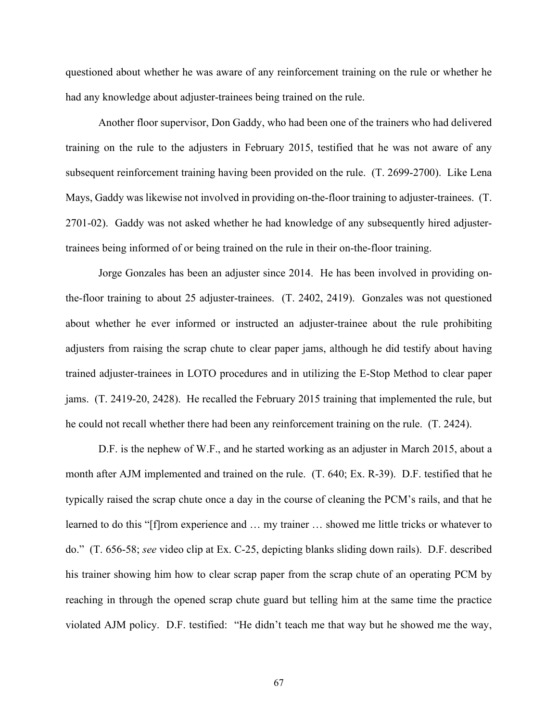questioned about whether he was aware of any reinforcement training on the rule or whether he had any knowledge about adjuster-trainees being trained on the rule.

Another floor supervisor, Don Gaddy, who had been one of the trainers who had delivered training on the rule to the adjusters in February 2015, testified that he was not aware of any subsequent reinforcement training having been provided on the rule. (T. 2699-2700). Like Lena Mays, Gaddy was likewise not involved in providing on-the-floor training to adjuster-trainees. (T. 2701-02). Gaddy was not asked whether he had knowledge of any subsequently hired adjustertrainees being informed of or being trained on the rule in their on-the-floor training.

Jorge Gonzales has been an adjuster since 2014. He has been involved in providing onthe-floor training to about 25 adjuster-trainees. (T. 2402, 2419). Gonzales was not questioned about whether he ever informed or instructed an adjuster-trainee about the rule prohibiting adjusters from raising the scrap chute to clear paper jams, although he did testify about having trained adjuster-trainees in LOTO procedures and in utilizing the E-Stop Method to clear paper jams. (T. 2419-20, 2428). He recalled the February 2015 training that implemented the rule, but he could not recall whether there had been any reinforcement training on the rule. (T. 2424).

D.F. is the nephew of W.F., and he started working as an adjuster in March 2015, about a month after AJM implemented and trained on the rule. (T. 640; Ex. R-39). D.F. testified that he typically raised the scrap chute once a day in the course of cleaning the PCM's rails, and that he learned to do this "[f]rom experience and … my trainer … showed me little tricks or whatever to do." (T. 656-58; *see* video clip at Ex. C-25, depicting blanks sliding down rails). D.F. described his trainer showing him how to clear scrap paper from the scrap chute of an operating PCM by reaching in through the opened scrap chute guard but telling him at the same time the practice violated AJM policy. D.F. testified: "He didn't teach me that way but he showed me the way,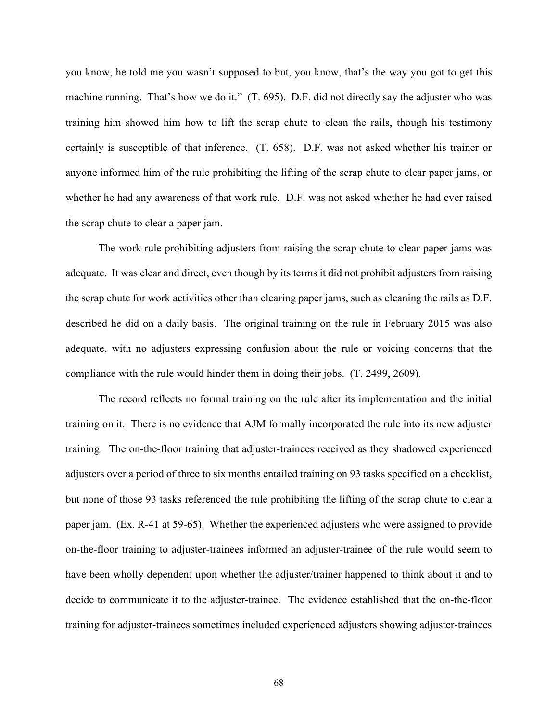you know, he told me you wasn't supposed to but, you know, that's the way you got to get this machine running. That's how we do it." (T. 695). D.F. did not directly say the adjuster who was training him showed him how to lift the scrap chute to clean the rails, though his testimony certainly is susceptible of that inference. (T. 658). D.F. was not asked whether his trainer or anyone informed him of the rule prohibiting the lifting of the scrap chute to clear paper jams, or whether he had any awareness of that work rule. D.F. was not asked whether he had ever raised the scrap chute to clear a paper jam.

The work rule prohibiting adjusters from raising the scrap chute to clear paper jams was adequate. It was clear and direct, even though by its terms it did not prohibit adjusters from raising the scrap chute for work activities other than clearing paper jams, such as cleaning the rails as D.F. described he did on a daily basis. The original training on the rule in February 2015 was also adequate, with no adjusters expressing confusion about the rule or voicing concerns that the compliance with the rule would hinder them in doing their jobs. (T. 2499, 2609).

The record reflects no formal training on the rule after its implementation and the initial training on it. There is no evidence that AJM formally incorporated the rule into its new adjuster training. The on-the-floor training that adjuster-trainees received as they shadowed experienced adjusters over a period of three to six months entailed training on 93 tasks specified on a checklist, but none of those 93 tasks referenced the rule prohibiting the lifting of the scrap chute to clear a paper jam. (Ex. R-41 at 59-65). Whether the experienced adjusters who were assigned to provide on-the-floor training to adjuster-trainees informed an adjuster-trainee of the rule would seem to have been wholly dependent upon whether the adjuster/trainer happened to think about it and to decide to communicate it to the adjuster-trainee. The evidence established that the on-the-floor training for adjuster-trainees sometimes included experienced adjusters showing adjuster-trainees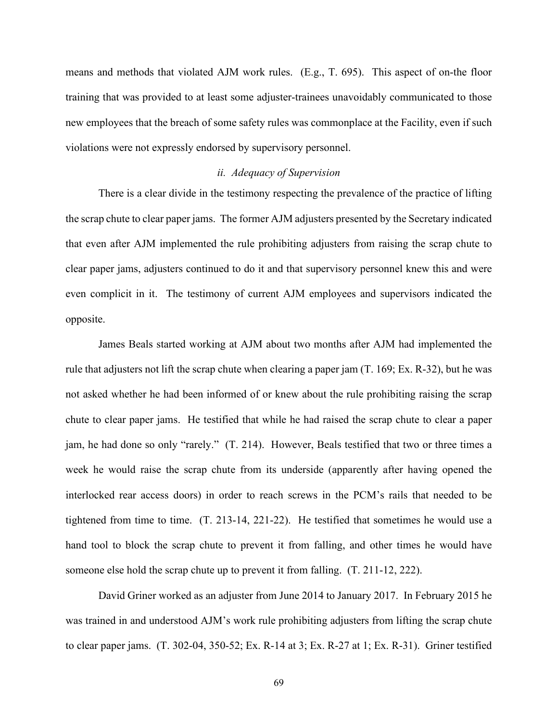means and methods that violated AJM work rules. (E.g., T. 695). This aspect of on-the floor training that was provided to at least some adjuster-trainees unavoidably communicated to those new employees that the breach of some safety rules was commonplace at the Facility, even if such violations were not expressly endorsed by supervisory personnel.

#### *ii. Adequacy of Supervision*

There is a clear divide in the testimony respecting the prevalence of the practice of lifting the scrap chute to clear paper jams. The former AJM adjusters presented by the Secretary indicated that even after AJM implemented the rule prohibiting adjusters from raising the scrap chute to clear paper jams, adjusters continued to do it and that supervisory personnel knew this and were even complicit in it. The testimony of current AJM employees and supervisors indicated the opposite.

James Beals started working at AJM about two months after AJM had implemented the rule that adjusters not lift the scrap chute when clearing a paper jam (T. 169; Ex. R-32), but he was not asked whether he had been informed of or knew about the rule prohibiting raising the scrap chute to clear paper jams. He testified that while he had raised the scrap chute to clear a paper jam, he had done so only "rarely." (T. 214). However, Beals testified that two or three times a week he would raise the scrap chute from its underside (apparently after having opened the interlocked rear access doors) in order to reach screws in the PCM's rails that needed to be tightened from time to time. (T. 213-14, 221-22). He testified that sometimes he would use a hand tool to block the scrap chute to prevent it from falling, and other times he would have someone else hold the scrap chute up to prevent it from falling. (T. 211-12, 222).

David Griner worked as an adjuster from June 2014 to January 2017. In February 2015 he was trained in and understood AJM's work rule prohibiting adjusters from lifting the scrap chute to clear paper jams. (T. 302-04, 350-52; Ex. R-14 at 3; Ex. R-27 at 1; Ex. R-31). Griner testified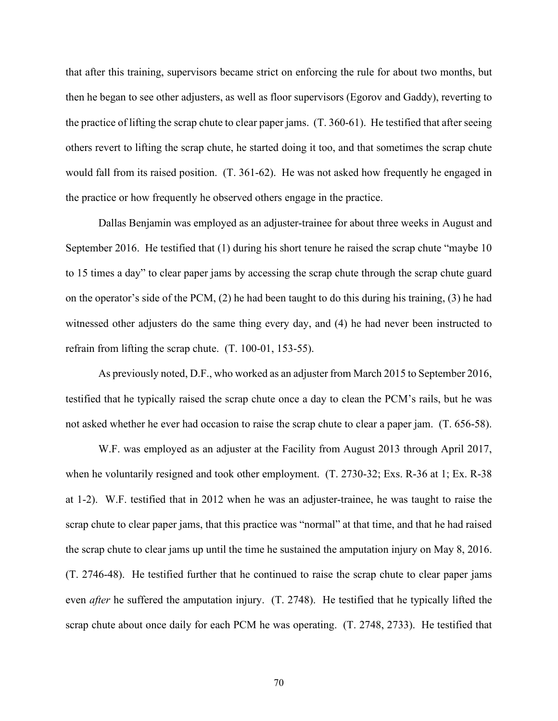that after this training, supervisors became strict on enforcing the rule for about two months, but then he began to see other adjusters, as well as floor supervisors (Egorov and Gaddy), reverting to the practice of lifting the scrap chute to clear paper jams. (T. 360-61). He testified that after seeing others revert to lifting the scrap chute, he started doing it too, and that sometimes the scrap chute would fall from its raised position. (T. 361-62). He was not asked how frequently he engaged in the practice or how frequently he observed others engage in the practice.

Dallas Benjamin was employed as an adjuster-trainee for about three weeks in August and September 2016. He testified that (1) during his short tenure he raised the scrap chute "maybe 10 to 15 times a day" to clear paper jams by accessing the scrap chute through the scrap chute guard on the operator's side of the PCM, (2) he had been taught to do this during his training, (3) he had witnessed other adjusters do the same thing every day, and (4) he had never been instructed to refrain from lifting the scrap chute. (T. 100-01, 153-55).

As previously noted, D.F., who worked as an adjuster from March 2015 to September 2016, testified that he typically raised the scrap chute once a day to clean the PCM's rails, but he was not asked whether he ever had occasion to raise the scrap chute to clear a paper jam. (T. 656-58).

W.F. was employed as an adjuster at the Facility from August 2013 through April 2017, when he voluntarily resigned and took other employment. (T. 2730-32; Exs. R-36 at 1; Ex. R-38 at 1-2). W.F. testified that in 2012 when he was an adjuster-trainee, he was taught to raise the scrap chute to clear paper jams, that this practice was "normal" at that time, and that he had raised the scrap chute to clear jams up until the time he sustained the amputation injury on May 8, 2016. (T. 2746-48). He testified further that he continued to raise the scrap chute to clear paper jams even *after* he suffered the amputation injury. (T. 2748). He testified that he typically lifted the scrap chute about once daily for each PCM he was operating. (T. 2748, 2733). He testified that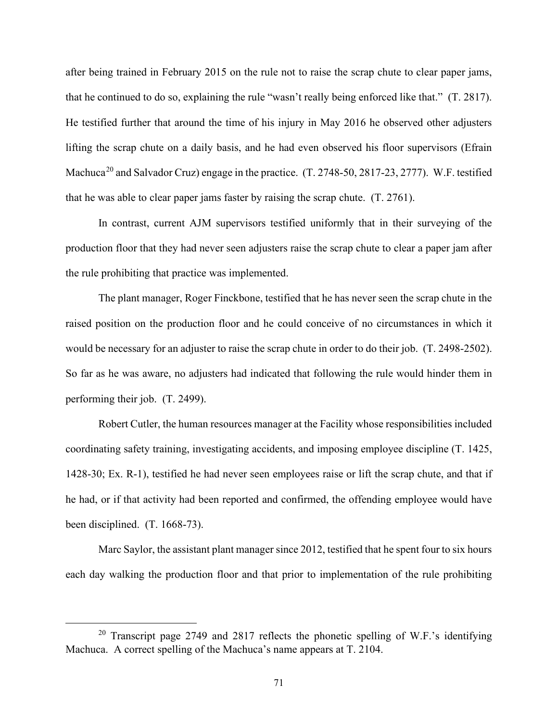after being trained in February 2015 on the rule not to raise the scrap chute to clear paper jams, that he continued to do so, explaining the rule "wasn't really being enforced like that." (T. 2817). He testified further that around the time of his injury in May 2016 he observed other adjusters lifting the scrap chute on a daily basis, and he had even observed his floor supervisors (Efrain Machuca<sup>20</sup> and Salvador Cruz) engage in the practice. (T. 2748-50, 2817-23, 2777). W.F. testified that he was able to clear paper jams faster by raising the scrap chute. (T. 2761).

In contrast, current AJM supervisors testified uniformly that in their surveying of the production floor that they had never seen adjusters raise the scrap chute to clear a paper jam after the rule prohibiting that practice was implemented.

The plant manager, Roger Finckbone, testified that he has never seen the scrap chute in the raised position on the production floor and he could conceive of no circumstances in which it would be necessary for an adjuster to raise the scrap chute in order to do their job. (T. 2498-2502). So far as he was aware, no adjusters had indicated that following the rule would hinder them in performing their job. (T. 2499).

Robert Cutler, the human resources manager at the Facility whose responsibilities included coordinating safety training, investigating accidents, and imposing employee discipline (T. 1425, 1428-30; Ex. R-1), testified he had never seen employees raise or lift the scrap chute, and that if he had, or if that activity had been reported and confirmed, the offending employee would have been disciplined. (T. 1668-73).

Marc Saylor, the assistant plant manager since 2012, testified that he spent four to six hours each day walking the production floor and that prior to implementation of the rule prohibiting

<sup>&</sup>lt;sup>20</sup> Transcript page 2749 and 2817 reflects the phonetic spelling of W.F.'s identifying Machuca. A correct spelling of the Machuca's name appears at T. 2104.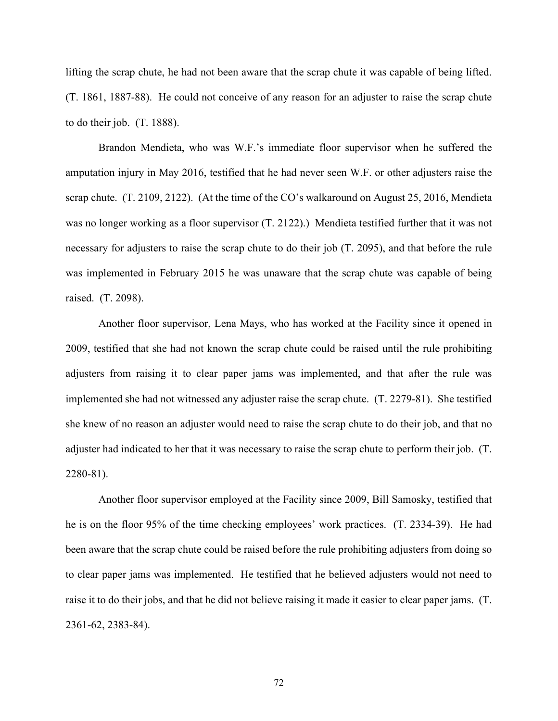lifting the scrap chute, he had not been aware that the scrap chute it was capable of being lifted. (T. 1861, 1887-88). He could not conceive of any reason for an adjuster to raise the scrap chute to do their job. (T. 1888).

Brandon Mendieta, who was W.F.'s immediate floor supervisor when he suffered the amputation injury in May 2016, testified that he had never seen W.F. or other adjusters raise the scrap chute. (T. 2109, 2122). (At the time of the CO's walkaround on August 25, 2016, Mendieta was no longer working as a floor supervisor (T. 2122).) Mendieta testified further that it was not necessary for adjusters to raise the scrap chute to do their job (T. 2095), and that before the rule was implemented in February 2015 he was unaware that the scrap chute was capable of being raised. (T. 2098).

Another floor supervisor, Lena Mays, who has worked at the Facility since it opened in 2009, testified that she had not known the scrap chute could be raised until the rule prohibiting adjusters from raising it to clear paper jams was implemented, and that after the rule was implemented she had not witnessed any adjuster raise the scrap chute. (T. 2279-81). She testified she knew of no reason an adjuster would need to raise the scrap chute to do their job, and that no adjuster had indicated to her that it was necessary to raise the scrap chute to perform their job. (T. 2280-81).

Another floor supervisor employed at the Facility since 2009, Bill Samosky, testified that he is on the floor 95% of the time checking employees' work practices. (T. 2334-39). He had been aware that the scrap chute could be raised before the rule prohibiting adjusters from doing so to clear paper jams was implemented. He testified that he believed adjusters would not need to raise it to do their jobs, and that he did not believe raising it made it easier to clear paper jams. (T. 2361-62, 2383-84).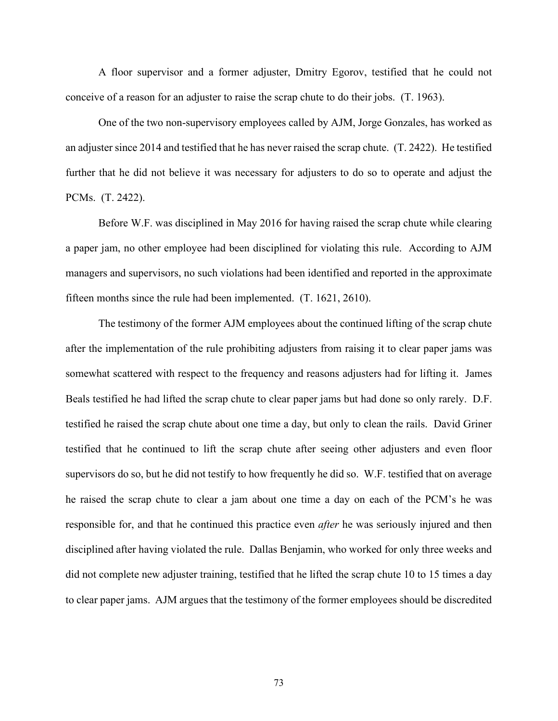A floor supervisor and a former adjuster, Dmitry Egorov, testified that he could not conceive of a reason for an adjuster to raise the scrap chute to do their jobs. (T. 1963).

One of the two non-supervisory employees called by AJM, Jorge Gonzales, has worked as an adjuster since 2014 and testified that he has never raised the scrap chute. (T. 2422). He testified further that he did not believe it was necessary for adjusters to do so to operate and adjust the PCMs. (T. 2422).

Before W.F. was disciplined in May 2016 for having raised the scrap chute while clearing a paper jam, no other employee had been disciplined for violating this rule. According to AJM managers and supervisors, no such violations had been identified and reported in the approximate fifteen months since the rule had been implemented. (T. 1621, 2610).

The testimony of the former AJM employees about the continued lifting of the scrap chute after the implementation of the rule prohibiting adjusters from raising it to clear paper jams was somewhat scattered with respect to the frequency and reasons adjusters had for lifting it. James Beals testified he had lifted the scrap chute to clear paper jams but had done so only rarely. D.F. testified he raised the scrap chute about one time a day, but only to clean the rails. David Griner testified that he continued to lift the scrap chute after seeing other adjusters and even floor supervisors do so, but he did not testify to how frequently he did so. W.F. testified that on average he raised the scrap chute to clear a jam about one time a day on each of the PCM's he was responsible for, and that he continued this practice even *after* he was seriously injured and then disciplined after having violated the rule. Dallas Benjamin, who worked for only three weeks and did not complete new adjuster training, testified that he lifted the scrap chute 10 to 15 times a day to clear paper jams. AJM argues that the testimony of the former employees should be discredited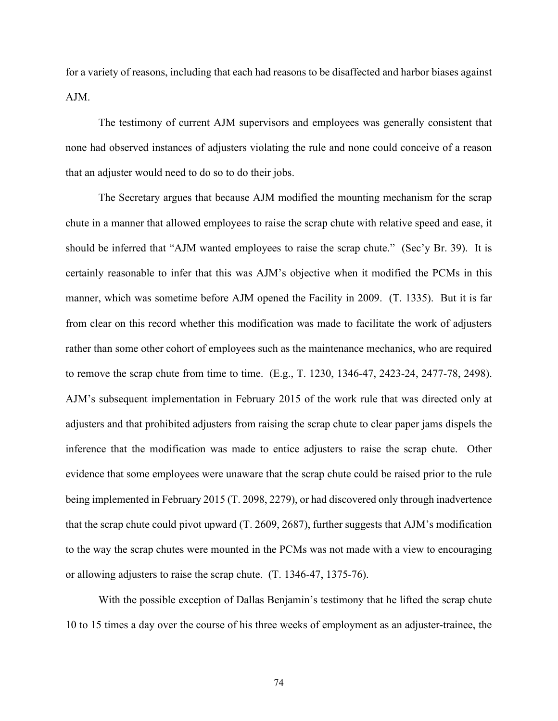for a variety of reasons, including that each had reasons to be disaffected and harbor biases against AJM.

The testimony of current AJM supervisors and employees was generally consistent that none had observed instances of adjusters violating the rule and none could conceive of a reason that an adjuster would need to do so to do their jobs.

The Secretary argues that because AJM modified the mounting mechanism for the scrap chute in a manner that allowed employees to raise the scrap chute with relative speed and ease, it should be inferred that "AJM wanted employees to raise the scrap chute." (Sec'y Br. 39). It is certainly reasonable to infer that this was AJM's objective when it modified the PCMs in this manner, which was sometime before AJM opened the Facility in 2009. (T. 1335). But it is far from clear on this record whether this modification was made to facilitate the work of adjusters rather than some other cohort of employees such as the maintenance mechanics, who are required to remove the scrap chute from time to time. (E.g., T. 1230, 1346-47, 2423-24, 2477-78, 2498). AJM's subsequent implementation in February 2015 of the work rule that was directed only at adjusters and that prohibited adjusters from raising the scrap chute to clear paper jams dispels the inference that the modification was made to entice adjusters to raise the scrap chute. Other evidence that some employees were unaware that the scrap chute could be raised prior to the rule being implemented in February 2015 (T. 2098, 2279), or had discovered only through inadvertence that the scrap chute could pivot upward (T. 2609, 2687), further suggests that AJM's modification to the way the scrap chutes were mounted in the PCMs was not made with a view to encouraging or allowing adjusters to raise the scrap chute. (T. 1346-47, 1375-76).

With the possible exception of Dallas Benjamin's testimony that he lifted the scrap chute 10 to 15 times a day over the course of his three weeks of employment as an adjuster-trainee, the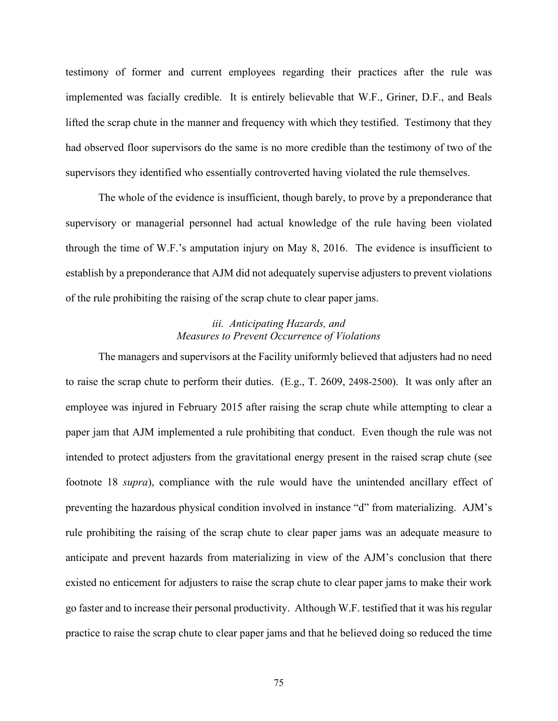testimony of former and current employees regarding their practices after the rule was implemented was facially credible. It is entirely believable that W.F., Griner, D.F., and Beals lifted the scrap chute in the manner and frequency with which they testified. Testimony that they had observed floor supervisors do the same is no more credible than the testimony of two of the supervisors they identified who essentially controverted having violated the rule themselves.

The whole of the evidence is insufficient, though barely, to prove by a preponderance that supervisory or managerial personnel had actual knowledge of the rule having been violated through the time of W.F.'s amputation injury on May 8, 2016. The evidence is insufficient to establish by a preponderance that AJM did not adequately supervise adjusters to prevent violations of the rule prohibiting the raising of the scrap chute to clear paper jams.

### *iii. Anticipating Hazards, and Measures to Prevent Occurrence of Violations*

The managers and supervisors at the Facility uniformly believed that adjusters had no need to raise the scrap chute to perform their duties. (E.g., T. 2609, 2498-2500). It was only after an employee was injured in February 2015 after raising the scrap chute while attempting to clear a paper jam that AJM implemented a rule prohibiting that conduct. Even though the rule was not intended to protect adjusters from the gravitational energy present in the raised scrap chute (see footnote 18 *supra*), compliance with the rule would have the unintended ancillary effect of preventing the hazardous physical condition involved in instance "d" from materializing. AJM's rule prohibiting the raising of the scrap chute to clear paper jams was an adequate measure to anticipate and prevent hazards from materializing in view of the AJM's conclusion that there existed no enticement for adjusters to raise the scrap chute to clear paper jams to make their work go faster and to increase their personal productivity. Although W.F. testified that it was his regular practice to raise the scrap chute to clear paper jams and that he believed doing so reduced the time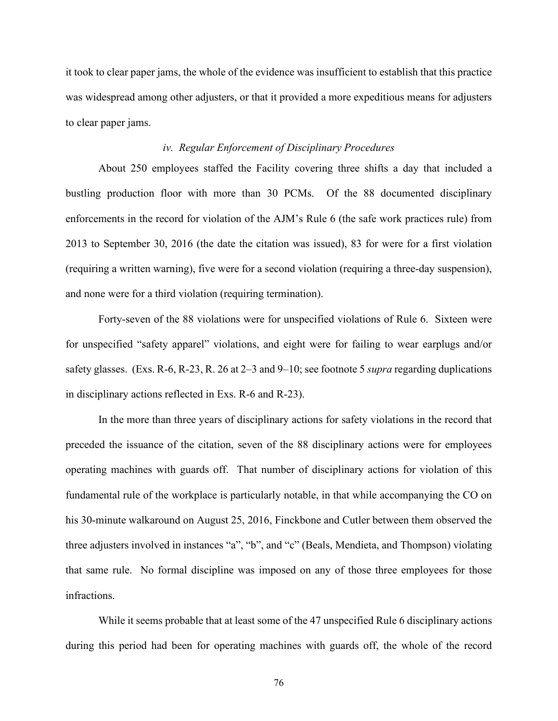it took to clear paper jams, the whole of the evidence was insufficient to establish that this practice was widespread among other adjusters, or that it provided a more expeditious means for adjusters to clear paper jams.

#### *iv. Regular Enforcement of Disciplinary Procedures*

About 250 employees staffed the Facility covering three shifts a day that included a bustling production floor with more than 30 PCMs. Of the 88 documented disciplinary enforcements in the record for violation of the AJM's Rule 6 (the safe work practices rule) from 2013 to September 30, 2016 (the date the citation was issued), 83 for were for a first violation (requiring a written warning), five were for a second violation (requiring a three-day suspension), and none were for a third violation (requiring termination).

Forty-seven of the 88 violations were for unspecified violations of Rule 6. Sixteen were for unspecified "safety apparel" violations, and eight were for failing to wear earplugs and/or safety glasses. (Exs. R-6, R-23, R. 26 at 2–3 and 9–10; see footnote 5 *supra* regarding duplications in disciplinary actions reflected in Exs. R-6 and R-23).

In the more than three years of disciplinary actions for safety violations in the record that preceded the issuance of the citation, seven of the 88 disciplinary actions were for employees operating machines with guards off. That number of disciplinary actions for violation of this fundamental rule of the workplace is particularly notable, in that while accompanying the CO on his 30-minute walkaround on August 25, 2016, Finckbone and Cutler between them observed the three adjusters involved in instances "a", "b", and "c" (Beals, Mendieta, and Thompson) violating that same rule. No formal discipline was imposed on any of those three employees for those infractions.

While it seems probable that at least some of the 47 unspecified Rule 6 disciplinary actions during this period had been for operating machines with guards off, the whole of the record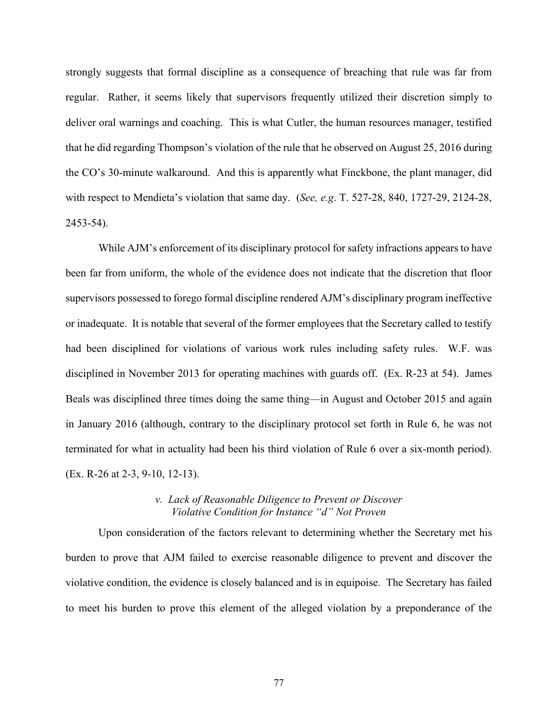strongly suggests that formal discipline as a consequence of breaching that rule was far from regular. Rather, it seems likely that supervisors frequently utilized their discretion simply to deliver oral warnings and coaching. This is what Cutler, the human resources manager, testified that he did regarding Thompson's violation of the rule that he observed on August 25, 2016 during the CO's 30-minute walkaround. And this is apparently what Finckbone, the plant manager, did with respect to Mendieta's violation that same day. (*See, e.g*. T. 527-28, 840, 1727-29, 2124-28, 2453-54).

While AJM's enforcement of its disciplinary protocol for safety infractions appears to have been far from uniform, the whole of the evidence does not indicate that the discretion that floor supervisors possessed to forego formal discipline rendered AJM's disciplinary program ineffective or inadequate. It is notable that several of the former employees that the Secretary called to testify had been disciplined for violations of various work rules including safety rules. W.F. was disciplined in November 2013 for operating machines with guards off. (Ex. R-23 at 54). James Beals was disciplined three times doing the same thing—in August and October 2015 and again in January 2016 (although, contrary to the disciplinary protocol set forth in Rule 6, he was not terminated for what in actuality had been his third violation of Rule 6 over a six-month period). (Ex. R-26 at 2-3, 9-10, 12-13).

## *v. Lack of Reasonable Diligence to Prevent or Discover Violative Condition for Instance "d" Not Proven*

Upon consideration of the factors relevant to determining whether the Secretary met his burden to prove that AJM failed to exercise reasonable diligence to prevent and discover the violative condition, the evidence is closely balanced and is in equipoise. The Secretary has failed to meet his burden to prove this element of the alleged violation by a preponderance of the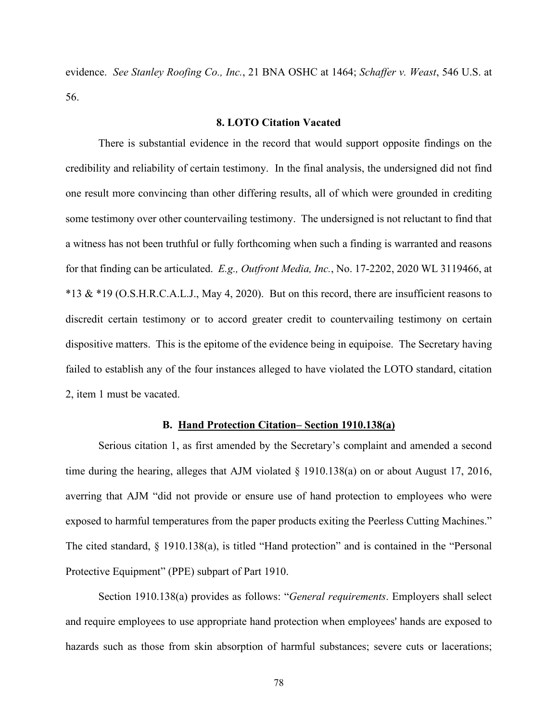evidence. *See Stanley Roofing Co., Inc.*, 21 BNA OSHC at 1464; *Schaffer v. Weast*, 546 U.S. at 56.

## **8. LOTO Citation Vacated**

There is substantial evidence in the record that would support opposite findings on the credibility and reliability of certain testimony. In the final analysis, the undersigned did not find one result more convincing than other differing results, all of which were grounded in crediting some testimony over other countervailing testimony. The undersigned is not reluctant to find that a witness has not been truthful or fully forthcoming when such a finding is warranted and reasons for that finding can be articulated. *E.g., Outfront Media, Inc.*, No. 17-2202, 2020 WL 3119466, at \*13 & \*19 (O.S.H.R.C.A.L.J., May 4, 2020). But on this record, there are insufficient reasons to discredit certain testimony or to accord greater credit to countervailing testimony on certain dispositive matters. This is the epitome of the evidence being in equipoise. The Secretary having failed to establish any of the four instances alleged to have violated the LOTO standard, citation 2, item 1 must be vacated.

#### **B. Hand Protection Citation– Section 1910.138(a)**

Serious citation 1, as first amended by the Secretary's complaint and amended a second time during the hearing, alleges that AJM violated § 1910.138(a) on or about August 17, 2016, averring that AJM "did not provide or ensure use of hand protection to employees who were exposed to harmful temperatures from the paper products exiting the Peerless Cutting Machines." The cited standard, § 1910.138(a), is titled "Hand protection" and is contained in the "Personal Protective Equipment" (PPE) subpart of Part 1910.

Section 1910.138(a) provides as follows: "*General requirements*. Employers shall select and require employees to use appropriate hand protection when employees' hands are exposed to hazards such as those from skin absorption of harmful substances; severe cuts or lacerations;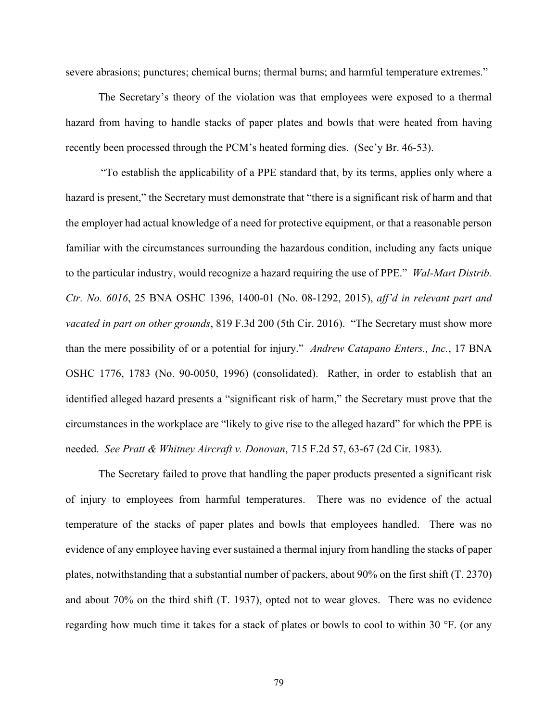severe abrasions; punctures; chemical burns; thermal burns; and harmful temperature extremes."

The Secretary's theory of the violation was that employees were exposed to a thermal hazard from having to handle stacks of paper plates and bowls that were heated from having recently been processed through the PCM's heated forming dies. (Sec'y Br. 46-53).

"To establish the applicability of a PPE standard that, by its terms, applies only where a hazard is present," the Secretary must demonstrate that "there is a significant risk of harm and that the employer had actual knowledge of a need for protective equipment, or that a reasonable person familiar with the circumstances surrounding the hazardous condition, including any facts unique to the particular industry, would recognize a hazard requiring the use of PPE." *Wal-Mart Distrib. Ctr. No. 6016*, 25 BNA OSHC 1396, 1400-01 (No. 08-1292, 2015), *aff'd in relevant part and vacated in part on other grounds*, 819 F.3d 200 (5th Cir. 2016). "The Secretary must show more than the mere possibility of or a potential for injury." *Andrew Catapano Enters., Inc.*, 17 BNA OSHC 1776, 1783 (No. 90-0050, 1996) (consolidated). Rather, in order to establish that an identified alleged hazard presents a "significant risk of harm," the Secretary must prove that the circumstances in the workplace are "likely to give rise to the alleged hazard" for which the PPE is needed. *See Pratt & Whitney Aircraft v. Donovan*, 715 F.2d 57, 63-67 (2d Cir. 1983).

The Secretary failed to prove that handling the paper products presented a significant risk of injury to employees from harmful temperatures. There was no evidence of the actual temperature of the stacks of paper plates and bowls that employees handled. There was no evidence of any employee having ever sustained a thermal injury from handling the stacks of paper plates, notwithstanding that a substantial number of packers, about 90% on the first shift (T. 2370) and about 70% on the third shift (T. 1937), opted not to wear gloves. There was no evidence regarding how much time it takes for a stack of plates or bowls to cool to within 30 °F. (or any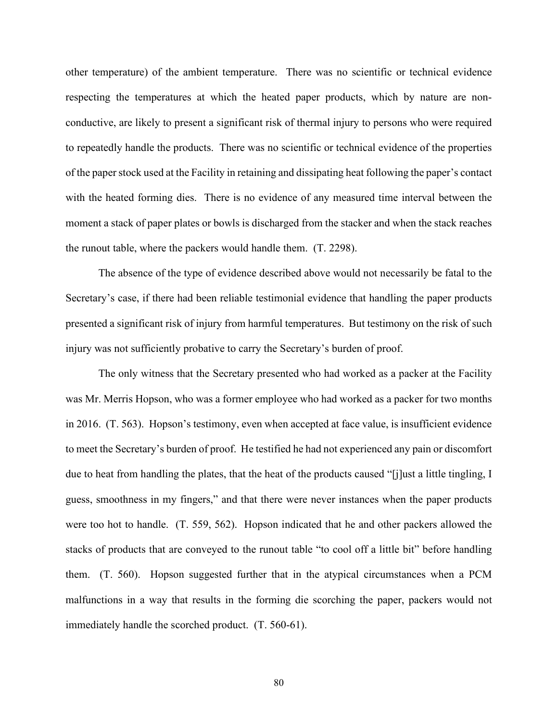other temperature) of the ambient temperature. There was no scientific or technical evidence respecting the temperatures at which the heated paper products, which by nature are nonconductive, are likely to present a significant risk of thermal injury to persons who were required to repeatedly handle the products. There was no scientific or technical evidence of the properties of the paper stock used at the Facility in retaining and dissipating heat following the paper's contact with the heated forming dies. There is no evidence of any measured time interval between the moment a stack of paper plates or bowls is discharged from the stacker and when the stack reaches the runout table, where the packers would handle them. (T. 2298).

The absence of the type of evidence described above would not necessarily be fatal to the Secretary's case, if there had been reliable testimonial evidence that handling the paper products presented a significant risk of injury from harmful temperatures. But testimony on the risk of such injury was not sufficiently probative to carry the Secretary's burden of proof.

The only witness that the Secretary presented who had worked as a packer at the Facility was Mr. Merris Hopson, who was a former employee who had worked as a packer for two months in 2016. (T. 563). Hopson's testimony, even when accepted at face value, is insufficient evidence to meet the Secretary's burden of proof. He testified he had not experienced any pain or discomfort due to heat from handling the plates, that the heat of the products caused "[j]ust a little tingling, I guess, smoothness in my fingers," and that there were never instances when the paper products were too hot to handle. (T. 559, 562). Hopson indicated that he and other packers allowed the stacks of products that are conveyed to the runout table "to cool off a little bit" before handling them. (T. 560). Hopson suggested further that in the atypical circumstances when a PCM malfunctions in a way that results in the forming die scorching the paper, packers would not immediately handle the scorched product. (T. 560-61).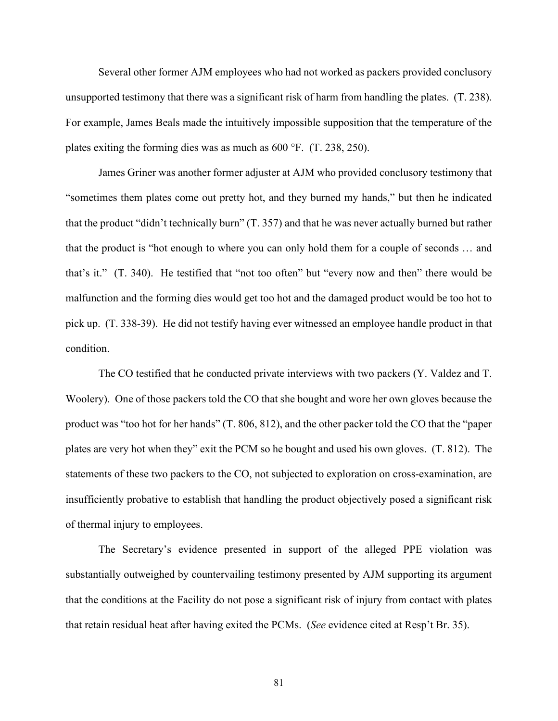Several other former AJM employees who had not worked as packers provided conclusory unsupported testimony that there was a significant risk of harm from handling the plates. (T. 238). For example, James Beals made the intuitively impossible supposition that the temperature of the plates exiting the forming dies was as much as 600 °F. (T. 238, 250).

James Griner was another former adjuster at AJM who provided conclusory testimony that "sometimes them plates come out pretty hot, and they burned my hands," but then he indicated that the product "didn't technically burn" (T. 357) and that he was never actually burned but rather that the product is "hot enough to where you can only hold them for a couple of seconds … and that's it." (T. 340). He testified that "not too often" but "every now and then" there would be malfunction and the forming dies would get too hot and the damaged product would be too hot to pick up. (T. 338-39). He did not testify having ever witnessed an employee handle product in that condition.

The CO testified that he conducted private interviews with two packers (Y. Valdez and T. Woolery). One of those packers told the CO that she bought and wore her own gloves because the product was "too hot for her hands" (T. 806, 812), and the other packer told the CO that the "paper plates are very hot when they" exit the PCM so he bought and used his own gloves. (T. 812). The statements of these two packers to the CO, not subjected to exploration on cross-examination, are insufficiently probative to establish that handling the product objectively posed a significant risk of thermal injury to employees.

The Secretary's evidence presented in support of the alleged PPE violation was substantially outweighed by countervailing testimony presented by AJM supporting its argument that the conditions at the Facility do not pose a significant risk of injury from contact with plates that retain residual heat after having exited the PCMs. (*See* evidence cited at Resp't Br. 35).

81